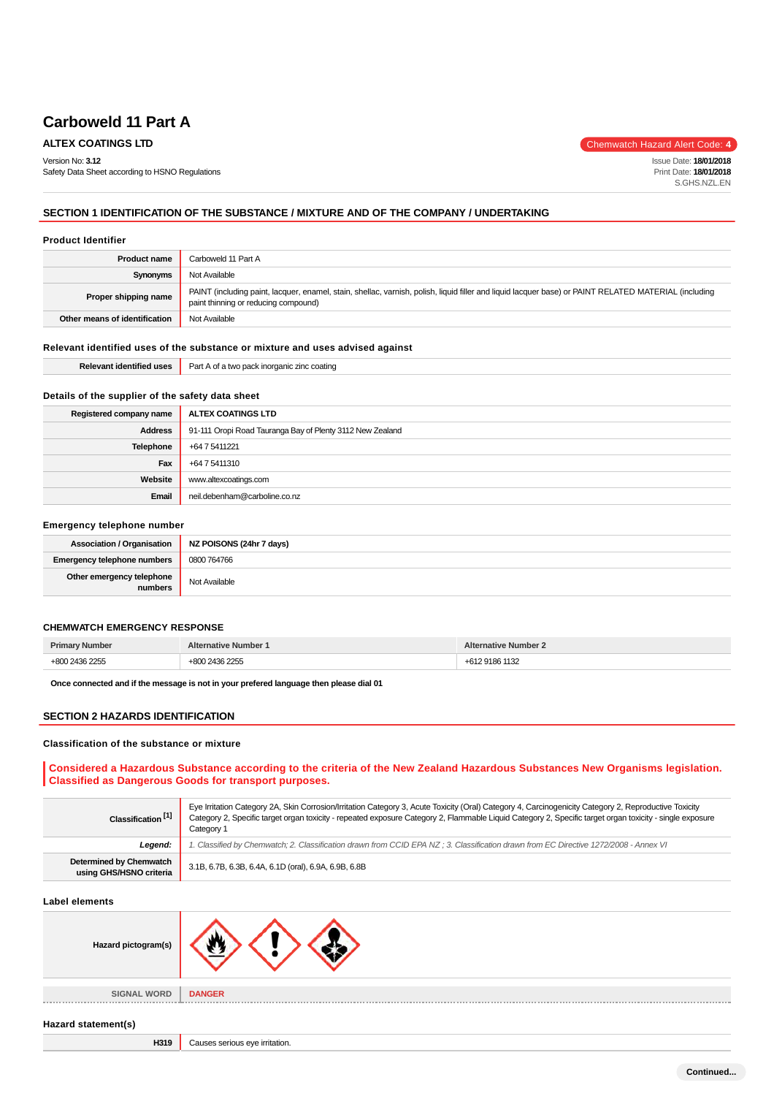Safety Data Sheet according to HSNO Regulations

**ALTEX COATINGS LTD** Chemwatch Hazard Alert Code: 4

Issue Date: **18/01/2018** Print Date: **18/01/2018** S.GHS.NZL.EN

**SECTION 1 IDENTIFICATION OF THE SUBSTANCE / MIXTURE AND OF THE COMPANY / UNDERTAKING**

#### **Product Identifier**

Version No: **3.12**

| <b>Product name</b>           | Carboweld 11 Part A                                                                                                                                                                           |  |
|-------------------------------|-----------------------------------------------------------------------------------------------------------------------------------------------------------------------------------------------|--|
| Synonyms                      | Not Available                                                                                                                                                                                 |  |
| Proper shipping name          | PAINT (including paint, lacquer, enamel, stain, shellac, varnish, polish, liquid filler and liquid lacquer base) or PAINT RELATED MATERIAL (including<br>paint thinning or reducing compound) |  |
| Other means of identification | Not Available                                                                                                                                                                                 |  |

## **Relevant identified uses of the substance or mixture and uses advised against**

| $-0.05$<br>ு<br>'dentified<br>11 C C<br>. | Part<br>1416<br>: coating<br><br><b>IDOMNO</b><br>$\sim$<br>.<br>. |
|-------------------------------------------|--------------------------------------------------------------------|
|                                           |                                                                    |

## **Details of the supplier of the safety data sheet**

| Registered company name | ALTEX COATINGS LTD                                        |  |
|-------------------------|-----------------------------------------------------------|--|
| <b>Address</b>          | 91-111 Oropi Road Tauranga Bay of Plenty 3112 New Zealand |  |
| <b>Telephone</b>        | +64 7 5411221                                             |  |
| Fax                     | +64 7 5411310                                             |  |
| Website                 | www.altexcoatings.com                                     |  |
| Email                   | neil.debenham@carboline.co.nz                             |  |

## **Emergency telephone number**

| <b>Association / Organisation</b>    | NZ POISONS (24hr 7 days) |
|--------------------------------------|--------------------------|
| Emergency telephone numbers          | 0800 764766              |
| Other emergency telephone<br>numbers | Not Available            |

## **CHEMWATCH EMERGENCY RESPONSE**

|  | $\sim$ $\sim$ $\sim$ $\sim$ $\sim$ |
|--|------------------------------------|

**Once connected and if the message is not in your prefered language then please dial 01**

## **SECTION 2 HAZARDS IDENTIFICATION**

#### **Classification of the substance or mixture**

# **Considered a Hazardous Substance according to the criteria of the New Zealand Hazardous Substances New Organisms legislation. Classified as Dangerous Goods for transport purposes.**

| Classification <sup>[1]</sup>                      | Eye Irritation Category 2A, Skin Corrosion/Irritation Category 3, Acute Toxicity (Oral) Category 4, Carcinogenicity Category 2, Reproductive Toxicity<br>Category 2, Specific target organ toxicity - repeated exposure Category 2, Flammable Liquid Category 2, Specific target organ toxicity - single exposure<br>Category 1 |  |
|----------------------------------------------------|---------------------------------------------------------------------------------------------------------------------------------------------------------------------------------------------------------------------------------------------------------------------------------------------------------------------------------|--|
| Leaend:                                            | . Classified by Chemwatch; 2. Classification drawn from CCID EPA NZ; 3. Classification drawn from EC Directive 1272/2008 - Annex VI                                                                                                                                                                                             |  |
| Determined by Chemwatch<br>using GHS/HSNO criteria | 3.1B, 6.7B, 6.3B, 6.4A, 6.1D (oral), 6.9A, 6.9B, 6.8B                                                                                                                                                                                                                                                                           |  |

#### **Label elements**

| Hazard pictogram(s) |                                              |  |
|---------------------|----------------------------------------------|--|
| <b>SIGNAL WORD</b>  | <b>DANGER</b><br><b><i><u>FREERS</u></i></b> |  |

#### **Hazard statement(s)**

**H319** Causes serious eye irritation.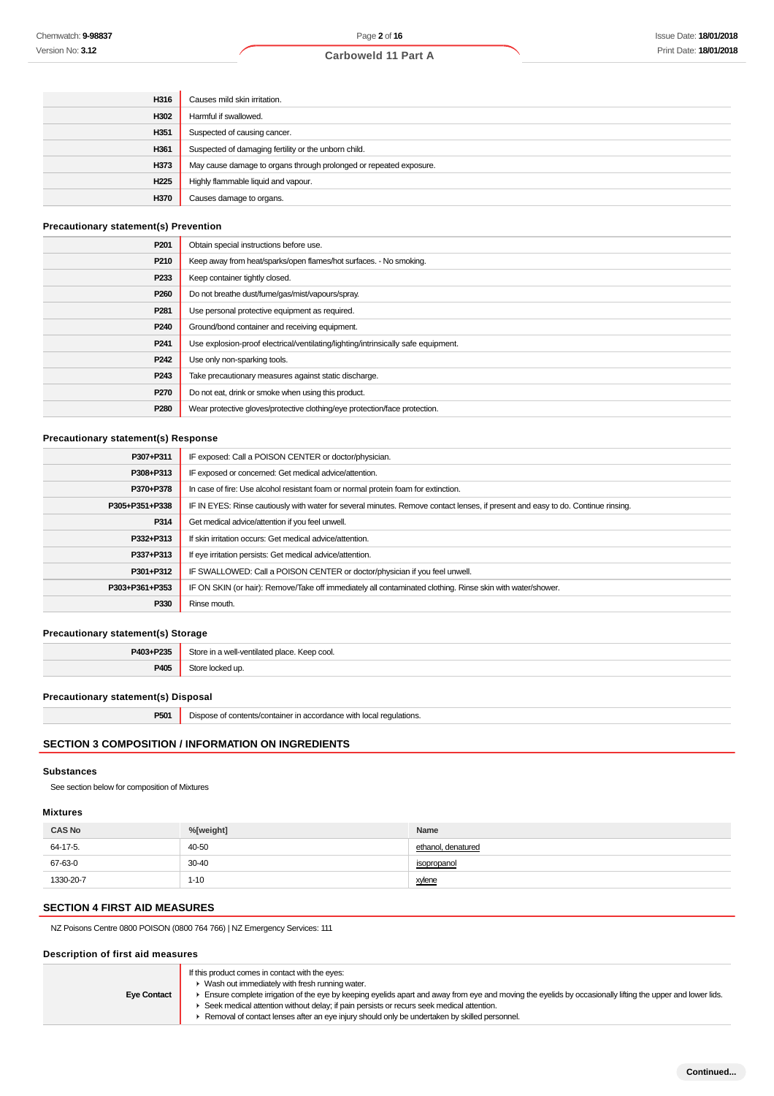| H316             | Causes mild skin irritation.                                       |
|------------------|--------------------------------------------------------------------|
| H302             | Harmful if swallowed.                                              |
| H351             | Suspected of causing cancer.                                       |
| H361             | Suspected of damaging fertility or the unborn child.               |
| H373             | May cause damage to organs through prolonged or repeated exposure. |
| H <sub>225</sub> | Highly flammable liquid and vapour.                                |
| H370             | Causes damage to organs.                                           |

## **Precautionary statement(s) Prevention**

| P <sub>201</sub> | Obtain special instructions before use.                                           |  |
|------------------|-----------------------------------------------------------------------------------|--|
| P <sub>210</sub> | Keep away from heat/sparks/open flames/hot surfaces. - No smoking.                |  |
| P <sub>233</sub> | Keep container tightly closed.                                                    |  |
| P <sub>260</sub> | Do not breathe dust/fume/gas/mist/vapours/spray.                                  |  |
| P <sub>281</sub> | Use personal protective equipment as required.                                    |  |
| P <sub>240</sub> | Ground/bond container and receiving equipment.                                    |  |
| P <sub>241</sub> | Use explosion-proof electrical/ventilating/lighting/intrinsically safe equipment. |  |
| P <sub>242</sub> | Use only non-sparking tools.                                                      |  |
| P <sub>243</sub> | Take precautionary measures against static discharge.                             |  |
| P270             | Do not eat, drink or smoke when using this product.                               |  |
| P280             | Wear protective gloves/protective clothing/eye protection/face protection.        |  |
|                  |                                                                                   |  |

## **Precautionary statement(s) Response**

| P307+P311      | IF exposed: Call a POISON CENTER or doctor/physician.                                                                            |  |
|----------------|----------------------------------------------------------------------------------------------------------------------------------|--|
| P308+P313      | IF exposed or concerned: Get medical advice/attention.                                                                           |  |
| P370+P378      | In case of fire: Use alcohol resistant foam or normal protein foam for extinction.                                               |  |
| P305+P351+P338 | IF IN EYES: Rinse cautiously with water for several minutes. Remove contact lenses, if present and easy to do. Continue rinsing. |  |
| P314           | Get medical advice/attention if you feel unwell.                                                                                 |  |
| P332+P313      | If skin irritation occurs: Get medical advice/attention.                                                                         |  |
| P337+P313      | If eye irritation persists: Get medical advice/attention.                                                                        |  |
| P301+P312      | IF SWALLOWED: Call a POISON CENTER or doctor/physician if you feel unwell.                                                       |  |
| P303+P361+P353 | IF ON SKIN (or hair): Remove/Take off immediately all contaminated clothing. Rinse skin with water/shower.                       |  |
| P330           | Rinse mouth.                                                                                                                     |  |

# **Precautionary statement(s) Storage**

| P403+P235  | Store in a well-ventilated place. Keep cool. |
|------------|----------------------------------------------|
| <b>DAC</b> | Store locked up.                             |

## **Precautionary statement(s) Disposal**

**P501** Dispose of contents/container in accordance with local regulations.

# **SECTION 3 COMPOSITION / INFORMATION ON INGREDIENTS**

## **Substances**

See section below for composition of Mixtures

# **Mixtures**

| <b>CAS No</b> | %[weight] | Name               |
|---------------|-----------|--------------------|
| 64-17-5.      | 40-50     | ethanol, denatured |
| 67-63-0       | 30-40     | isopropanol        |
| 1330-20-7     | $1 - 10$  | xylene             |

# **SECTION 4 FIRST AID MEASURES**

NZ Poisons Centre 0800 POISON (0800 764 766) | NZ Emergency Services: 111

# **Description of first aid measures**

|                    | If this product comes in contact with the eyes:<br>Wash out immediately with fresh running water.                                                         |
|--------------------|-----------------------------------------------------------------------------------------------------------------------------------------------------------|
| <b>Eye Contact</b> | Ensure complete irrigation of the eye by keeping eyelids apart and away from eye and moving the eyelids by occasionally lifting the upper and lower lids. |
|                    | ► Seek medical attention without delay; if pain persists or recurs seek medical attention.                                                                |
|                    | Removal of contact lenses after an eye injury should only be undertaken by skilled personnel.                                                             |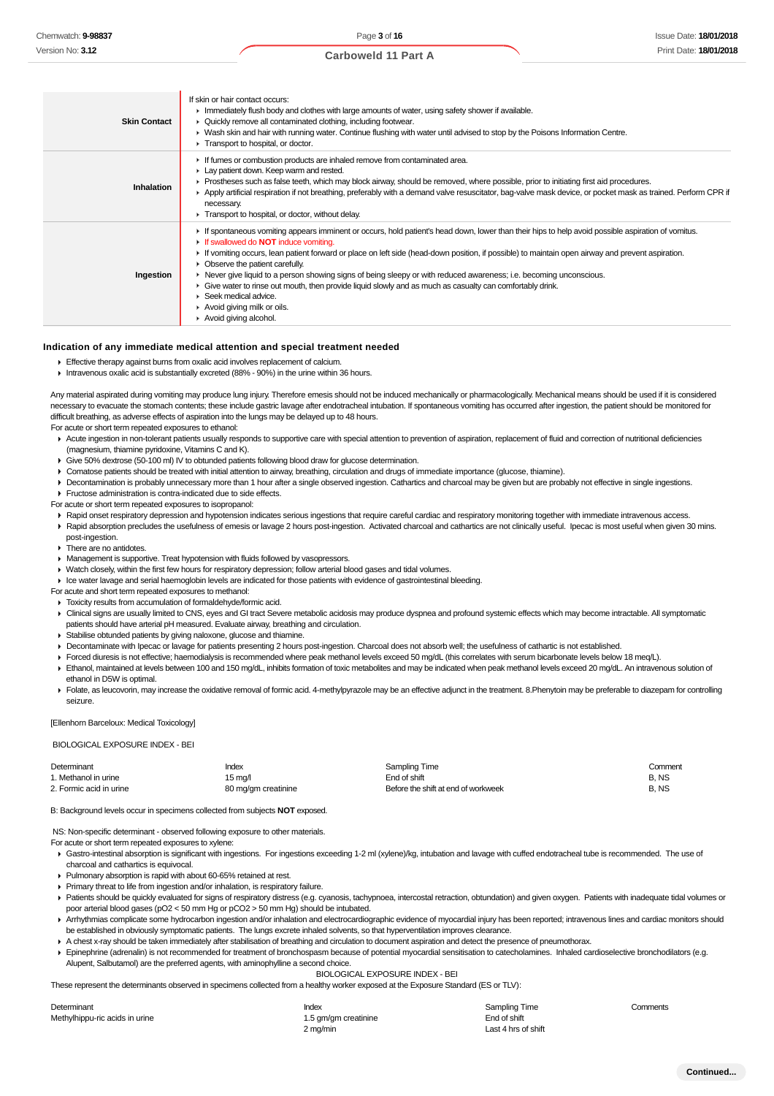| <b>Carboweld 11 Part A</b> |  |  |
|----------------------------|--|--|
|----------------------------|--|--|

| <b>Skin Contact</b> | If skin or hair contact occurs:<br>In Immediately flush body and clothes with large amounts of water, using safety shower if available.<br>• Quickly remove all contaminated clothing, including footwear.<br>► Wash skin and hair with running water. Continue flushing with water until advised to stop by the Poisons Information Centre.<br>Transport to hospital, or doctor.                                                                                                                                                                                                                                                                                                                            |
|---------------------|--------------------------------------------------------------------------------------------------------------------------------------------------------------------------------------------------------------------------------------------------------------------------------------------------------------------------------------------------------------------------------------------------------------------------------------------------------------------------------------------------------------------------------------------------------------------------------------------------------------------------------------------------------------------------------------------------------------|
| Inhalation          | If fumes or combustion products are inhaled remove from contaminated area.<br>Lay patient down. Keep warm and rested.<br>► Prostheses such as false teeth, which may block airway, should be removed, where possible, prior to initiating first aid procedures.<br>Apply artificial respiration if not breathing, preferably with a demand valve resuscitator, bag-valve mask device, or pocket mask as trained. Perform CPR if<br>necessary.<br>Transport to hospital, or doctor, without delay.                                                                                                                                                                                                            |
| Ingestion           | If spontaneous vomiting appears imminent or occurs, hold patient's head down, lower than their hips to help avoid possible aspiration of vomitus.<br>If swallowed do <b>NOT</b> induce vomiting.<br>If vomiting occurs, lean patient forward or place on left side (head-down position, if possible) to maintain open airway and prevent aspiration.<br>• Observe the patient carefully.<br>► Never give liquid to a person showing signs of being sleepy or with reduced awareness; i.e. becoming unconscious.<br>• Give water to rinse out mouth, then provide liquid slowly and as much as casualty can comfortably drink.<br>Seek medical advice.<br>Avoid giving milk or oils.<br>Avoid giving alcohol. |

#### **Indication of any immediate medical attention and special treatment needed**

- **Effective therapy against burns from oxalic acid involves replacement of calcium.**
- Intravenous oxalic acid is substantially excreted (88% 90%) in the urine within 36 hours.

Any material aspirated during vomiting may produce lung injury. Therefore emesis should not be induced mechanically or pharmacologically. Mechanical means should be used if it is considered necessary to evacuate the stomach contents; these include gastric lavage after endotracheal intubation. If spontaneous vomiting has occurred after ingestion, the patient should be monitored for difficult breathing, as adverse effects of aspiration into the lungs may be delayed up to 48 hours.

For acute or short term repeated exposures to ethanol:

- Acute ingestion in non-tolerant patients usually responds to supportive care with special attention to prevention of aspiration, replacement of fluid and correction of nutritional deficiencies (magnesium, thiamine pyridoxine, Vitamins C and K).
- Give 50% dextrose (50-100 ml) IV to obtunded patients following blood draw for glucose determination.
- Comatose patients should be treated with initial attention to airway, breathing, circulation and drugs of immediate importance (glucose, thiamine).
- ▶ Decontamination is probably unnecessary more than 1 hour after a single observed ingestion. Cathartics and charcoal may be given but are probably not effective in single ingestions.
- **F** Fructose administration is contra-indicated due to side effects.

For acute or short term repeated exposures to isopropanol:

- ▶ Rapid onset respiratory depression and hypotension indicates serious ingestions that require careful cardiac and respiratory monitoring together with immediate intravenous access.
- Rapid absorption precludes the usefulness of emesis or lavage 2 hours post-ingestion. Activated charcoal and cathartics are not clinically useful. Ipecac is most useful when given 30 mins. post-ingestion.
- There are no antidotes.
- Management is supportive. Treat hypotension with fluids followed by vasopressors.
- Watch closely, within the first few hours for respiratory depression; follow arterial blood gases and tidal volumes.
- Ice water lavage and serial haemoglobin levels are indicated for those patients with evidence of gastrointestinal bleeding.
- For acute and short term repeated exposures to methanol:
- Toxicity results from accumulation of formaldehyde/formic acid. ▶ Clinical signs are usually limited to CNS, eyes and GI tract Severe metabolic acidosis may produce dyspnea and profound systemic effects which may become intractable. All symptomatic
- patients should have arterial pH measured. Evaluate airway, breathing and circulation.
- Stabilise obtunded patients by giving naloxone, glucose and thiamine.
- Decontaminate with Ipecac or lavage for patients presenting 2 hours post-ingestion. Charcoal does not absorb well; the usefulness of cathartic is not established.
- Forced diuresis is not effective; haemodialysis is recommended where peak methanol levels exceed 50 mg/dL (this correlates with serum bicarbonate levels below 18 meq/L).
- Ethanol, maintained at levels between 100 and 150 mg/dL, inhibits formation of toxic metabolites and may be indicated when peak methanol levels exceed 20 mg/dL. An intravenous solution of ethanol in D5W is optimal.
- Folate, as leucovorin, may increase the oxidative removal of formic acid. 4-methylpyrazole may be an effective adjunct in the treatment. 8. Phenytoin may be preferable to diazepam for controlling seizure.

[Ellenhorn Barceloux: Medical Toxicology]

#### BIOLOGICAL EXPOSURE INDEX - BEI

| Determinant             | Index               | Sampling Time                       | Comment |
|-------------------------|---------------------|-------------------------------------|---------|
| 1. Methanol in urine    | 15 mg/l             | End of shift                        | B.NS    |
| 2. Formic acid in urine | 80 mg/gm creatinine | Before the shift at end of workweek | B.NS    |

B: Background levels occur in specimens collected from subjects **NOT** exposed.

NS: Non-specific determinant - observed following exposure to other materials.

- For acute or short term repeated exposures to xylene:
- Gastro-intestinal absorption is significant with ingestions. For ingestions exceeding 1-2 ml (xylene)/kg, intubation and lavage with cuffed endotracheal tube is recommended. The use of charcoal and cathartics is equivocal.
- Pulmonary absorption is rapid with about 60-65% retained at rest.
- Primary threat to life from ingestion and/or inhalation, is respiratory failure.
- ▶ Patients should be quickly evaluated for signs of respiratory distress (e.g. cyanosis, tachypnoea, intercostal retraction, obtundation) and given oxygen. Patients with inadequate tidal volumes or poor arterial blood gases (pO2 < 50 mm Hg or pCO2 > 50 mm Hg) should be intubated.
- Arrhythmias complicate some hydrocarbon ingestion and/or inhalation and electrocardiographic evidence of myocardial injury has been reported; intravenous lines and cardiac monitors should be established in obviously symptomatic patients. The lungs excrete inhaled solvents, so that hyperventilation improves clearance.
- A chest x-ray should be taken immediately after stabilisation of breathing and circulation to document aspiration and detect the presence of pneumothorax.
- Epinephrine (adrenalin) is not recommended for treatment of bronchospasm because of potential myocardial sensitisation to catecholamines. Inhaled cardioselective bronchodilators (e.g. Alupent, Salbutamol) are the preferred agents, with aminophylline a second choice.

BIOLOGICAL EXPOSURE INDEX - BEI

These represent the determinants observed in specimens collected from a healthy worker exposed at the Exposure Standard (ES or TLV):

| Determinant                    | Index                | Sampling Time       | Comments |
|--------------------------------|----------------------|---------------------|----------|
| Methylhippu-ric acids in urine | 1.5 gm/gm creatinine | End of shift        |          |
|                                | 2 m <sub>n</sub>     | $1 - 4$ here of $A$ |          |

I ast 4 hrs of shift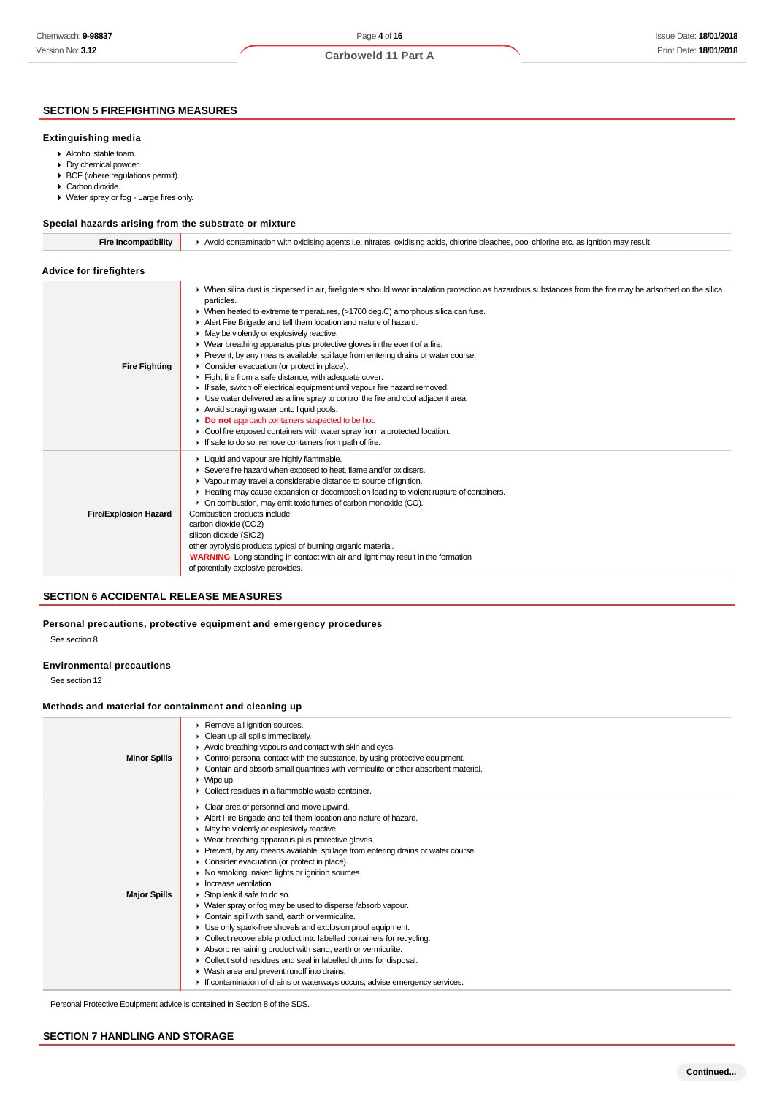# Page **4** of **16 Carboweld 11 Part A**

# **SECTION 5 FIREFIGHTING MEASURES**

#### **Extinguishing media**

- Alcohol stable foam.
- Dry chemical powder.
- BCF (where regulations permit).
- Carbon dioxide.
- Water spray or fog Large fires only.

# **Special hazards arising from the substrate or mixture**

| Special hazards arising from the substrate or mixture |                                                                                                                                                                                                                                                                                                                                                                                                                                                                                                                                                                                                                                                                                                                                                                                                                                                                                                                                                                                                                                                                 |  |
|-------------------------------------------------------|-----------------------------------------------------------------------------------------------------------------------------------------------------------------------------------------------------------------------------------------------------------------------------------------------------------------------------------------------------------------------------------------------------------------------------------------------------------------------------------------------------------------------------------------------------------------------------------------------------------------------------------------------------------------------------------------------------------------------------------------------------------------------------------------------------------------------------------------------------------------------------------------------------------------------------------------------------------------------------------------------------------------------------------------------------------------|--|
| <b>Fire Incompatibility</b>                           | Avoid contamination with oxidising agents i.e. nitrates, oxidising acids, chlorine bleaches, pool chlorine etc. as ignition may result                                                                                                                                                                                                                                                                                                                                                                                                                                                                                                                                                                                                                                                                                                                                                                                                                                                                                                                          |  |
| <b>Advice for firefighters</b>                        |                                                                                                                                                                                                                                                                                                                                                                                                                                                                                                                                                                                                                                                                                                                                                                                                                                                                                                                                                                                                                                                                 |  |
| <b>Fire Fighting</b>                                  | • When silica dust is dispersed in air, firefighters should wear inhalation protection as hazardous substances from the fire may be adsorbed on the silica<br>particles.<br>▶ When heated to extreme temperatures, (>1700 deg.C) amorphous silica can fuse.<br>Alert Fire Brigade and tell them location and nature of hazard.<br>• May be violently or explosively reactive.<br>▶ Wear breathing apparatus plus protective gloves in the event of a fire.<br>▶ Prevent, by any means available, spillage from entering drains or water course.<br>Consider evacuation (or protect in place).<br>Fight fire from a safe distance, with adequate cover.<br>If safe, switch off electrical equipment until vapour fire hazard removed.<br>• Use water delivered as a fine spray to control the fire and cool adjacent area.<br>Avoid spraying water onto liquid pools.<br>Do not approach containers suspected to be hot.<br>• Cool fire exposed containers with water spray from a protected location.<br>If safe to do so, remove containers from path of fire. |  |
| <b>Fire/Explosion Hazard</b>                          | Liquid and vapour are highly flammable.<br>Severe fire hazard when exposed to heat, flame and/or oxidisers.<br>▶ Vapour may travel a considerable distance to source of ignition.<br>► Heating may cause expansion or decomposition leading to violent rupture of containers.<br>• On combustion, may emit toxic fumes of carbon monoxide (CO).<br>Combustion products include:<br>carbon dioxide (CO2)<br>silicon dioxide (SiO2)<br>other pyrolysis products typical of burning organic material.<br><b>WARNING:</b> Long standing in contact with air and light may result in the formation<br>of potentially explosive peroxides.                                                                                                                                                                                                                                                                                                                                                                                                                            |  |

# **SECTION 6 ACCIDENTAL RELEASE MEASURES**

## **Personal precautions, protective equipment and emergency procedures** See section 8

#### **Environmental precautions**

See section 12

## **Methods and material for containment and cleaning up**

| <b>Minor Spills</b> | Remove all ignition sources.<br>• Clean up all spills immediately.<br>Avoid breathing vapours and contact with skin and eyes.<br>• Control personal contact with the substance, by using protective equipment.<br>• Contain and absorb small quantities with vermiculite or other absorbent material.<br>$\triangleright$ Wipe up.<br>$\blacktriangleright$ Collect residues in a flammable waste container.                                                                                                                                                                                                                                                                                                                                                                                                                                                                                                                                                                                                   |
|---------------------|----------------------------------------------------------------------------------------------------------------------------------------------------------------------------------------------------------------------------------------------------------------------------------------------------------------------------------------------------------------------------------------------------------------------------------------------------------------------------------------------------------------------------------------------------------------------------------------------------------------------------------------------------------------------------------------------------------------------------------------------------------------------------------------------------------------------------------------------------------------------------------------------------------------------------------------------------------------------------------------------------------------|
| <b>Major Spills</b> | Clear area of personnel and move upwind.<br>Alert Fire Brigade and tell them location and nature of hazard.<br>• May be violently or explosively reactive.<br>▶ Wear breathing apparatus plus protective gloves.<br>► Prevent, by any means available, spillage from entering drains or water course.<br>• Consider evacuation (or protect in place).<br>▶ No smoking, naked lights or ignition sources.<br>$\blacktriangleright$ Increase ventilation.<br>Stop leak if safe to do so.<br>• Water spray or fog may be used to disperse /absorb vapour.<br>Contain spill with sand, earth or vermiculite.<br>Use only spark-free shovels and explosion proof equipment.<br>• Collect recoverable product into labelled containers for recycling.<br>Absorb remaining product with sand, earth or vermiculite.<br>• Collect solid residues and seal in labelled drums for disposal.<br>• Wash area and prevent runoff into drains.<br>If contamination of drains or waterways occurs, advise emergency services. |

Personal Protective Equipment advice is contained in Section 8 of the SDS.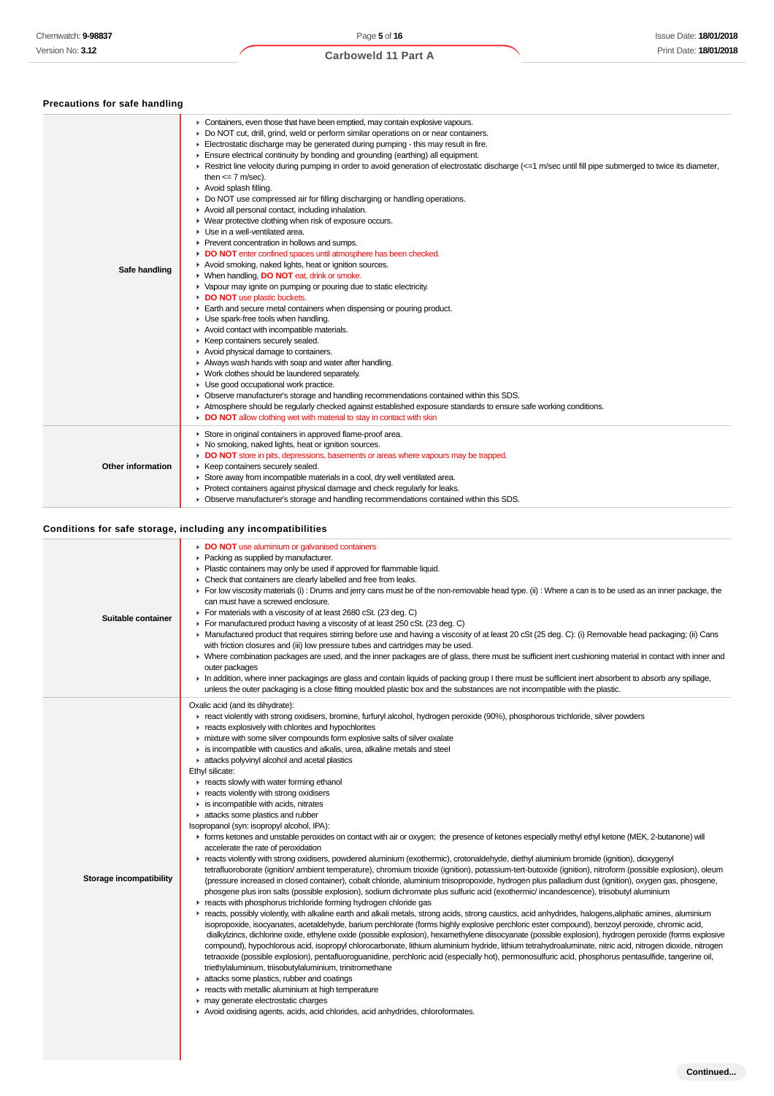| Chemwatch: 9-98837            | Page 5 of 16<br>Issue Date: 18/01/2018                                                                                                                                                                                                                                                                                                                                                                                                                                                                                                                                                                                                                                                                                                                                                                                                                                                                                                                                                                                                                                                                                                                                                                                                                                                                                                                                                                                                                                                                                                                                                                                                                                                                                                                                                                                                                                                                                                                                                                                                                                                                                                                                                                                                                                                                                                                                                                                                                                                                                                                                                                                                                                                    |
|-------------------------------|-------------------------------------------------------------------------------------------------------------------------------------------------------------------------------------------------------------------------------------------------------------------------------------------------------------------------------------------------------------------------------------------------------------------------------------------------------------------------------------------------------------------------------------------------------------------------------------------------------------------------------------------------------------------------------------------------------------------------------------------------------------------------------------------------------------------------------------------------------------------------------------------------------------------------------------------------------------------------------------------------------------------------------------------------------------------------------------------------------------------------------------------------------------------------------------------------------------------------------------------------------------------------------------------------------------------------------------------------------------------------------------------------------------------------------------------------------------------------------------------------------------------------------------------------------------------------------------------------------------------------------------------------------------------------------------------------------------------------------------------------------------------------------------------------------------------------------------------------------------------------------------------------------------------------------------------------------------------------------------------------------------------------------------------------------------------------------------------------------------------------------------------------------------------------------------------------------------------------------------------------------------------------------------------------------------------------------------------------------------------------------------------------------------------------------------------------------------------------------------------------------------------------------------------------------------------------------------------------------------------------------------------------------------------------------------------|
| Version No: <b>3.12</b>       | Print Date: 18/01/2018<br><b>Carboweld 11 Part A</b>                                                                                                                                                                                                                                                                                                                                                                                                                                                                                                                                                                                                                                                                                                                                                                                                                                                                                                                                                                                                                                                                                                                                                                                                                                                                                                                                                                                                                                                                                                                                                                                                                                                                                                                                                                                                                                                                                                                                                                                                                                                                                                                                                                                                                                                                                                                                                                                                                                                                                                                                                                                                                                      |
|                               |                                                                                                                                                                                                                                                                                                                                                                                                                                                                                                                                                                                                                                                                                                                                                                                                                                                                                                                                                                                                                                                                                                                                                                                                                                                                                                                                                                                                                                                                                                                                                                                                                                                                                                                                                                                                                                                                                                                                                                                                                                                                                                                                                                                                                                                                                                                                                                                                                                                                                                                                                                                                                                                                                           |
| Precautions for safe handling |                                                                                                                                                                                                                                                                                                                                                                                                                                                                                                                                                                                                                                                                                                                                                                                                                                                                                                                                                                                                                                                                                                                                                                                                                                                                                                                                                                                                                                                                                                                                                                                                                                                                                                                                                                                                                                                                                                                                                                                                                                                                                                                                                                                                                                                                                                                                                                                                                                                                                                                                                                                                                                                                                           |
| Safe handling                 | • Containers, even those that have been emptied, may contain explosive vapours.<br>Do NOT cut, drill, grind, weld or perform similar operations on or near containers.<br>Electrostatic discharge may be generated during pumping - this may result in fire.<br>Ensure electrical continuity by bonding and grounding (earthing) all equipment.<br>► Restrict line velocity during pumping in order to avoid generation of electrostatic discharge (<=1 m/sec until fill pipe submerged to twice its diameter,<br>then $\leq$ 7 m/sec).<br>Avoid splash filling.<br>▶ Do NOT use compressed air for filling discharging or handling operations.<br>Avoid all personal contact, including inhalation.<br>• Wear protective clothing when risk of exposure occurs.<br>• Use in a well-ventilated area.<br>▶ Prevent concentration in hollows and sumps.<br>DO NOT enter confined spaces until atmosphere has been checked.<br>Avoid smoking, naked lights, heat or ignition sources.<br>▶ When handling, DO NOT eat, drink or smoke.<br>• Vapour may ignite on pumping or pouring due to static electricity.<br>DO NOT use plastic buckets.<br>Earth and secure metal containers when dispensing or pouring product.<br>• Use spark-free tools when handling.<br>Avoid contact with incompatible materials.<br>▶ Keep containers securely sealed.<br>Avoid physical damage to containers.<br>Always wash hands with soap and water after handling.<br>▶ Work clothes should be laundered separately.<br>• Use good occupational work practice.<br>• Observe manufacturer's storage and handling recommendations contained within this SDS.<br>Atmosphere should be regularly checked against established exposure standards to ensure safe working conditions.<br>DO NOT allow clothing wet with material to stay in contact with skin                                                                                                                                                                                                                                                                                                                                                                                                                                                                                                                                                                                                                                                                                                                                                                                                                                                      |
| Other information             | Store in original containers in approved flame-proof area.<br>• No smoking, naked lights, heat or ignition sources.<br>DO NOT store in pits, depressions, basements or areas where vapours may be trapped.<br>► Keep containers securely sealed.<br>Store away from incompatible materials in a cool, dry well ventilated area.<br>• Protect containers against physical damage and check regularly for leaks.<br>• Observe manufacturer's storage and handling recommendations contained within this SDS.                                                                                                                                                                                                                                                                                                                                                                                                                                                                                                                                                                                                                                                                                                                                                                                                                                                                                                                                                                                                                                                                                                                                                                                                                                                                                                                                                                                                                                                                                                                                                                                                                                                                                                                                                                                                                                                                                                                                                                                                                                                                                                                                                                                |
|                               | Conditions for safe storage, including any incompatibilities                                                                                                                                                                                                                                                                                                                                                                                                                                                                                                                                                                                                                                                                                                                                                                                                                                                                                                                                                                                                                                                                                                                                                                                                                                                                                                                                                                                                                                                                                                                                                                                                                                                                                                                                                                                                                                                                                                                                                                                                                                                                                                                                                                                                                                                                                                                                                                                                                                                                                                                                                                                                                              |
| Sultable containel            | DO NOT use aluminium or galvanised containers<br>• Packing as supplied by manufacturer.<br>• Plastic containers may only be used if approved for flammable liquid.<br>• Check that containers are clearly labelled and free from leaks.<br>► For low viscosity materials (i) : Drums and jerry cans must be of the non-removable head type. (ii) : Where a can is to be used as an inner package, the<br>can must have a screwed enclosure.<br>For materials with a viscosity of at least 2680 cSt. (23 deg. C)<br>► For manufactured product having a viscosity of at least 250 cSt. (23 deg. C)<br>• Manufactured product that requires stirring before use and having a viscosity of at least 20 cSt (25 deg. C): (i) Removable head packaging; (ii) Cans<br>with friction closures and (iii) low pressure tubes and cartridges may be used.<br>▶ Where combination packages are used, and the inner packages are of glass, there must be sufficient inert cushioning material in contact with inner and<br>outer packages<br>In addition, where inner packagings are glass and contain liquids of packing group I there must be sufficient inert absorbent to absorb any spillage,<br>unless the outer packaging is a close fitting moulded plastic box and the substances are not incompatible with the plastic.                                                                                                                                                                                                                                                                                                                                                                                                                                                                                                                                                                                                                                                                                                                                                                                                                                                                                                                                                                                                                                                                                                                                                                                                                                                                                                                                                                     |
| Storage incompatibility       | Oxalic acid (and its dihydrate):<br>F react violently with strong oxidisers, bromine, furfuryl alcohol, hydrogen peroxide (90%), phosphorous trichloride, silver powders<br>reacts explosively with chlorites and hypochlorites<br>in mixture with some silver compounds form explosive salts of silver oxalate<br>is incompatible with caustics and alkalis, urea, alkaline metals and steel<br>in attacks polyvinyl alcohol and acetal plastics<br>Ethyl silicate:<br>reacts slowly with water forming ethanol<br>F reacts violently with strong oxidisers<br>$\blacktriangleright$ is incompatible with acids, nitrates<br>in attacks some plastics and rubber<br>Isopropanol (syn: isopropyl alcohol, IPA):<br>F forms ketones and unstable peroxides on contact with air or oxygen; the presence of ketones especially methyl ethyl ketone (MEK, 2-butanone) will<br>accelerate the rate of peroxidation<br>F reacts violently with strong oxidisers, powdered aluminium (exothermic), crotonaldehyde, diethyl aluminium bromide (ignition), dioxygenyl<br>tetrafluoroborate (ignition/ambient temperature), chromium trioxide (ignition), potassium-tert-butoxide (ignition), nitroform (possible explosion), oleum<br>(pressure increased in closed container), cobalt chloride, aluminium triisopropoxide, hydrogen plus palladium dust (ignition), oxygen gas, phosgene,<br>phosgene plus iron salts (possible explosion), sodium dichromate plus sulfuric acid (exothermic/ incandescence), triisobutyl aluminium<br>reacts with phosphorus trichloride forming hydrogen chloride gas<br>reacts, possibly violently, with alkaline earth and alkali metals, strong acids, strong caustics, acid anhydrides, halogens, aliphatic amines, aluminium<br>isopropoxide, isocyanates, acetaldehyde, barium perchlorate (forms highly explosive perchloric ester compound), benzoyl peroxide, chromic acid,<br>dialkylzincs, dichlorine oxide, ethylene oxide (possible explosion), hexamethylene diisocyanate (possible explosion), hydrogen peroxide (forms explosive<br>compound), hypochlorous acid, isopropyl chlorocarbonate, lithium aluminium hydride, lithium tetrahydroaluminate, nitric acid, nitrogen dioxide, nitrogen<br>tetraoxide (possible explosion), pentafluoroguanidine, perchloric acid (especially hot), permonosulfuric acid, phosphorus pentasulfide, tangerine oil,<br>triethylaluminium, triisobutylaluminium, trinitromethane<br>attacks some plastics, rubber and coatings<br>reacts with metallic aluminium at high temperature<br>may generate electrostatic charges<br>Avoid oxidising agents, acids, acid chlorides, acid anhydrides, chloroformates. |

- Oxalic acid (and its dihydrate):
	- react violently with strong oxidisers, bromine, furfuryl alcohol, hydrogen peroxide (90%), phosphorous trichloride, silver powders
	- $\blacktriangleright$  reacts explosively with chlorites and hypochlorites
	- mixture with some silver compounds form explosive salts of silver oxalate
	- $\blacktriangleright$  is incompatible with caustics and alkalis, urea, alkaline metals and steel
- $\triangleright$  attacks polyvinyl alcohol and acetal plastics
- Ethyl silicate:
	- $\blacktriangleright$  reacts slowly with water forming ethanol
	- $\blacktriangleright$  reacts violently with strong oxidisers
	- $\blacktriangleright$  is incompatible with acids, nitrates
- attacks some plastics and rubber
- Isopropanol (syn: isopropyl alcohol, IPA):
- forms ketones and unstable peroxides on contact with air or oxygen; the presence of ketones especially methyl ethyl ketone (MEK, 2-butanone) will accelerate the rate of peroxidation reacts violently with strong oxidisers, powdered aluminium (exothermic), crotonaldehyde, diethyl aluminium bromide (ignition), dioxygenyl
- **Storage incompatibility**

- reacts with phosphorus trichloride forming hydrogen chloride gas
- reacts, possibly violently, with alkaline earth and alkali metals, strong acids, strong caustics, acid anhydrides, halogens,aliphatic amines, aluminium isopropoxide, isocyanates, acetaldehyde, barium perchlorate (forms highly explosive perchloric ester compound), benzoyl peroxide, chromic acid, dialkylzincs, dichlorine oxide, ethylene oxide (possible explosion), hexamethylene diisocyanate (possible explosion), hydrogen peroxide (forms explosive compound), hypochlorous acid, isopropyl chlorocarbonate, lithium aluminium hydride, lithium tetrahydroaluminate, nitric acid, nitrogen dioxide, nitrogen tetraoxide (possible explosion), pentafluoroguanidine, perchloric acid (especially hot), permonosulfuric acid, phosphorus pentasulfide, tangerine oil, triethylaluminium, triisobutylaluminium, trinitromethane
- **attacks some plastics, rubber and coatings**
- $\blacktriangleright$  reacts with metallic aluminium at high temperature
- may generate electrostatic charges
-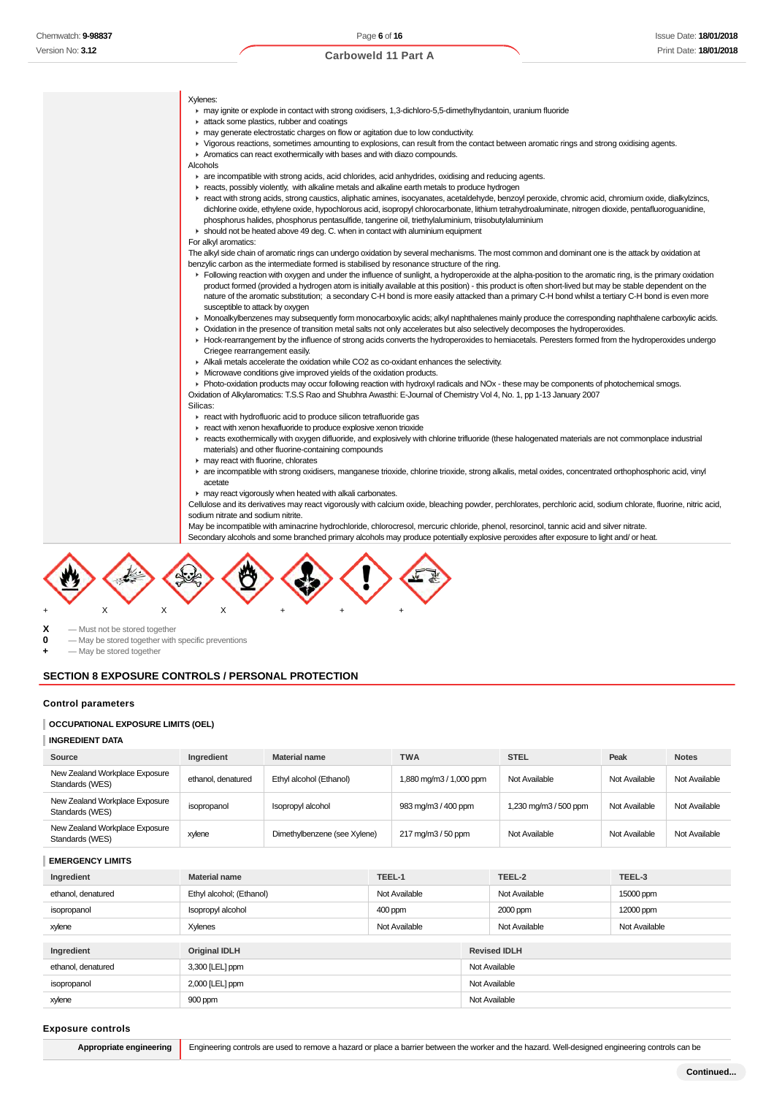| Xvlenes: |  |
|----------|--|
|----------|--|

- may ignite or explode in contact with strong oxidisers, 1,3-dichloro-5,5-dimethylhydantoin, uranium fluoride
- **F** attack some plastics, rubber and coatings
- **F** may generate electrostatic charges on flow or agitation due to low conductivity.
- Vigorous reactions, sometimes amounting to explosions, can result from the contact between aromatic rings and strong oxidising agents.
- Aromatics can react exothermically with bases and with diazo compounds.

Alcohols

- are incompatible with strong acids, acid chlorides, acid anhydrides, oxidising and reducing agents.
- reacts, possibly violently, with alkaline metals and alkaline earth metals to produce hydrogen
- react with strong acids, strong caustics, aliphatic amines, isocyanates, acetaldehyde, benzoyl peroxide, chromic acid, chromium oxide, dialkylzincs, dichlorine oxide, ethylene oxide, hypochlorous acid, isopropyl chlorocarbonate, lithium tetrahydroaluminate, nitrogen dioxide, pentafluoroguanidine, phosphorus halides, phosphorus pentasulfide, tangerine oil, triethylaluminium, triisobutylaluminium
- $\blacktriangleright$  should not be heated above 49 deg. C. when in contact with aluminium equipment
- For alkyl aromatics:

The alkyl side chain of aromatic rings can undergo oxidation by several mechanisms. The most common and dominant one is the attack by oxidation at benzylic carbon as the intermediate formed is stabilised by resonance structure of the ring.

- Following reaction with oxygen and under the influence of sunlight, a hydroperoxide at the alpha-position to the aromatic ring, is the primary oxidation product formed (provided a hydrogen atom is initially available at this position) - this product is often short-lived but may be stable dependent on the nature of the aromatic substitution; a secondary C-H bond is more easily attacked than a primary C-H bond whilst a tertiary C-H bond is even more susceptible to attack by oxygen
- Monoalkylbenzenes may subsequently form monocarboxylic acids; alkyl naphthalenes mainly produce the corresponding naphthalene carboxylic acids.
- ► Oxidation in the presence of transition metal salts not only accelerates but also selectively decomposes the hydroperoxides
	- Hock-rearrangement by the influence of strong acids converts the hydroperoxides to hemiacetals. Peresters formed from the hydroperoxides undergo Criegee rearrangement easily.
- Alkali metals accelerate the oxidation while CO2 as co-oxidant enhances the selectivity.
- **Microwave conditions give improved yields of the oxidation products.**

Photo-oxidation products may occur following reaction with hydroxyl radicals and NOx - these may be components of photochemical smogs. Oxidation of Alkylaromatics: T.S.S Rao and Shubhra Awasthi: E-Journal of Chemistry Vol 4, No. 1, pp 1-13 January 2007

- Silicas:
- **F** react with hydrofluoric acid to produce silicon tetrafluoride gas
- **F** react with xenon hexafluoride to produce explosive xenon trioxide
- reacts exothermically with oxygen difluoride, and explosively with chlorine trifluoride (these halogenated materials are not commonplace industrial materials) and other fluorine-containing compounds
- $\blacktriangleright$  may react with fluorine, chlorates
- are incompatible with strong oxidisers, manganese trioxide, chlorine trioxide, strong alkalis, metal oxides, concentrated orthophosphoric acid, vinyl acetate
- may react vigorously when heated with alkali carbonates.

Cellulose and its derivatives may react vigorously with calcium oxide, bleaching powder, perchlorates, perchloric acid, sodium chlorate, fluorine, nitric acid, sodium nitrate and sodium nitrite.

May be incompatible with aminacrine hydrochloride, chlorocresol, mercuric chloride, phenol, resorcinol, tannic acid and silver nitrate. Secondary alcohols and some branched primary alcohols may produce potentially explosive peroxides after exposure to light and/ or heat.



 $X -$ Must not be stored together<br>  $0 -$ May be stored together with

- May be stored together with specific preventions

**+** — May be stored together

#### **SECTION 8 EXPOSURE CONTROLS / PERSONAL PROTECTION**

#### **Control parameters**

#### **OCCUPATIONAL EXPOSURE LIMITS (OEL)**

#### **INGREDIENT DATA**

| Source                                            | Ingredient         | <b>Material name</b>         | <b>TWA</b>              | <b>STEL</b>           | Peak          | <b>Notes</b>  |
|---------------------------------------------------|--------------------|------------------------------|-------------------------|-----------------------|---------------|---------------|
| New Zealand Workplace Exposure<br>Standards (WES) | ethanol. denatured | Ethyl alcohol (Ethanol)      | 1,880 mg/m3 / 1,000 ppm | Not Available         | Not Available | Not Available |
| New Zealand Workplace Exposure<br>Standards (WES) | isopropanol        | Isopropyl alcohol            | 983 mg/m3 / 400 ppm     | 1,230 mg/m3 / 500 ppm | Not Available | Not Available |
| New Zealand Workplace Exposure<br>Standards (WES) | xylene             | Dimethylbenzene (see Xylene) | 217 mg/m3 / 50 ppm      | Not Available         | Not Available | Not Available |

**EMERGENCY LIMITS**

| Ingredient         | <b>Material name</b>     | TEEL-1        |               | TEEL-2              | TEEL-3        |  |
|--------------------|--------------------------|---------------|---------------|---------------------|---------------|--|
| ethanol, denatured | Ethyl alcohol; (Ethanol) | Not Available |               | Not Available       | 15000 ppm     |  |
| isopropanol        | Isopropyl alcohol        | 400 ppm       |               | 2000 ppm            | 12000 ppm     |  |
| xylene             | Xylenes                  | Not Available |               | Not Available       | Not Available |  |
|                    |                          |               |               |                     |               |  |
| Ingredient         | <b>Original IDLH</b>     |               |               | <b>Revised IDLH</b> |               |  |
| ethanol, denatured | 3,300 [LEL] ppm          |               |               | Not Available       |               |  |
| isopropanol        | 2,000 [LEL] ppm          |               | Not Available |                     |               |  |
| xylene             | 900 ppm                  |               |               | Not Available       |               |  |

#### **Exposure controls**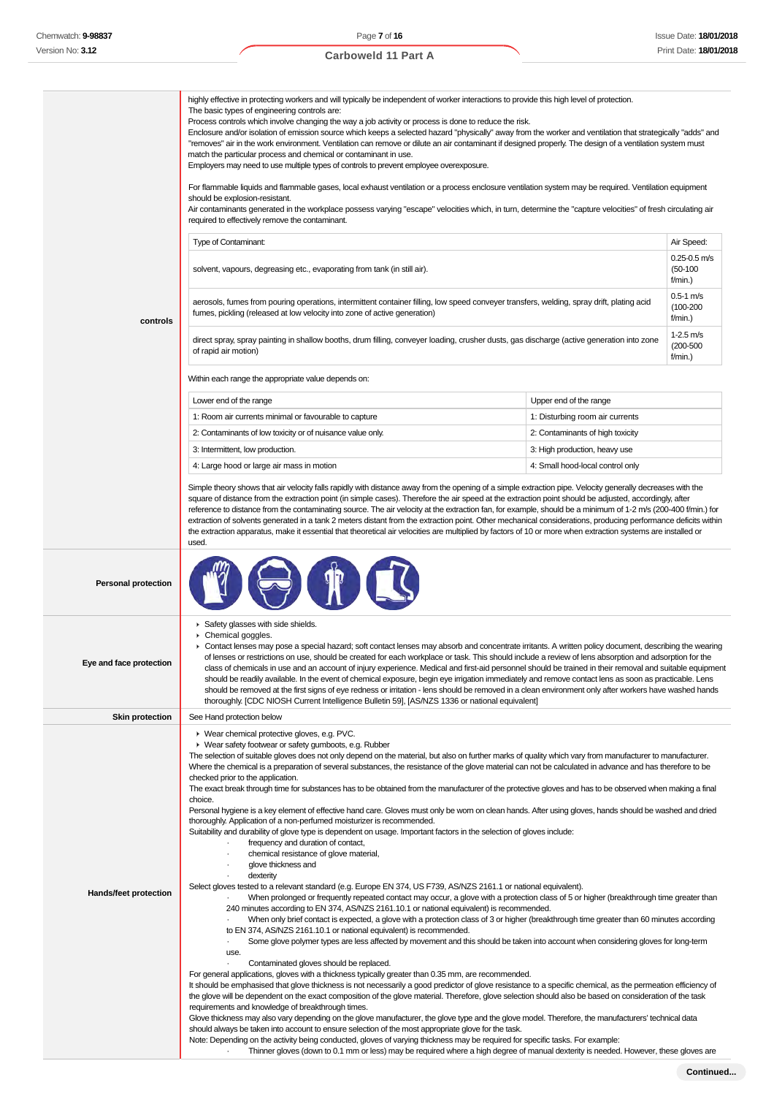#### **controls** highly effective in protecting workers and will typically be independent of worker interactions to provide this high level of protection. The basic types of engineering controls are: Process controls which involve changing the way a job activity or process is done to reduce the risk. Enclosure and/or isolation of emission source which keeps a selected hazard "physically" away from the worker and ventilation that strategically "adds" and "removes" air in the work environment. Ventilation can remove or dilute an air contaminant if designed properly. The design of a ventilation system must match the particular process and chemical or contaminant in use. Employers may need to use multiple types of controls to prevent employee overexposure. For flammable liquids and flammable gases, local exhaust ventilation or a process enclosure ventilation system may be required. Ventilation equipment should be explosion-resistant. Air contaminants generated in the workplace possess varying "escape" velocities which, in turn, determine the "capture velocities" of fresh circulating air required to effectively remove the contaminant. Type of Contaminant: Air Speed: Air Speed: Air Speed: Air Speed: Air Speed: Air Speed: Air Speed: Air Speed: Air Speed: Air Speed: Air Speed: Air Speed: Air Speed: Air Speed: Air Speed: Air Speed: Air Speed: Air Speed: Air solvent, vapours, degreasing etc., evaporating from tank (in still air). 0.25-0.5 m/s (50-100 f/min.) aerosols, fumes from pouring operations, intermittent container filling, low speed conveyer transfers, welding, spray drift, plating acid fumes, pickling (released at low velocity into zone of active generation)  $0.5 - 1 m/s$ (100-200  $f/min$ ) direct spray, spray painting in shallow booths, drum filling, conveyer loading, crusher dusts, gas discharge (active generation into zone of rapid air motion) 1-2.5 m/s (200-500 f/min.) Within each range the appropriate value depends on: Lower end of the range Upper end of the range 1: Room air currents minimal or favourable to capture 1: Disturbing room air currents 2: Contaminants of low toxicity or of nuisance value only. 2: Contaminants of high toxicity 3: Intermittent, low production. The state of the state of the state of the state of the state of the state of the state of the state of the state of the state of the state of the state of the state of the state of the sta 4: Large hood or large air mass in motion 4: Small hood-local control only Simple theory shows that air velocity falls rapidly with distance away from the opening of a simple extraction pipe. Velocity generally decreases with the square of distance from the extraction point (in simple cases). Therefore the air speed at the extraction point should be adjusted, accordingly, after reference to distance from the contaminating source. The air velocity at the extraction fan, for example, should be a minimum of 1-2 m/s (200-400 f/min.) for extraction of solvents generated in a tank 2 meters distant from the extraction point. Other mechanical considerations, producing performance deficits within the extraction apparatus, make it essential that theoretical air velocities are multiplied by factors of 10 or more when extraction systems are installed or used. **Personal protection Eye and face protection** Safety glasses with side shields. Chemical goggles. Contact lenses may pose a special hazard; soft contact lenses may absorb and concentrate irritants. A written policy document, describing the wearing of lenses or restrictions on use, should be created for each workplace or task. This should include a review of lens absorption and adsorption for the class of chemicals in use and an account of injury experience. Medical and first-aid personnel should be trained in their removal and suitable equipment should be readily available. In the event of chemical exposure, begin eye irrigation immediately and remove contact lens as soon as practicable. Lens should be removed at the first signs of eye redness or irritation - lens should be removed in a clean environment only after workers have washed hands thoroughly. [CDC NIOSH Current Intelligence Bulletin 59], [AS/NZS 1336 or national equivalent] **Skin protection** See Hand protection below **Hands/feet protection** Wear chemical protective gloves, e.g. PVC. Wear safety footwear or safety gumboots, e.g. Rubber The selection of suitable gloves does not only depend on the material, but also on further marks of quality which vary from manufacturer to manufacturer. Where the chemical is a preparation of several substances, the resistance of the glove material can not be calculated in advance and has therefore to be checked prior to the application. The exact break through time for substances has to be obtained from the manufacturer of the protective gloves and has to be observed when making a final choice. Personal hygiene is a key element of effective hand care. Gloves must only be worn on clean hands. After using gloves, hands should be washed and dried thoroughly. Application of a non-perfumed moisturizer is recommended. Suitability and durability of glove type is dependent on usage. Important factors in the selection of gloves include: frequency and duration of contact, chemical resistance of glove material, glove thickness and · dexterity Select gloves tested to a relevant standard (e.g. Europe EN 374, US F739, AS/NZS 2161.1 or national equivalent). · When prolonged or frequently repeated contact may occur, a glove with a protection class of 5 or higher (breakthrough time greater than 240 minutes according to EN 374, AS/NZS 2161.10.1 or national equivalent) is recommended. · When only brief contact is expected, a glove with a protection class of 3 or higher (breakthrough time greater than 60 minutes according to EN 374, AS/NZS 2161.10.1 or national equivalent) is recommended. Some glove polymer types are less affected by movement and this should be taken into account when considering gloves for long-term use. Contaminated gloves should be replaced. For general applications, gloves with a thickness typically greater than 0.35 mm, are recommended. It should be emphasised that glove thickness is not necessarily a good predictor of glove resistance to a specific chemical, as the permeation efficiency of the glove will be dependent on the exact composition of the glove material. Therefore, glove selection should also be based on consideration of the task requirements and knowledge of breakthrough times. Glove thickness may also vary depending on the glove manufacturer, the glove type and the glove model. Therefore, the manufacturers' technical data should always be taken into account to ensure selection of the most appropriate glove for the task.

Note: Depending on the activity being conducted, gloves of varying thickness may be required for specific tasks. For example:

· Thinner gloves (down to 0.1 mm or less) may be required where a high degree of manual dexterity is needed. However, these gloves are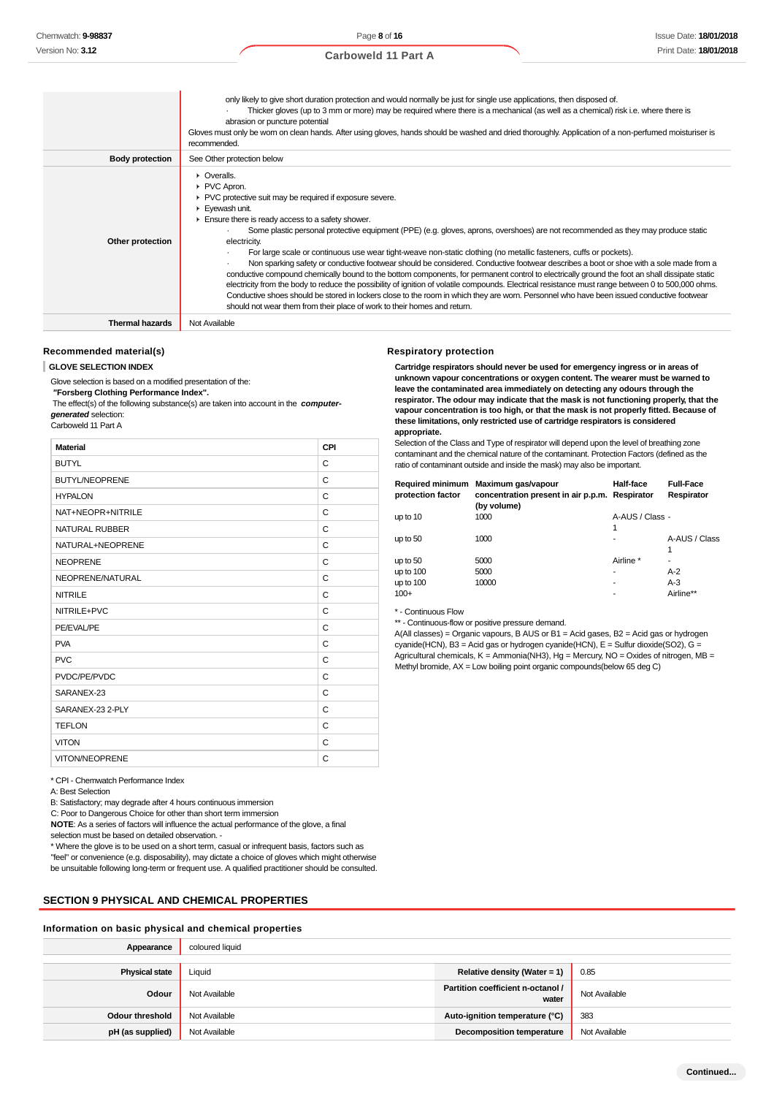|                        | only likely to give short duration protection and would normally be just for single use applications, then disposed of.<br>Thicker gloves (up to 3 mm or more) may be required where there is a mechanical (as well as a chemical) risk i.e. where there is<br>abrasion or puncture potential<br>Gloves must only be wom on clean hands. After using gloves, hands should be washed and dried thoroughly. Application of a non-perfumed moisturiser is<br>recommended.                                                                                                                                                                                                                                                                                                                                                                                                                                                                                                                                                                                                                                         |
|------------------------|----------------------------------------------------------------------------------------------------------------------------------------------------------------------------------------------------------------------------------------------------------------------------------------------------------------------------------------------------------------------------------------------------------------------------------------------------------------------------------------------------------------------------------------------------------------------------------------------------------------------------------------------------------------------------------------------------------------------------------------------------------------------------------------------------------------------------------------------------------------------------------------------------------------------------------------------------------------------------------------------------------------------------------------------------------------------------------------------------------------|
| <b>Body protection</b> | See Other protection below                                                                                                                                                                                                                                                                                                                                                                                                                                                                                                                                                                                                                                                                                                                                                                                                                                                                                                                                                                                                                                                                                     |
| Other protection       | • Overalls.<br>PVC Apron.<br>▶ PVC protective suit may be required if exposure severe.<br>Eyewash unit.<br>Ensure there is ready access to a safety shower.<br>Some plastic personal protective equipment (PPE) (e.g. gloves, aprons, overshoes) are not recommended as they may produce static<br>electricity.<br>For large scale or continuous use wear tight-weave non-static clothing (no metallic fasteners, cuffs or pockets).<br>Non sparking safety or conductive footwear should be considered. Conductive footwear describes a boot or shoe with a sole made from a<br>conductive compound chemically bound to the bottom components, for permanent control to electrically ground the foot an shall dissipate static<br>electricity from the body to reduce the possibility of ignition of volatile compounds. Electrical resistance must range between 0 to 500,000 ohms.<br>Conductive shoes should be stored in lockers close to the room in which they are worn. Personnel who have been issued conductive footwear<br>should not wear them from their place of work to their homes and return. |
| <b>Thermal hazards</b> | Not Available                                                                                                                                                                                                                                                                                                                                                                                                                                                                                                                                                                                                                                                                                                                                                                                                                                                                                                                                                                                                                                                                                                  |

# **Recommended material(s)**

#### **GLOVE SELECTION INDEX**

Glove selection is based on a modified presentation of the:

 **"Forsberg Clothing Performance Index".**

 The effect(s) of the following substance(s) are taken into account in the **computergenerated** selection:

Carboweld 11 Part A

| <b>Material</b>       | CPI |
|-----------------------|-----|
| <b>BUTYL</b>          | C   |
| <b>BUTYL/NEOPRENE</b> | C   |
| <b>HYPALON</b>        | C   |
| NAT+NEOPR+NITRILE     | C   |
| NATURAL RUBBER        | C   |
| NATURAL+NEOPRENE      | C   |
| <b>NEOPRENE</b>       | C   |
| NEOPRENE/NATURAL      | C   |
| <b>NITRILE</b>        | C   |
| NITRILE+PVC           | C   |
| PE/EVAL/PE            | C   |
| <b>PVA</b>            | C   |
| <b>PVC</b>            | C   |
| PVDC/PE/PVDC          | C   |
| SARANEX-23            | C   |
| SARANEX-23 2-PLY      | C   |
| <b>TEFLON</b>         | C   |
| <b>VITON</b>          | C   |
| <b>VITON/NEOPRENE</b> | C   |

\* CPI - Chemwatch Performance Index

A: Best Selection

B: Satisfactory; may degrade after 4 hours continuous immersion

C: Poor to Dangerous Choice for other than short term immersion

**NOTE**: As a series of factors will influence the actual performance of the glove, a final selection must be based on detailed observation. -

\* Where the glove is to be used on a short term, casual or infrequent basis, factors such as "feel" or convenience (e.g. disposability), may dictate a choice of gloves which might otherwise be unsuitable following long-term or frequent use. A qualified practitioner should be consulted.

## **SECTION 9 PHYSICAL AND CHEMICAL PROPERTIES**

#### **Information on basic physical and chemical properties**

| Appearance            | coloured liquid |                                            |               |
|-----------------------|-----------------|--------------------------------------------|---------------|
|                       |                 |                                            |               |
| <b>Physical state</b> | Liauid          | Relative density (Water = 1)               | 0.85          |
| Odour                 | Not Available   | Partition coefficient n-octanol /<br>water | Not Available |
| Odour threshold       | Not Available   | Auto-ignition temperature (°C)             | 383           |
| pH (as supplied)      | Not Available   | <b>Decomposition temperature</b>           | Not Available |

#### **Respiratory protection**

**Cartridge respirators should never be used for emergency ingress or in areas of unknown vapour concentrations or oxygen content. The wearer must be warned to leave the contaminated area immediately on detecting any odours through the respirator. The odour may indicate that the mask is not functioning properly, that the vapour concentration is too high, or that the mask is not properly fitted. Because of these limitations, only restricted use of cartridge respirators is considered appropriate.**

Selection of the Class and Type of respirator will depend upon the level of breathing zone contaminant and the chemical nature of the contaminant. Protection Factors (defined as the ratio of contaminant outside and inside the mask) may also be important.

| protection factor | Required minimum Maximum gas/vapour<br>concentration present in air p.p.m. Respirator | Half-face       | <b>Full-Face</b><br>Respirator |
|-------------------|---------------------------------------------------------------------------------------|-----------------|--------------------------------|
|                   | (by volume)                                                                           |                 |                                |
| up to 10          | 1000                                                                                  | A-AUS / Class - |                                |
|                   |                                                                                       | 1               |                                |
| up to 50          | 1000                                                                                  |                 | A-AUS / Class                  |
|                   |                                                                                       |                 | 1                              |
| up to 50          | 5000                                                                                  | Airline *       |                                |
| up to 100         | 5000                                                                                  |                 | $A-2$                          |
| up to 100         | 10000                                                                                 |                 | A-3                            |
| $100+$            |                                                                                       |                 | Airline**                      |
|                   |                                                                                       |                 |                                |

\* - Continuous Flow

\*\* - Continuous-flow or positive pressure demand.

A(All classes) = Organic vapours, B AUS or B1 = Acid gases, B2 = Acid gas or hydrogen cyanide(HCN), B3 = Acid gas or hydrogen cyanide(HCN), E = Sulfur dioxide(SO2), G = Agricultural chemicals, K = Ammonia(NH3), Hg = Mercury, NO = Oxides of nitrogen, MB = Methyl bromide, AX = Low boiling point organic compounds(below 65 deg C)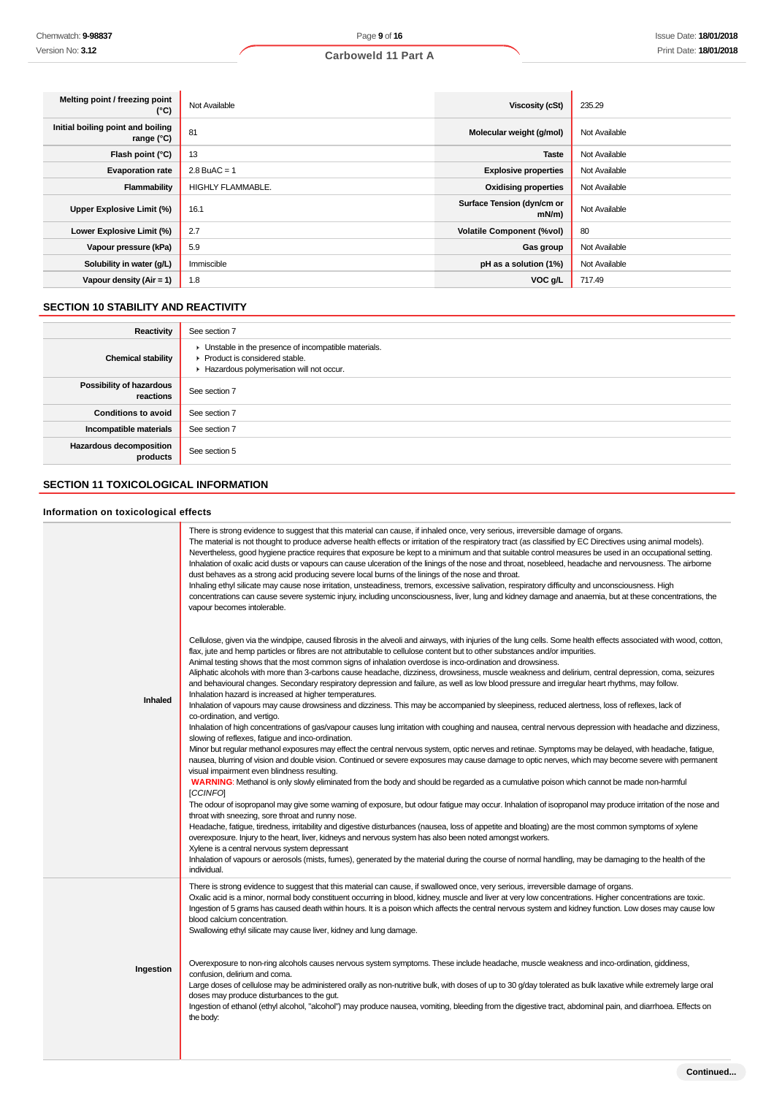| Melting point / freezing point<br>(°C)          | Not Available     | Viscosity (cSt)                        | 235.29        |
|-------------------------------------------------|-------------------|----------------------------------------|---------------|
| Initial boiling point and boiling<br>range (°C) | 81                | Molecular weight (g/mol)               | Not Available |
| Flash point (°C)                                | 13                | <b>Taste</b>                           | Not Available |
| <b>Evaporation rate</b>                         | $2.8$ BuAC = 1    | <b>Explosive properties</b>            | Not Available |
| Flammability                                    | HIGHLY FLAMMABLE. | <b>Oxidising properties</b>            | Not Available |
| Upper Explosive Limit (%)                       | 16.1              | Surface Tension (dyn/cm or<br>$mN/m$ ) | Not Available |
| Lower Explosive Limit (%)                       | 2.7               | <b>Volatile Component (%vol)</b>       | 80            |
| Vapour pressure (kPa)                           | 5.9               | Gas group                              | Not Available |
| Solubility in water (g/L)                       | Immiscible        | pH as a solution (1%)                  | Not Available |
| Vapour density $(Air = 1)$                      | 1.8               | VOC g/L                                | 717.49        |

# **SECTION 10 STABILITY AND REACTIVITY**

| Reactivity                                   | See section 7                                                                                                                        |
|----------------------------------------------|--------------------------------------------------------------------------------------------------------------------------------------|
| <b>Chemical stability</b>                    | • Unstable in the presence of incompatible materials.<br>▶ Product is considered stable.<br>Hazardous polymerisation will not occur. |
| <b>Possibility of hazardous</b><br>reactions | See section 7                                                                                                                        |
| <b>Conditions to avoid</b>                   | See section 7                                                                                                                        |
| Incompatible materials                       | See section 7                                                                                                                        |
| Hazardous decomposition<br>products          | See section 5                                                                                                                        |

# **SECTION 11 TOXICOLOGICAL INFORMATION**

# **Information on toxicological effects**

|           | There is strong evidence to suggest that this material can cause, if inhaled once, very serious, irreversible damage of organs.<br>The material is not thought to produce adverse health effects or irritation of the respiratory tract (as classified by EC Directives using animal models).<br>Nevertheless, good hygiene practice requires that exposure be kept to a minimum and that suitable control measures be used in an occupational setting.<br>Inhalation of oxalic acid dusts or vapours can cause ulceration of the linings of the nose and throat, nosebleed, headache and nervousness. The airborne<br>dust behaves as a strong acid producing severe local burns of the linings of the nose and throat.<br>Inhaling ethyl silicate may cause nose irritation, unsteadiness, tremors, excessive salivation, respiratory difficulty and unconsciousness. High<br>concentrations can cause severe systemic injury, including unconsciousness, liver, lung and kidney damage and anaemia, but at these concentrations, the<br>vapour becomes intolerable.                                                                                                                                                                                                                                                                                                                                                                   |
|-----------|------------------------------------------------------------------------------------------------------------------------------------------------------------------------------------------------------------------------------------------------------------------------------------------------------------------------------------------------------------------------------------------------------------------------------------------------------------------------------------------------------------------------------------------------------------------------------------------------------------------------------------------------------------------------------------------------------------------------------------------------------------------------------------------------------------------------------------------------------------------------------------------------------------------------------------------------------------------------------------------------------------------------------------------------------------------------------------------------------------------------------------------------------------------------------------------------------------------------------------------------------------------------------------------------------------------------------------------------------------------------------------------------------------------------------------------|
| Inhaled   | Cellulose, given via the windpipe, caused fibrosis in the alveoli and airways, with injuries of the lung cells. Some health effects associated with wood, cotton,<br>flax, jute and hemp particles or fibres are not attributable to cellulose content but to other substances and/or impurities.<br>Animal testing shows that the most common signs of inhalation overdose is inco-ordination and drowsiness.<br>Aliphatic alcohols with more than 3-carbons cause headache, dizziness, drowsiness, muscle weakness and delirium, central depression, coma, seizures<br>and behavioural changes. Secondary respiratory depression and failure, as well as low blood pressure and irregular heart rhythms, may follow.<br>Inhalation hazard is increased at higher temperatures.<br>Inhalation of vapours may cause drowsiness and dizziness. This may be accompanied by sleepiness, reduced alertness, loss of reflexes, lack of<br>co-ordination, and vertigo.                                                                                                                                                                                                                                                                                                                                                                                                                                                                         |
|           | Inhalation of high concentrations of gas/vapour causes lung irritation with coughing and nausea, central nervous depression with headache and dizziness,<br>slowing of reflexes, fatigue and inco-ordination.<br>Minor but regular methanol exposures may effect the central nervous system, optic nerves and retinae. Symptoms may be delayed, with headache, fatigue,<br>nausea, blurring of vision and double vision. Continued or severe exposures may cause damage to optic nerves, which may become severe with permanent<br>visual impairment even blindness resulting.<br>WARNING: Methanol is only slowly eliminated from the body and should be regarded as a cumulative poison which cannot be made non-harmful<br>[CCINFO]<br>The odour of isopropanol may give some warning of exposure, but odour fatigue may occur. Inhalation of isopropanol may produce irritation of the nose and<br>throat with sneezing, sore throat and runny nose.<br>Headache, fatigue, tiredness, irritability and digestive disturbances (nausea, loss of appetite and bloating) are the most common symptoms of xylene<br>overexposure. Injury to the heart, liver, kidneys and nervous system has also been noted amongst workers.<br>Xylene is a central nervous system depressant<br>Inhalation of vapours or aerosols (mists, fumes), generated by the material during the course of normal handling, may be damaging to the health of the |
|           | individual.<br>There is strong evidence to suggest that this material can cause, if swallowed once, very serious, irreversible damage of organs.                                                                                                                                                                                                                                                                                                                                                                                                                                                                                                                                                                                                                                                                                                                                                                                                                                                                                                                                                                                                                                                                                                                                                                                                                                                                                         |
|           | Oxalic acid is a minor, normal body constituent occurring in blood, kidney, muscle and liver at very low concentrations. Higher concentrations are toxic.<br>Ingestion of 5 grams has caused death within hours. It is a poison which affects the central nervous system and kidney function. Low doses may cause low<br>blood calcium concentration.<br>Swallowing ethyl silicate may cause liver, kidney and lung damage.                                                                                                                                                                                                                                                                                                                                                                                                                                                                                                                                                                                                                                                                                                                                                                                                                                                                                                                                                                                                              |
| Ingestion | Overexposure to non-ring alcohols causes nervous system symptoms. These include headache, muscle weakness and inco-ordination, giddiness,<br>confusion, delirium and coma.<br>Large doses of cellulose may be administered orally as non-nutritive bulk, with doses of up to 30 g/day tolerated as bulk laxative while extremely large oral<br>doses may produce disturbances to the gut.<br>Ingestion of ethanol (ethyl alcohol, "alcohol") may produce nausea, vomiting, bleeding from the digestive tract, abdominal pain, and diarrhoea. Effects on<br>the body:                                                                                                                                                                                                                                                                                                                                                                                                                                                                                                                                                                                                                                                                                                                                                                                                                                                                     |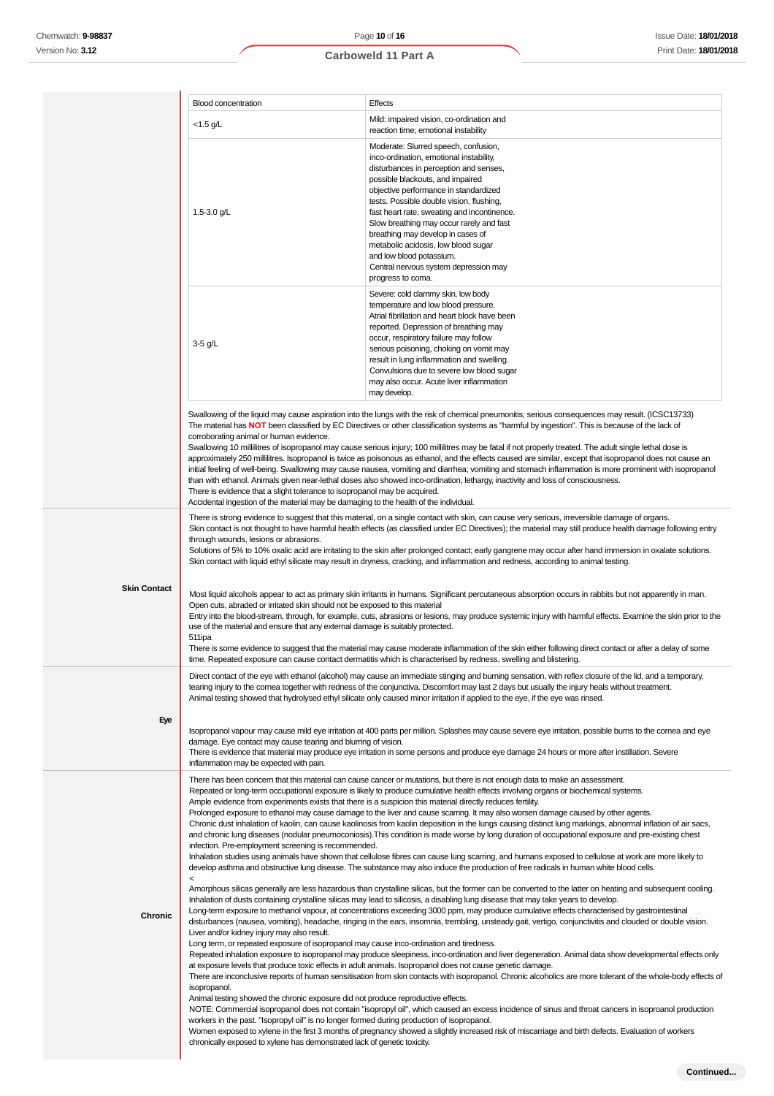|                     | <b>Blood concentration</b>                                                                                                                                                                                                                                                                                                                                                                                                                                                                                                                                                                           | Effects                                                                                                                                                                                                                                                                                                                                                                                                                                                                                                                                                                                                                                                                                                                                                                                                                                                                                                                                                                                                                                                                                                                                                                                                                                                                                                                                                                                                                                                                                                                                                                                                                                                                                                                                                                                                                                                                                                                                                                                                                                                                                                                                                                                                                                                                                                                                                                                                  |
|---------------------|------------------------------------------------------------------------------------------------------------------------------------------------------------------------------------------------------------------------------------------------------------------------------------------------------------------------------------------------------------------------------------------------------------------------------------------------------------------------------------------------------------------------------------------------------------------------------------------------------|----------------------------------------------------------------------------------------------------------------------------------------------------------------------------------------------------------------------------------------------------------------------------------------------------------------------------------------------------------------------------------------------------------------------------------------------------------------------------------------------------------------------------------------------------------------------------------------------------------------------------------------------------------------------------------------------------------------------------------------------------------------------------------------------------------------------------------------------------------------------------------------------------------------------------------------------------------------------------------------------------------------------------------------------------------------------------------------------------------------------------------------------------------------------------------------------------------------------------------------------------------------------------------------------------------------------------------------------------------------------------------------------------------------------------------------------------------------------------------------------------------------------------------------------------------------------------------------------------------------------------------------------------------------------------------------------------------------------------------------------------------------------------------------------------------------------------------------------------------------------------------------------------------------------------------------------------------------------------------------------------------------------------------------------------------------------------------------------------------------------------------------------------------------------------------------------------------------------------------------------------------------------------------------------------------------------------------------------------------------------------------------------------------|
|                     | $<$ 1.5 g/L                                                                                                                                                                                                                                                                                                                                                                                                                                                                                                                                                                                          | Mild: impaired vision, co-ordination and<br>reaction time; emotional instability                                                                                                                                                                                                                                                                                                                                                                                                                                                                                                                                                                                                                                                                                                                                                                                                                                                                                                                                                                                                                                                                                                                                                                                                                                                                                                                                                                                                                                                                                                                                                                                                                                                                                                                                                                                                                                                                                                                                                                                                                                                                                                                                                                                                                                                                                                                         |
|                     | 1.5-3.0 $g/L$                                                                                                                                                                                                                                                                                                                                                                                                                                                                                                                                                                                        | Moderate: Slurred speech, confusion,<br>inco-ordination, emotional instability,<br>disturbances in perception and senses,<br>possible blackouts, and impaired<br>objective performance in standardized<br>tests. Possible double vision, flushing,<br>fast heart rate, sweating and incontinence.<br>Slow breathing may occur rarely and fast<br>breathing may develop in cases of<br>metabolic acidosis, low blood sugar<br>and low blood potassium.<br>Central nervous system depression may<br>progress to coma.                                                                                                                                                                                                                                                                                                                                                                                                                                                                                                                                                                                                                                                                                                                                                                                                                                                                                                                                                                                                                                                                                                                                                                                                                                                                                                                                                                                                                                                                                                                                                                                                                                                                                                                                                                                                                                                                                      |
|                     | $3-5$ g/L                                                                                                                                                                                                                                                                                                                                                                                                                                                                                                                                                                                            | Severe: cold clammy skin, low body<br>temperature and low blood pressure.<br>Atrial fibrillation and heart block have been<br>reported. Depression of breathing may<br>occur, respiratory failure may follow<br>serious poisoning, choking on vomit may<br>result in lung inflammation and swelling.<br>Convulsions due to severe low blood sugar<br>may also occur. Acute liver inflammation<br>may develop.                                                                                                                                                                                                                                                                                                                                                                                                                                                                                                                                                                                                                                                                                                                                                                                                                                                                                                                                                                                                                                                                                                                                                                                                                                                                                                                                                                                                                                                                                                                                                                                                                                                                                                                                                                                                                                                                                                                                                                                            |
|                     | corroborating animal or human evidence.<br>There is evidence that a slight tolerance to isopropanol may be acquired.<br>Accidental ingestion of the material may be damaging to the health of the individual.                                                                                                                                                                                                                                                                                                                                                                                        | Swallowing of the liquid may cause aspiration into the lungs with the risk of chemical pneumonitis; serious consequences may result. (ICSC13733)<br>The material has NOT been classified by EC Directives or other classification systems as "harmful by ingestion". This is because of the lack of<br>Swallowing 10 millilitres of isopropanol may cause serious injury; 100 millilitres may be fatal if not properly treated. The adult single lethal dose is<br>approximately 250 millilitres. Isopropanol is twice as poisonous as ethanol, and the effects caused are similar, except that isopropanol does not cause an<br>initial feeling of well-being. Swallowing may cause nausea, vomiting and diarrhea; vomiting and stomach inflammation is more prominent with isopropanol<br>than with ethanol. Animals given near-lethal doses also showed inco-ordination, lethargy, inactivity and loss of consciousness.                                                                                                                                                                                                                                                                                                                                                                                                                                                                                                                                                                                                                                                                                                                                                                                                                                                                                                                                                                                                                                                                                                                                                                                                                                                                                                                                                                                                                                                                              |
|                     | through wounds, lesions or abrasions.                                                                                                                                                                                                                                                                                                                                                                                                                                                                                                                                                                | There is strong evidence to suggest that this material, on a single contact with skin, can cause very serious, irreversible damage of organs.<br>Skin contact is not thought to have harmful health effects (as classified under EC Directives); the material may still produce health damage following entry<br>Solutions of 5% to 10% oxalic acid are irritating to the skin after prolonged contact; early gangrene may occur after hand immersion in oxalate solutions.<br>Skin contact with liquid ethyl silicate may result in dryness, cracking, and inflammation and redness, according to animal testing.                                                                                                                                                                                                                                                                                                                                                                                                                                                                                                                                                                                                                                                                                                                                                                                                                                                                                                                                                                                                                                                                                                                                                                                                                                                                                                                                                                                                                                                                                                                                                                                                                                                                                                                                                                                       |
| <b>Skin Contact</b> | Open cuts, abraded or irritated skin should not be exposed to this material<br>use of the material and ensure that any external damage is suitably protected.<br>511ipa                                                                                                                                                                                                                                                                                                                                                                                                                              | Most liquid alcohols appear to act as primary skin irritants in humans. Significant percutaneous absorption occurs in rabbits but not apparently in man.<br>Entry into the blood-stream, through, for example, cuts, abrasions or lesions, may produce systemic injury with harmful effects. Examine the skin prior to the<br>There is some evidence to suggest that the material may cause moderate inflammation of the skin either following direct contact or after a delay of some<br>time. Repeated exposure can cause contact dermatitis which is characterised by redness, swelling and blistering.                                                                                                                                                                                                                                                                                                                                                                                                                                                                                                                                                                                                                                                                                                                                                                                                                                                                                                                                                                                                                                                                                                                                                                                                                                                                                                                                                                                                                                                                                                                                                                                                                                                                                                                                                                                               |
|                     |                                                                                                                                                                                                                                                                                                                                                                                                                                                                                                                                                                                                      | Direct contact of the eye with ethanol (alcohol) may cause an immediate stinging and burning sensation, with reflex closure of the lid, and a temporary,<br>tearing injury to the comea together with redness of the conjunctiva. Discomfort may last 2 days but usually the injury heals without treatment.<br>Animal testing showed that hydrolysed ethyl silicate only caused minor irritation if applied to the eye, if the eye was rinsed.                                                                                                                                                                                                                                                                                                                                                                                                                                                                                                                                                                                                                                                                                                                                                                                                                                                                                                                                                                                                                                                                                                                                                                                                                                                                                                                                                                                                                                                                                                                                                                                                                                                                                                                                                                                                                                                                                                                                                          |
| Eye                 | damage. Eye contact may cause tearing and blurring of vision.<br>inflammation may be expected with pain.                                                                                                                                                                                                                                                                                                                                                                                                                                                                                             | Isopropanol vapour may cause mild eye irritation at 400 parts per million. Splashes may cause severe eye irritation, possible burns to the cornea and eye<br>There is evidence that material may produce eye irritation in some persons and produce eye damage 24 hours or more after instillation. Severe                                                                                                                                                                                                                                                                                                                                                                                                                                                                                                                                                                                                                                                                                                                                                                                                                                                                                                                                                                                                                                                                                                                                                                                                                                                                                                                                                                                                                                                                                                                                                                                                                                                                                                                                                                                                                                                                                                                                                                                                                                                                                               |
| Chronic             | Ample evidence from experiments exists that there is a suspicion this material directly reduces fertility.<br>infection. Pre-employment screening is recommended.<br>$\,<\,$<br>Liver and/or kidney injury may also result.<br>Long term, or repeated exposure of isopropanol may cause inco-ordination and tiredness.<br>isopropanol.<br>Animal testing showed the chronic exposure did not produce reproductive effects.<br>workers in the past. "Isopropyl oil" is no longer formed during production of isopropanol.<br>chronically exposed to xylene has demonstrated lack of genetic toxicity. | There has been concern that this material can cause cancer or mutations, but there is not enough data to make an assessment.<br>Repeated or long-term occupational exposure is likely to produce cumulative health effects involving organs or biochemical systems.<br>Prolonged exposure to ethanol may cause damage to the liver and cause scarring. It may also worsen damage caused by other agents.<br>Chronic dust inhalation of kaolin, can cause kaolinosis from kaolin deposition in the lungs causing distinct lung markings, abnormal inflation of air sacs,<br>and chronic lung diseases (nodular pneumoconiosis). This condition is made worse by long duration of occupational exposure and pre-existing chest<br>Inhalation studies using animals have shown that cellulose fibres can cause lung scarring, and humans exposed to cellulose at work are more likely to<br>develop asthma and obstructive lung disease. The substance may also induce the production of free radicals in human white blood cells.<br>Amorphous silicas generally are less hazardous than crystalline silicas, but the former can be converted to the latter on heating and subsequent cooling.<br>Inhalation of dusts containing crystalline silicas may lead to silicosis, a disabling lung disease that may take years to develop.<br>Long-term exposure to methanol vapour, at concentrations exceeding 3000 ppm, may produce cumulative effects characterised by gastrointestinal<br>disturbances (nausea, vomiting), headache, ringing in the ears, insomnia, trembling, unsteady gait, vertigo, conjunctivitis and clouded or double vision.<br>Repeated inhalation exposure to isopropanol may produce sleepiness, inco-ordination and liver degeneration. Animal data show developmental effects only<br>at exposure levels that produce toxic effects in adult animals. Isopropanol does not cause genetic damage.<br>There are inconclusive reports of human sensitisation from skin contacts with isopropanol. Chronic alcoholics are more tolerant of the whole-body effects of<br>NOTE: Commercial isopropanol does not contain "isopropyl oil", which caused an excess incidence of sinus and throat cancers in isoproanol production<br>Women exposed to xylene in the first 3 months of pregnancy showed a slightly increased risk of miscarriage and birth defects. Evaluation of workers |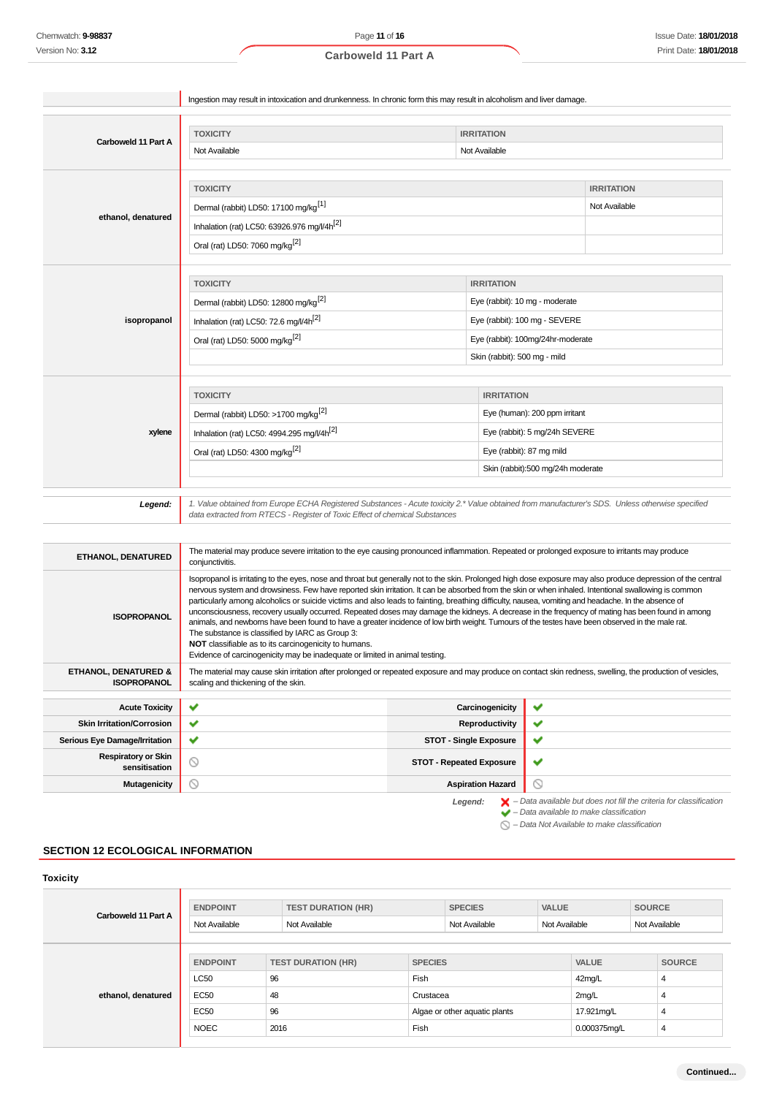|                                             | Ingestion may result in intoxication and drunkenness. In chronic form this may result in alcoholism and liver damage.                                                                               |                                 |                                                                                                                                                               |
|---------------------------------------------|-----------------------------------------------------------------------------------------------------------------------------------------------------------------------------------------------------|---------------------------------|---------------------------------------------------------------------------------------------------------------------------------------------------------------|
|                                             |                                                                                                                                                                                                     |                                 |                                                                                                                                                               |
|                                             | <b>TOXICITY</b>                                                                                                                                                                                     | <b>IRRITATION</b>               |                                                                                                                                                               |
| Carboweld 11 Part A                         | Not Available                                                                                                                                                                                       | Not Available                   |                                                                                                                                                               |
|                                             |                                                                                                                                                                                                     |                                 |                                                                                                                                                               |
|                                             | <b>TOXICITY</b>                                                                                                                                                                                     |                                 | <b>IRRITATION</b>                                                                                                                                             |
|                                             | Dermal (rabbit) LD50: 17100 mg/kg <sup>[1]</sup>                                                                                                                                                    |                                 | Not Available                                                                                                                                                 |
| ethanol, denatured                          | Inhalation (rat) LC50: 63926.976 mg/l/4h <sup>[2]</sup>                                                                                                                                             |                                 |                                                                                                                                                               |
|                                             | Oral (rat) LD50: 7060 mg/kg <sup>[2]</sup>                                                                                                                                                          |                                 |                                                                                                                                                               |
|                                             |                                                                                                                                                                                                     |                                 |                                                                                                                                                               |
|                                             | <b>TOXICITY</b>                                                                                                                                                                                     |                                 |                                                                                                                                                               |
|                                             |                                                                                                                                                                                                     | <b>IRRITATION</b>               |                                                                                                                                                               |
|                                             | Dermal (rabbit) LD50: 12800 mg/kg <sup>[2]</sup>                                                                                                                                                    |                                 | Eye (rabbit): 10 mg - moderate                                                                                                                                |
| isopropanol                                 | Inhalation (rat) LC50: 72.6 mg/l/4h <sup>[2]</sup>                                                                                                                                                  |                                 | Eye (rabbit): 100 mg - SEVERE                                                                                                                                 |
|                                             | Oral (rat) LD50: 5000 mg/kg <sup>[2]</sup>                                                                                                                                                          |                                 | Eye (rabbit): 100mg/24hr-moderate                                                                                                                             |
|                                             |                                                                                                                                                                                                     |                                 | Skin (rabbit): 500 mg - mild                                                                                                                                  |
|                                             |                                                                                                                                                                                                     |                                 |                                                                                                                                                               |
|                                             | <b>TOXICITY</b>                                                                                                                                                                                     |                                 | <b>IRRITATION</b>                                                                                                                                             |
|                                             | Dermal (rabbit) LD50: >1700 mg/kg <sup>[2]</sup>                                                                                                                                                    | Eye (human): 200 ppm irritant   |                                                                                                                                                               |
| xylene                                      | Inhalation (rat) LC50: 4994.295 mg/l/4h <sup>[2]</sup>                                                                                                                                              |                                 | Eye (rabbit): 5 mg/24h SEVERE                                                                                                                                 |
|                                             | Oral (rat) LD50: 4300 mg/kg <sup>[2]</sup>                                                                                                                                                          |                                 | Eye (rabbit): 87 mg mild                                                                                                                                      |
|                                             |                                                                                                                                                                                                     |                                 | Skin (rabbit):500 mg/24h moderate                                                                                                                             |
|                                             |                                                                                                                                                                                                     |                                 |                                                                                                                                                               |
| Legend:                                     | data extracted from RTECS - Register of Toxic Effect of chemical Substances                                                                                                                         |                                 | 1. Value obtained from Europe ECHA Registered Substances - Acute toxicity 2.* Value obtained from manufacturer's SDS. Unless otherwise specified              |
|                                             |                                                                                                                                                                                                     |                                 |                                                                                                                                                               |
| <b>ETHANOL, DENATURED</b>                   | The material may produce severe irritation to the eye causing pronounced inflammation. Repeated or prolonged exposure to irritants may produce<br>conjunctivitis.                                   |                                 |                                                                                                                                                               |
|                                             |                                                                                                                                                                                                     |                                 | Isopropanol is irritating to the eyes, nose and throat but generally not to the skin. Prolonged high dose exposure may also produce depression of the central |
|                                             |                                                                                                                                                                                                     |                                 | nervous system and drowsiness. Few have reported skin irritation. It can be absorbed from the skin or when inhaled. Intentional swallowing is common          |
| <b>ISOPROPANOL</b>                          | particularly among alcoholics or suicide victims and also leads to fainting, breathing difficulty, nausea, vomiting and headache. In the absence of                                                 |                                 | unconsciousness, recovery usually occurred. Repeated doses may damage the kidneys. A decrease in the frequency of mating has been found in among              |
|                                             | animals, and newborns have been found to have a greater incidence of low birth weight. Tumours of the testes have been observed in the male rat.<br>The substance is classified by IARC as Group 3: |                                 |                                                                                                                                                               |
|                                             | <b>NOT</b> classifiable as to its carcinogenicity to humans.                                                                                                                                        |                                 |                                                                                                                                                               |
| <b>ETHANOL, DENATURED &amp;</b>             | Evidence of carcinogenicity may be inadequate or limited in animal testing.                                                                                                                         |                                 | The material may cause skin irritation after prolonged or repeated exposure and may produce on contact skin redness, swelling, the production of vesicles,    |
| <b>ISOPROPANOL</b>                          | scaling and thickening of the skin.                                                                                                                                                                 |                                 |                                                                                                                                                               |
| <b>Acute Toxicity</b>                       | ✔                                                                                                                                                                                                   | Carcinogenicity                 | ✔                                                                                                                                                             |
| <b>Skin Irritation/Corrosion</b>            | ✔                                                                                                                                                                                                   | Reproductivity                  | ✔                                                                                                                                                             |
| Serious Eye Damage/Irritation               | ✔                                                                                                                                                                                                   | <b>STOT - Single Exposure</b>   | ✔                                                                                                                                                             |
| <b>Respiratory or Skin</b><br>sensitisation | ◎                                                                                                                                                                                                   | <b>STOT - Repeated Exposure</b> | ✔                                                                                                                                                             |
| <b>Mutagenicity</b>                         | $\circledcirc$                                                                                                                                                                                      | <b>Aspiration Hazard</b>        | ◎                                                                                                                                                             |
|                                             |                                                                                                                                                                                                     | Legend:                         | $\blacktriangleright$ - Data available but does not fill the criteria for classification                                                                      |
|                                             |                                                                                                                                                                                                     |                                 | $\blacktriangleright$ - Data available to make classification<br>- Data Not Available to make classification                                                  |

# **SECTION 12 ECOLOGICAL INFORMATION**

| <b>Toxicity</b>     |                 |                           |                |                               |               |              |               |               |
|---------------------|-----------------|---------------------------|----------------|-------------------------------|---------------|--------------|---------------|---------------|
| Carboweld 11 Part A | <b>ENDPOINT</b> | <b>TEST DURATION (HR)</b> |                | <b>SPECIES</b>                | <b>VALUE</b>  |              | <b>SOURCE</b> |               |
|                     | Not Available   | Not Available             |                | Not Available                 | Not Available |              | Not Available |               |
|                     | <b>ENDPOINT</b> | <b>TEST DURATION (HR)</b> | <b>SPECIES</b> |                               |               | <b>VALUE</b> |               | <b>SOURCE</b> |
|                     | <b>LC50</b>     | 96                        | Fish           |                               |               | 42mg/L       |               | 4             |
| ethanol, denatured  | EC50            | 48                        | Crustacea      |                               |               | 2mg/L        |               | 4             |
|                     | <b>EC50</b>     | 96                        |                | Algae or other aquatic plants |               | 17.921mg/L   |               | 4             |
|                     | <b>NOEC</b>     | 2016                      | Fish           |                               |               | 0.000375mg/L |               | 4             |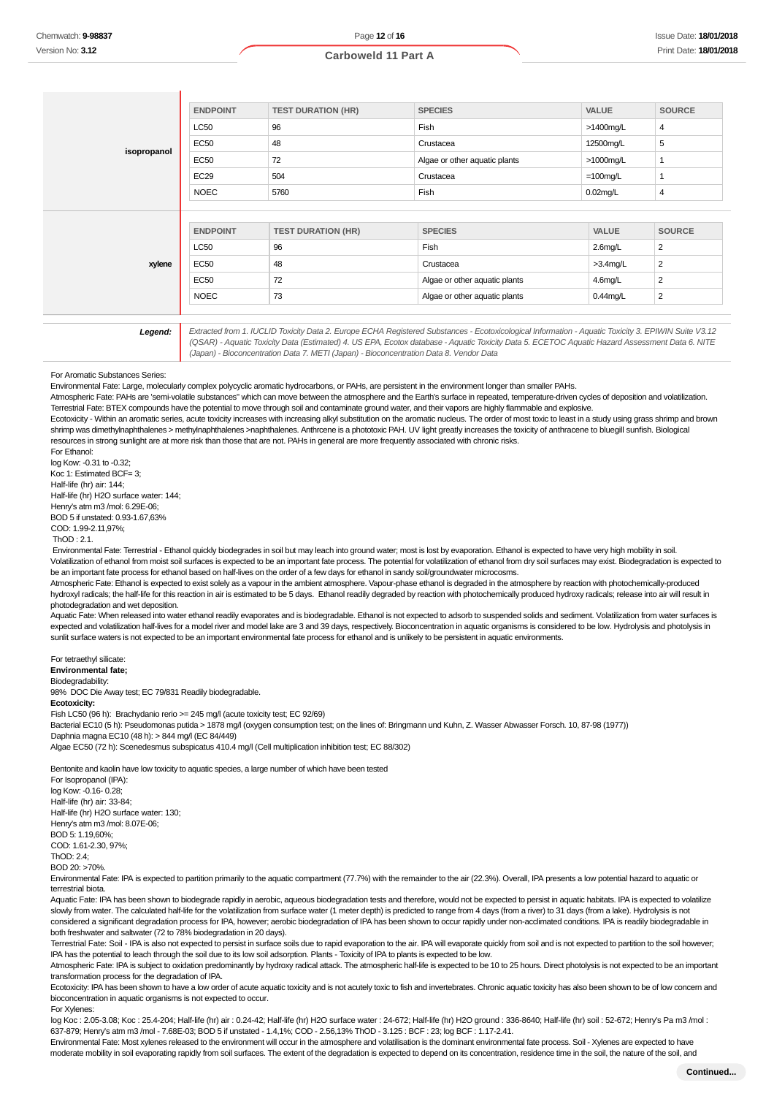| Fish<br>>1400mg/L<br>4<br>5<br>Crustacea<br>12500mg/L<br>Algae or other aquatic plants<br>$>1000$ mg/L<br>$\mathbf{1}$ |
|------------------------------------------------------------------------------------------------------------------------|
|                                                                                                                        |
|                                                                                                                        |
|                                                                                                                        |
| Crustacea<br>$=100$ mg/L<br>1                                                                                          |
| Fish<br>$0.02$ mg/L<br>4                                                                                               |
| <b>SPECIES</b><br><b>VALUE</b><br><b>SOURCE</b>                                                                        |
|                                                                                                                        |
| $\overline{2}$<br>Fish<br>$2.6$ mg/L                                                                                   |
| $>3.4$ mg/L<br>2<br>Crustacea                                                                                          |
| 2<br>Algae or other aquatic plants<br>$4.6$ mg/L                                                                       |
| Algae or other aquatic plants<br>2<br>$0.44$ mg/L                                                                      |
|                                                                                                                        |

(QSAR) - Aquatic Toxicity Data (Estimated) 4. US EPA, Ecotox database - Aquatic Toxicity Data 5. ECETOC Aquatic Hazard Assessment Data 6. NITE (Japan) - Bioconcentration Data 7. METI (Japan) - Bioconcentration Data 8. Vendor Data

#### For Aromatic Substances Series:

Environmental Fate: Large, molecularly complex polycyclic aromatic hydrocarbons, or PAHs, are persistent in the environment longer than smaller PAHs.

Atmospheric Fate: PAHs are 'semi-volatile substances" which can move between the atmosphere and the Earth's surface in repeated, temperature-driven cycles of deposition and volatilization. Terrestrial Fate: BTEX compounds have the potential to move through soil and contaminate ground water, and their vapors are highly flammable and explosive.

Ecotoxicity - Within an aromatic series, acute toxicity increases with increasing alkyl substitution on the aromatic nucleus. The order of most toxic to least in a study using grass shrimp and brown shrimp was dimethylnaphthalenes > methylnaphthalenes >naphthalenes. Anthrcene is a phototoxic PAH. UV light greatly increases the toxicity of anthracene to bluegill sunfish. Biological resources in strong sunlight are at more risk than those that are not. PAHs in general are more frequently associated with chronic risks.

For Ethanol: log Kow: -0.31 to -0.32; Koc 1: Estimated BCF= 3; Half-life (hr) air: 144; Half-life (hr) H2O surface water: 144; Henry's atm m3 /mol: 6.29E-06;

BOD 5 if unstated: 0.93-1.67,63%

COD: 1.99-2.11,97%;

ThOD : 2.1.

 Environmental Fate: Terrestrial - Ethanol quickly biodegrades in soil but may leach into ground water; most is lost by evaporation. Ethanol is expected to have very high mobility in soil. Volatilization of ethanol from moist soil surfaces is expected to be an important fate process. The potential for volatilization of ethanol from dry soil surfaces may exist. Biodegradation is expected to be an important fate process for ethanol based on half-lives on the order of a few days for ethanol in sandy soil/groundwater microcosms.

Atmospheric Fate: Ethanol is expected to exist solely as a vapour in the ambient atmosphere. Vapour-phase ethanol is degraded in the atmosphere by reaction with photochemically-produced hydroxyl radicals; the half-life for this reaction in air is estimated to be 5 days. Ethanol readily degraded by reaction with photochemically produced hydroxy radicals; release into air will result in photodegradation and wet deposition.

Aquatic Fate: When released into water ethanol readily evaporates and is biodegradable. Ethanol is not expected to adsorb to suspended solids and sediment. Volatilization from water surfaces is expected and volatilization half-lives for a model river and model lake are 3 and 39 days, respectively. Bioconcentration in aquatic organisms is considered to be low. Hydrolysis and photolysis in sunlit surface waters is not expected to be an important environmental fate process for ethanol and is unlikely to be persistent in aquatic environments.

For tetraethyl silicate:

**Environmental fate;**

Biodegradability:

98% DOC Die Away test; EC 79/831 Readily biodegradable. **Ecotoxicity:**

Fish LC50 (96 h): Brachydanio rerio >= 245 mg/l (acute toxicity test; EC 92/69) Bacterial EC10 (5 h): Pseudomonas putida > 1878 mg/l (oxygen consumption test; on the lines of: Bringmann und Kuhn, Z. Wasser Abwasser Forsch. 10, 87-98 (1977))

Daphnia magna EC10 (48 h): > 844 mg/l (EC 84/449)

Algae EC50 (72 h): Scenedesmus subspicatus 410.4 mg/l (Cell multiplication inhibition test; EC 88/302)

Bentonite and kaolin have low toxicity to aquatic species, a large number of which have been tested

For Isopropanol (IPA): log Kow: -0.16- 0.28; Half-life (hr) air: 33-84; Half-life (hr) H2O surface water: 130; Henry's atm m3 /mol: 8.07E-06; BOD 5: 1.19,60%; COD: 1.61-2.30, 97%; ThOD: 2.4; BOD 20: >70%.

Environmental Fate: IPA is expected to partition primarily to the aquatic compartment (77.7%) with the remainder to the air (22.3%). Overall, IPA presents a low potential hazard to aquatic or terrestrial biota.

Aquatic Fate: IPA has been shown to biodegrade rapidly in aerobic, aqueous biodegradation tests and therefore, would not be expected to persist in aquatic habitats. IPA is expected to volatilize slowly from water. The calculated half-life for the volatilization from surface water (1 meter depth) is predicted to range from 4 days (from a river) to 31 days (from a lake). Hydrolysis is not considered a significant degradation process for IPA, however; aerobic biodegradation of IPA has been shown to occur rapidly under non-acclimated conditions. IPA is readily biodegradable in both freshwater and saltwater (72 to 78% biodegradation in 20 days).

Terrestrial Fate: Soil - IPA is also not expected to persist in surface soils due to rapid evaporation to the air. IPA will evaporate quickly from soil and is not expected to partition to the soil however; IPA has the potential to leach through the soil due to its low soil adsorption. Plants - Toxicity of IPA to plants is expected to be low.

Atmospheric Fate: IPA is subject to oxidation predominantly by hydroxy radical attack. The atmospheric half-life is expected to be 10 to 25 hours. Direct photolysis is not expected to be an important transformation process for the degradation of IPA.

Ecotoxicity: IPA has been shown to have a low order of acute aquatic toxicity and is not acutely toxic to fish and invertebrates. Chronic aquatic toxicity has also been shown to be of low concern and bioconcentration in aquatic organisms is not expected to occur.

For Xylenes:

log Koc : 2.05-3.08; Koc : 25.4-204; Half-life (hr) air : 0.24-42; Half-life (hr) H2O surface water : 24-672; Half-life (hr) H2O ground : 336-8640; Half-life (hr) soil : 52-672; Henry's Pa m3 /mol : 637-879; Henry's atm m3 /mol - 7.68E-03; BOD 5 if unstated - 1.4,1%; COD - 2.56,13% ThOD - 3.125 : BCF : 23; log BCF : 1.17-2.41.

Environmental Fate: Most xylenes released to the environment will occur in the atmosphere and volatilisation is the dominant environmental fate process. Soil - Xylenes are expected to have moderate mobility in soil evaporating rapidly from soil surfaces. The extent of the degradation is expected to depend on its concentration, residence time in the soil, the nature of the soil, and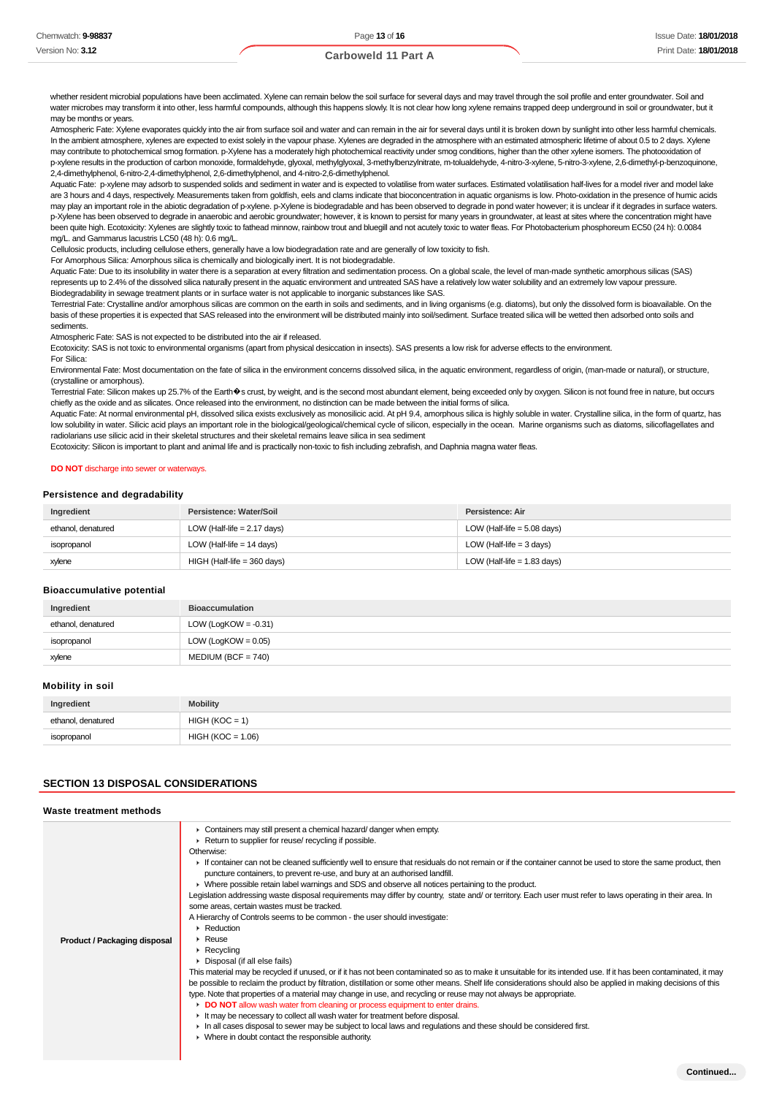whether resident microbial populations have been acclimated. Xylene can remain below the soil surface for several days and may travel through the soil profile and enter groundwater. Soil and water microbes may transform it into other, less harmful compounds, although this happens slowly. It is not clear how long xylene remains trapped deep underground in soil or groundwater, but it may be months or years.

Atmospheric Fate: Xylene evaporates quickly into the air from surface soil and water and can remain in the air for several days until it is broken down by sunlight into other less harmful chemicals. In the ambient atmosphere, xylenes are expected to exist solely in the vapour phase. Xylenes are degraded in the atmosphere with an estimated atmospheric lifetime of about 0.5 to 2 days. Xylene may contribute to photochemical smog formation. p-Xylene has a moderately high photochemical reactivity under smog conditions, higher than the other xylene isomers. The photooxidation of p-xylene results in the production of carbon monoxide, formaldehyde, glyoxal, methylglyoxal, 3-methylbenzylnitrate, m-tolualdehyde, 4-nitro-3-xylene, 5-nitro-3-xylene, 2,6-dimethyl-p-benzoquinone, 2,4-dimethylphenol, 6-nitro-2,4-dimethylphenol, 2,6-dimethylphenol, and 4-nitro-2,6-dimethylphenol.

Aquatic Fate: p-xylene may adsorb to suspended solids and sediment in water and is expected to volatilise from water surfaces. Estimated volatilisation half-lives for a model river and model lake are 3 hours and 4 days, respectively. Measurements taken from goldfish, eels and clams indicate that bioconcentration in aquatic organisms is low. Photo-oxidation in the presence of humic acids may play an important role in the abiotic degradation of p-xylene. p-Xylene is biodegradable and has been observed to degrade in pond water however; it is unclear if it degrades in surface waters. p-Xylene has been observed to degrade in anaerobic and aerobic groundwater; however, it is known to persist for many years in groundwater, at least at sites where the concentration might have been quite high. Ecotoxicity: Xylenes are slightly toxic to fathead minnow, rainbow trout and bluegill and not acutely toxic to water fleas. For Photobacterium phosphoreum EC50 (24 h): 0.0084 mg/L. and Gammarus lacustris LC50 (48 h): 0.6 mg/L.

Cellulosic products, including cellulose ethers, generally have a low biodegradation rate and are generally of low toxicity to fish.

For Amorphous Silica: Amorphous silica is chemically and biologically inert. It is not biodegradable.

Aquatic Fate: Due to its insolubility in water there is a separation at every filtration and sedimentation process. On a global scale, the level of man-made synthetic amorphous silicas (SAS) represents up to 2.4% of the dissolved silica naturally present in the aquatic environment and untreated SAS have a relatively low water solubility and an extremely low vapour pressure. Biodegradability in sewage treatment plants or in surface water is not applicable to inorganic substances like SAS.

Terrestrial Fate: Crystalline and/or amorphous silicas are common on the earth in soils and sediments, and in living organisms (e.g. diatoms), but only the dissolved form is bioavailable. On the basis of these properties it is expected that SAS released into the environment will be distributed mainly into soil/sediment. Surface treated silica will be wetted then adsorbed onto soils and sediments.

Atmospheric Fate: SAS is not expected to be distributed into the air if released.

Ecotoxicity: SAS is not toxic to environmental organisms (apart from physical desiccation in insects). SAS presents a low risk for adverse effects to the environment. For Silica:

Environmental Fate: Most documentation on the fate of silica in the environment concerns dissolved silica, in the aquatic environment, regardless of origin, (man-made or natural), or structure, (crystalline or amorphous).

Terrestrial Fate: Silicon makes up 25.7% of the Earth Os crust, by weight, and is the second most abundant element, being exceeded only by oxygen. Silicon is not found free in nature, but occurs chiefly as the oxide and as silicates. Once released into the environment, no distinction can be made between the initial forms of silica.

Aquatic Fate: At normal environmental pH, dissolved silica exists exclusively as monosilicic acid. At pH 9.4, amorphous silica is highly soluble in water. Crystalline silica, in the form of quartz, has low solubility in water. Silicic acid plays an important role in the biological/geological/chemical cycle of silicon, especially in the ocean. Marine organisms such as diatoms, silicoflagellates and radiolarians use silicic acid in their skeletal structures and their skeletal remains leave silica in sea sediment

Ecotoxicity: Silicon is important to plant and animal life and is practically non-toxic to fish including zebrafish, and Daphnia magna water fleas.

#### **DO NOT** discharge into sewer or waterways.

#### **Persistence and degradability**

| Ingredient         | Persistence: Water/Soil       | Persistence: Air              |
|--------------------|-------------------------------|-------------------------------|
| ethanol, denatured | LOW (Half-life $= 2.17$ days) | LOW (Half-life = $5.08$ days) |
| isopropanol        | LOW (Half-life $= 14$ days)   | LOW (Half-life $=$ 3 days)    |
| xylene             | $HIGH$ (Half-life = 360 days) | LOW (Half-life $= 1.83$ days) |

#### **Bioaccumulative potential**

| Ingredient         | <b>Bioaccumulation</b>  |
|--------------------|-------------------------|
| ethanol, denatured | LOW (LogKOW = $-0.31$ ) |
| isopropanol        | LOW (LogKOW = $0.05$ )  |
| xylene             | $MEDIUM (BCF = 740)$    |

#### **Mobility in soil**

| Ingredient         | <b>Mobility</b>     |
|--------------------|---------------------|
| ethanol, denatured | $HIGH (KOC = 1)$    |
| isopropanol        | $HIGH (KOC = 1.06)$ |

# **SECTION 13 DISPOSAL CONSIDERATIONS**

| Waste treatment methods      |                                                                                                                                                                                                                                                                                                                                                                                                                                                                                                                                                                                                                                                                                                                                                                                                                                                                                                                                                                                                                                                                                                                                                                                                                                                                                                                                                                                                                                                                                                                                                                                                                                                                                                                                |
|------------------------------|--------------------------------------------------------------------------------------------------------------------------------------------------------------------------------------------------------------------------------------------------------------------------------------------------------------------------------------------------------------------------------------------------------------------------------------------------------------------------------------------------------------------------------------------------------------------------------------------------------------------------------------------------------------------------------------------------------------------------------------------------------------------------------------------------------------------------------------------------------------------------------------------------------------------------------------------------------------------------------------------------------------------------------------------------------------------------------------------------------------------------------------------------------------------------------------------------------------------------------------------------------------------------------------------------------------------------------------------------------------------------------------------------------------------------------------------------------------------------------------------------------------------------------------------------------------------------------------------------------------------------------------------------------------------------------------------------------------------------------|
| Product / Packaging disposal | • Containers may still present a chemical hazard/ danger when empty.<br>Return to supplier for reuse/ recycling if possible.<br>Otherwise:<br>If container can not be cleaned sufficiently well to ensure that residuals do not remain or if the container cannot be used to store the same product, then<br>puncture containers, to prevent re-use, and bury at an authorised landfill.<br>• Where possible retain label warnings and SDS and observe all notices pertaining to the product.<br>Legislation addressing waste disposal requirements may differ by country, state and/ or territory. Each user must refer to laws operating in their area. In<br>some areas, certain wastes must be tracked.<br>A Hierarchy of Controls seems to be common - the user should investigate:<br>$\triangleright$ Reduction<br>$\blacktriangleright$ Reuse<br>$\triangleright$ Recycling<br>• Disposal (if all else fails)<br>This material may be recycled if unused, or if it has not been contaminated so as to make it unsuitable for its intended use. If it has been contaminated, it may<br>be possible to reclaim the product by filtration, distillation or some other means. Shelf life considerations should also be applied in making decisions of this<br>type. Note that properties of a material may change in use, and recycling or reuse may not always be appropriate.<br>DO NOT allow wash water from cleaning or process equipment to enter drains.<br>It may be necessary to collect all wash water for treatment before disposal.<br>In all cases disposal to sewer may be subject to local laws and regulations and these should be considered first.<br>• Where in doubt contact the responsible authority. |
|                              |                                                                                                                                                                                                                                                                                                                                                                                                                                                                                                                                                                                                                                                                                                                                                                                                                                                                                                                                                                                                                                                                                                                                                                                                                                                                                                                                                                                                                                                                                                                                                                                                                                                                                                                                |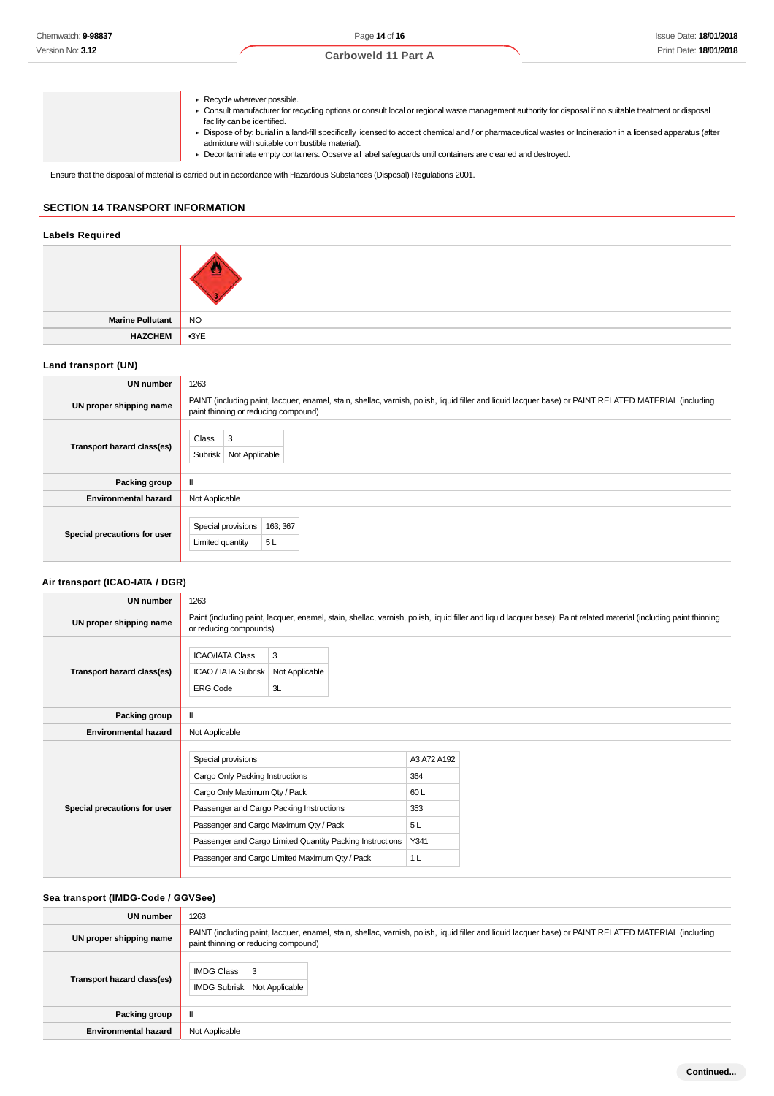**Recycle wherever possible.** 

- Consult manufacturer for recycling options or consult local or regional waste management authority for disposal if no suitable treatment or disposal facility can be identified.
- ▶ Dispose of by: burial in a land-fill specifically licensed to accept chemical and / or pharmaceutical wastes or Incineration in a licensed apparatus (after admixture with suitable combustible material).
	- Decontaminate empty containers. Observe all label safeguards until containers are cleaned and destroyed.

Ensure that the disposal of material is carried out in accordance with Hazardous Substances (Disposal) Regulations 2001.

# **SECTION 14 TRANSPORT INFORMATION**

# **Labels Required**

| Marine Pollutant NO |  |
|---------------------|--|
| HAZCHEM 3YE         |  |

## **Land transport (UN)**

| <b>UN number</b>             | 1263                                                                                                                                                                                          |  |  |
|------------------------------|-----------------------------------------------------------------------------------------------------------------------------------------------------------------------------------------------|--|--|
| UN proper shipping name      | PAINT (including paint, lacquer, enamel, stain, shellac, varnish, polish, liquid filler and liquid lacquer base) or PAINT RELATED MATERIAL (including<br>paint thinning or reducing compound) |  |  |
| Transport hazard class(es)   | 3<br>Class<br>Subrisk<br>Not Applicable                                                                                                                                                       |  |  |
| Packing group                | ш                                                                                                                                                                                             |  |  |
| <b>Environmental hazard</b>  | Not Applicable                                                                                                                                                                                |  |  |
| Special precautions for user | Special provisions<br>163; 367<br>5 L<br>Limited quantity                                                                                                                                     |  |  |

# **Air transport (ICAO-IATA / DGR)**

| <b>UN number</b>             | 1263                                                                                                                                                                                                                                                                                        |                           |                                                                  |  |
|------------------------------|---------------------------------------------------------------------------------------------------------------------------------------------------------------------------------------------------------------------------------------------------------------------------------------------|---------------------------|------------------------------------------------------------------|--|
| UN proper shipping name      | Paint (including paint, lacquer, enamel, stain, shellac, varnish, polish, liquid filler and liquid lacquer base); Paint related material (including paint thinning<br>or reducing compounds)                                                                                                |                           |                                                                  |  |
| Transport hazard class(es)   | <b>ICAO/IATA Class</b><br>ICAO / IATA Subrisk<br><b>ERG Code</b>                                                                                                                                                                                                                            | 3<br>Not Applicable<br>3L |                                                                  |  |
| Packing group                | $\mathsf{I}\mathsf{I}$                                                                                                                                                                                                                                                                      |                           |                                                                  |  |
| <b>Environmental hazard</b>  | Not Applicable                                                                                                                                                                                                                                                                              |                           |                                                                  |  |
| Special precautions for user | Special provisions<br>Cargo Only Packing Instructions<br>Cargo Only Maximum Qty / Pack<br>Passenger and Cargo Packing Instructions<br>Passenger and Cargo Maximum Qty / Pack<br>Passenger and Cargo Limited Quantity Packing Instructions<br>Passenger and Cargo Limited Maximum Qty / Pack |                           | A3 A72 A192<br>364<br>60L<br>353<br>5L<br>Y341<br>1 <sub>L</sub> |  |

# **Sea transport (IMDG-Code / GGVSee)**

| UN number                   | 1263                                                                                                                                                                                          |  |
|-----------------------------|-----------------------------------------------------------------------------------------------------------------------------------------------------------------------------------------------|--|
| UN proper shipping name     | PAINT (including paint, lacquer, enamel, stain, shellac, varnish, polish, liquid filler and liquid lacquer base) or PAINT RELATED MATERIAL (including<br>paint thinning or reducing compound) |  |
| Transport hazard class(es)  | <b>IMDG Class</b><br>3<br><b>IMDG Subrisk</b><br>Not Applicable                                                                                                                               |  |
| Packing group               | $\mathbf{I}$                                                                                                                                                                                  |  |
| <b>Environmental hazard</b> | Not Applicable                                                                                                                                                                                |  |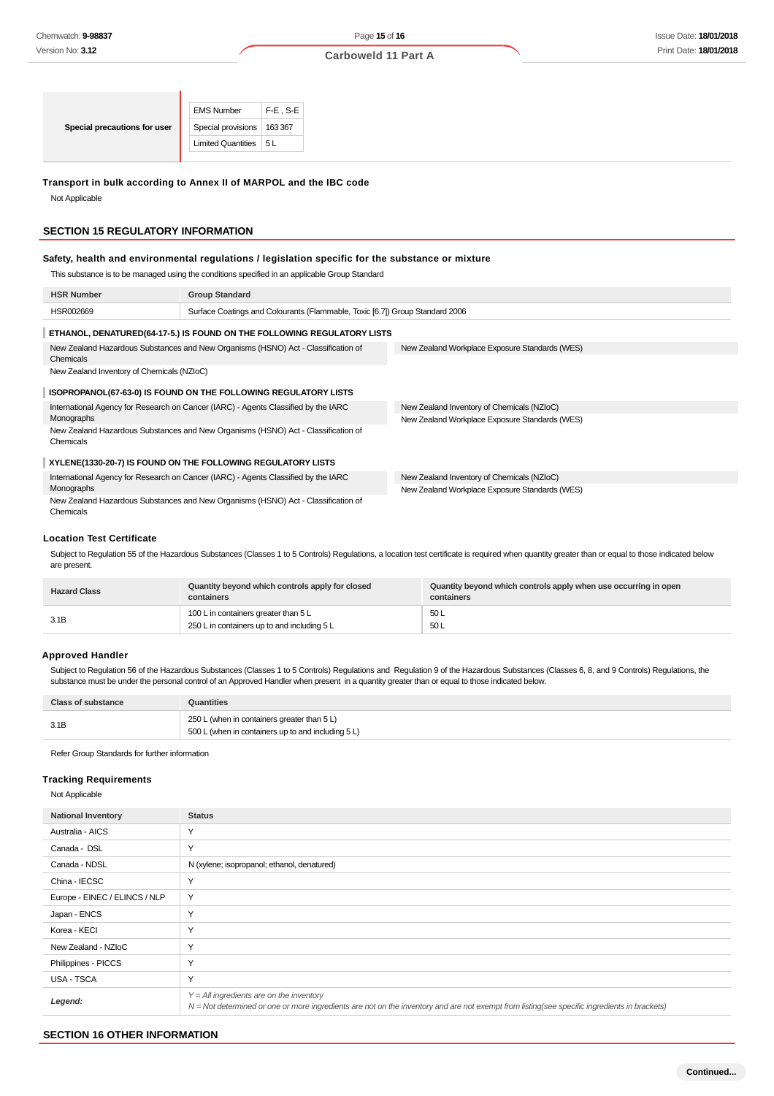|                              | <b>EMS Number</b>            | $F-E$ . S-E |
|------------------------------|------------------------------|-------------|
| Special precautions for user | Special provisions   163 367 |             |
|                              | Limited Quantities   5 L     |             |
|                              |                              |             |

## **Transport in bulk according to Annex II of MARPOL and the IBC code**

Not Applicable

#### **SECTION 15 REGULATORY INFORMATION**

#### **Safety, health and environmental regulations / legislation specific for the substance or mixture**

This substance is to be managed using the conditions specified in an applicable Group Standard

| <b>HSR Number</b>                                                                              | <b>Group Standard</b>                                                              |                                                |  |  |
|------------------------------------------------------------------------------------------------|------------------------------------------------------------------------------------|------------------------------------------------|--|--|
| HSR002669                                                                                      | Surface Coatings and Colourants (Flammable, Toxic [6.7]) Group Standard 2006       |                                                |  |  |
|                                                                                                | ETHANOL, DENATURED(64-17-5.) IS FOUND ON THE FOLLOWING REGULATORY LISTS            |                                                |  |  |
| New Zealand Hazardous Substances and New Organisms (HSNO) Act - Classification of<br>Chemicals |                                                                                    | New Zealand Workplace Exposure Standards (WES) |  |  |
| New Zealand Inventory of Chemicals (NZIoC)                                                     |                                                                                    |                                                |  |  |
|                                                                                                | ISOPROPANOL (67-63-0) IS FOUND ON THE FOLLOWING REGULATORY LISTS                   |                                                |  |  |
| International Agency for Research on Cancer (IARC) - Agents Classified by the IARC             |                                                                                    | New Zealand Inventory of Chemicals (NZIoC)     |  |  |
| Monographs                                                                                     |                                                                                    | New Zealand Workplace Exposure Standards (WES) |  |  |
| New Zealand Hazardous Substances and New Organisms (HSNO) Act - Classification of<br>Chemicals |                                                                                    |                                                |  |  |
|                                                                                                | XYLENE(1330-20-7) IS FOUND ON THE FOLLOWING REGULATORY LISTS                       |                                                |  |  |
|                                                                                                | International Agency for Research on Cancer (IARC) - Agents Classified by the IARC | New Zealand Inventory of Chemicals (NZIoC)     |  |  |
| Monographs                                                                                     |                                                                                    | New Zealand Workplace Exposure Standards (WES) |  |  |
| New Zealand Hazardous Substances and New Organisms (HSNO) Act - Classification of              |                                                                                    |                                                |  |  |

#### **Location Test Certificate**

Chemicals

Subject to Regulation 55 of the Hazardous Substances (Classes 1 to 5 Controls) Regulations, a location test certificate is required when quantity greater than or equal to those indicated below are present.

| <b>Hazard Class</b> | Quantity beyond which controls apply for closed<br>containers | Quantity beyond which controls apply when use occurring in open<br>containers |
|---------------------|---------------------------------------------------------------|-------------------------------------------------------------------------------|
| 3.1B                | 100 L in containers greater than 5 L                          | 50 L                                                                          |
|                     | 250 L in containers up to and including 5 L                   | 50 L                                                                          |

# **Approved Handler**

Subject to Regulation 56 of the Hazardous Substances (Classes 1 to 5 Controls) Regulations and Regulation 9 of the Hazardous Substances (Classes 6, 8, and 9 Controls) Regulations, the substance must be under the personal control of an Approved Handler when present in a quantity greater than or equal to those indicated below.

| <b>Class of substance</b> | Quantities                                                                                        |
|---------------------------|---------------------------------------------------------------------------------------------------|
| 3.1B                      | 250 L (when in containers greater than 5 L)<br>500 L (when in containers up to and including 5 L) |

Refer Group Standards for further information

#### **Tracking Requirements**

Not Applicable

| <b>National Inventory</b>     | <b>Status</b>                                                                                                                                                                              |
|-------------------------------|--------------------------------------------------------------------------------------------------------------------------------------------------------------------------------------------|
| Australia - AICS              | Υ                                                                                                                                                                                          |
| Canada - DSL                  | Y                                                                                                                                                                                          |
| Canada - NDSL                 | N (xylene; isopropanol; ethanol, denatured)                                                                                                                                                |
| China - IECSC                 | Y                                                                                                                                                                                          |
| Europe - EINEC / ELINCS / NLP | Y                                                                                                                                                                                          |
| Japan - ENCS                  | Y                                                                                                                                                                                          |
| Korea - KECI                  | Y                                                                                                                                                                                          |
| New Zealand - NZIoC           | Y                                                                                                                                                                                          |
| Philippines - PICCS           | Y                                                                                                                                                                                          |
| USA - TSCA                    | Y                                                                                                                                                                                          |
| Legend:                       | $Y = All$ ingredients are on the inventory<br>N = Not determined or one or more ingredients are not on the inventory and are not exempt from listing(see specific ingredients in brackets) |

## **SECTION 16 OTHER INFORMATION**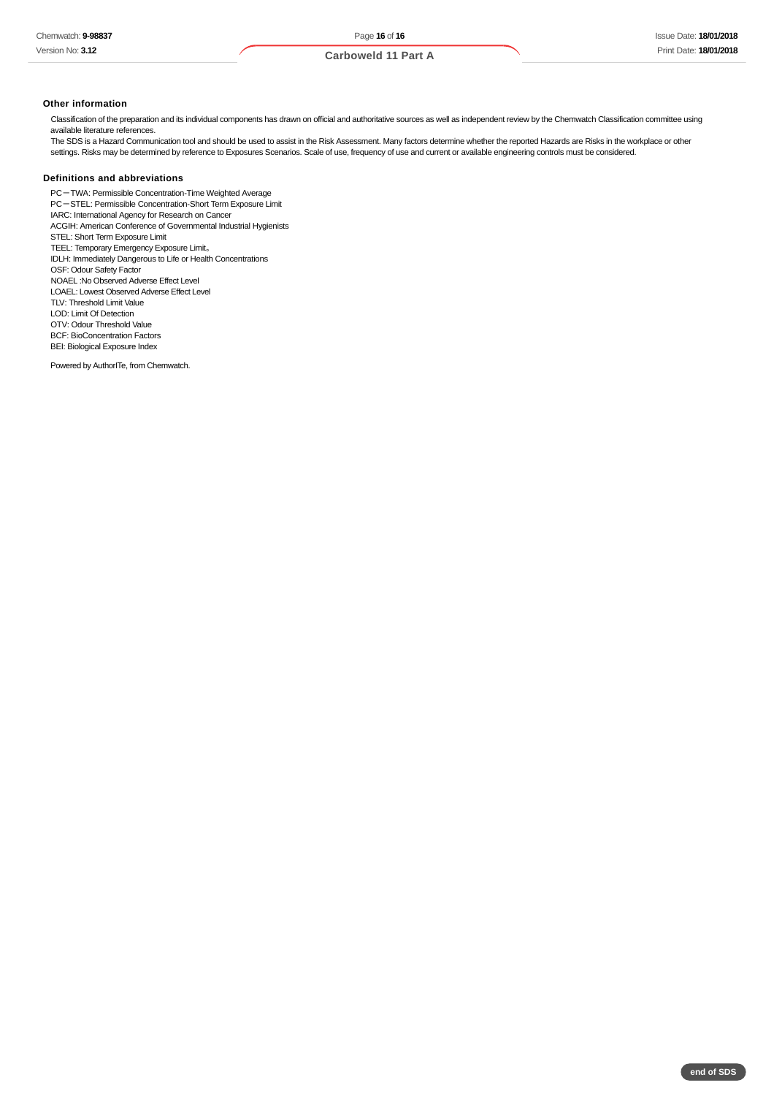#### **Other information**

Classification of the preparation and its individual components has drawn on official and authoritative sources as well as independent review by the Chemwatch Classification committee using available literature references.

The SDS is a Hazard Communication tool and should be used to assist in the Risk Assessment. Many factors determine whether the reported Hazards are Risks in the workplace or other settings. Risks may be determined by reference to Exposures Scenarios. Scale of use, frequency of use and current or available engineering controls must be considered.

## **Definitions and abbreviations**

PC-TWA: Permissible Concentration-Time Weighted Average PC-STEL: Permissible Concentration-Short Term Exposure Limit IARC: International Agency for Research on Cancer ACGIH: American Conference of Governmental Industrial Hygienists STEL: Short Term Exposure Limit TEEL: Temporary Emergency Exposure Limit。 IDLH: Immediately Dangerous to Life or Health Concentrations OSF: Odour Safety Factor NOAEL :No Observed Adverse Effect Level LOAEL: Lowest Observed Adverse Effect Level TLV: Threshold Limit Value LOD: Limit Of Detection OTV: Odour Threshold Value BCF: BioConcentration Factors BEI: Biological Exposure Index Powered by AuthorITe, from Chemwatch.

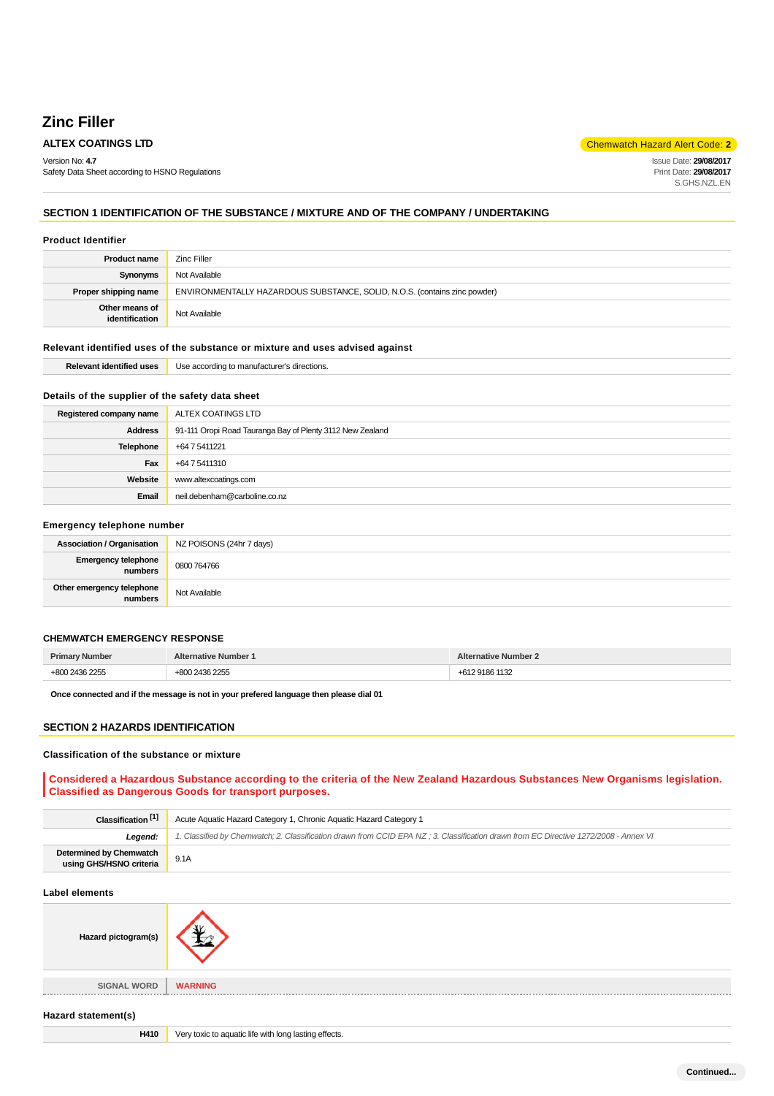# **Zinc Filler**

Version No: **4.7** Safety Data Sheet according to HSNO Regulations

**ALTEX COATINGS LTD COLLEGE 2 COATINGS LTD** 

Issue Date: **29/08/2017** Print Date: **29/08/2017** S.GHS.NZL.EN

# **SECTION 1 IDENTIFICATION OF THE SUBSTANCE / MIXTURE AND OF THE COMPANY / UNDERTAKING**

#### **Product Identifier**

| <b>Product name</b>              | Zinc Filler                                                               |  |
|----------------------------------|---------------------------------------------------------------------------|--|
| Synonyms                         | Not Available                                                             |  |
| Proper shipping name             | ENVIRONMENTALLY HAZARDOUS SUBSTANCE, SOLID, N.O.S. (contains zinc powder) |  |
| Other means of<br>identification | Not Available                                                             |  |

# **Relevant identified uses of the substance or mixture and uses advised against**

| ---<br>. | ı to manufacturer<br>s directions.<br>$\mathsf{I} \circ \mathsf{A}$<br>:orair |
|----------|-------------------------------------------------------------------------------|
|          |                                                                               |

# **Details of the supplier of the safety data sheet**

| Registered company name | ALTEX COATINGS LTD                                        |
|-------------------------|-----------------------------------------------------------|
| <b>Address</b>          | 91-111 Oropi Road Tauranga Bay of Plenty 3112 New Zealand |
| <b>Telephone</b>        | +64 7 5411221                                             |
| Fax                     | +64 7 5411310                                             |
| Website                 | www.altexcoatings.com                                     |
| Email                   | neil.debenham@carboline.co.nz                             |

## **Emergency telephone number**

| <b>Association / Organisation</b>    | NZ POISONS (24hr 7 days) |
|--------------------------------------|--------------------------|
| Emergency telephone<br>numbers       | 0800 764766              |
| Other emergency telephone<br>numbers | Not Available            |

# **CHEMWATCH EMERGENCY RESPONSE**

| <b>Primary Number</b> | <b>Alternative Number 1</b>                    | <b>Alternative Number 2</b> |  |  |
|-----------------------|------------------------------------------------|-----------------------------|--|--|
| +800 2436 2255        | 2436 2255<br>റററ<br>7. JL JL<br>$\overline{2}$ | +612 9186 1132<br>$+617$    |  |  |

**Once connected and if the message is not in your prefered language then please dial 01**

# **SECTION 2 HAZARDS IDENTIFICATION**

#### **Classification of the substance or mixture**

**Considered a Hazardous Substance according to the criteria of the New Zealand Hazardous Substances New Organisms legislation. Classified as Dangerous Goods for transport purposes.**

| Acute Aquatic Hazard Category 1, Chronic Aquatic Hazard Category 1                                                                   |  |  |  |
|--------------------------------------------------------------------------------------------------------------------------------------|--|--|--|
| 1. Classified by Chemwatch; 2. Classification drawn from CCID EPA NZ; 3. Classification drawn from EC Directive 1272/2008 - Annex VI |  |  |  |
| 9.1A                                                                                                                                 |  |  |  |
|                                                                                                                                      |  |  |  |
|                                                                                                                                      |  |  |  |
| <b>WARNING</b>                                                                                                                       |  |  |  |
|                                                                                                                                      |  |  |  |
| Very toxic to aquatic life with long lasting effects.                                                                                |  |  |  |
|                                                                                                                                      |  |  |  |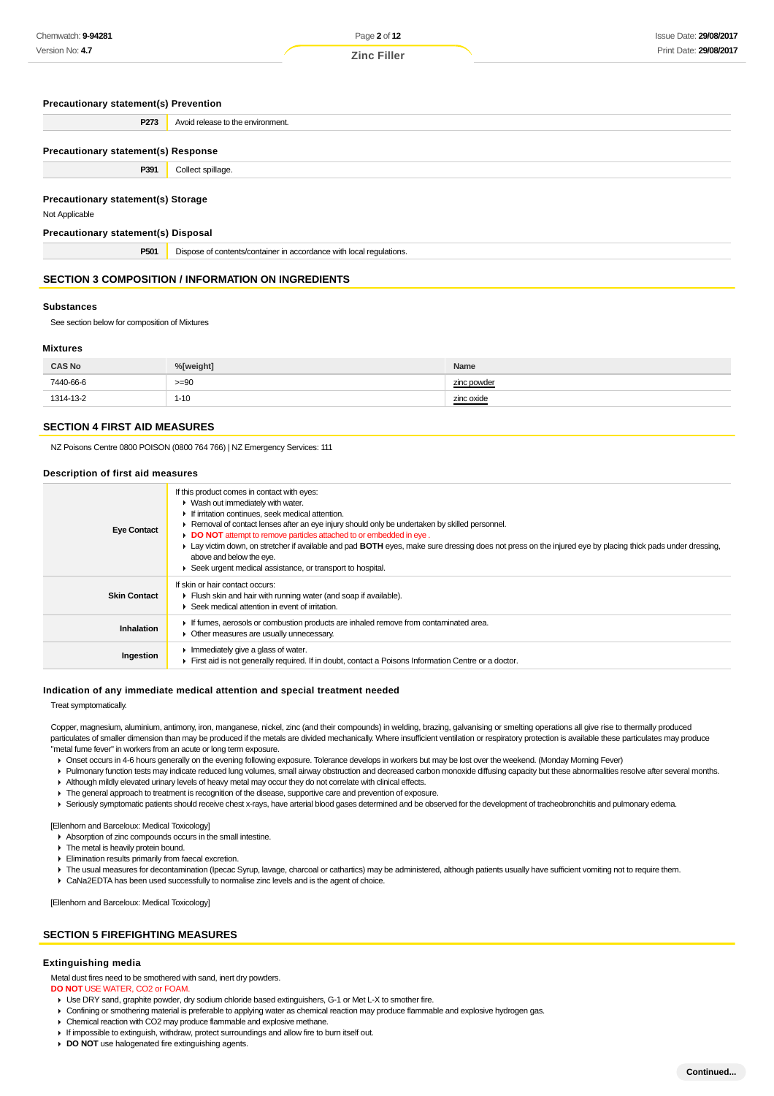#### **Precautionary statement(s) Prevention**

**P273** Avoid release to the environment.

#### **Precautionary statement(s) Response**

**P391** Collect spillage

#### **Precautionary statement(s) Storage**

Not Applicable

#### **Precautionary statement(s) Disposal**

**P501** Dispose of contents/container in accordance with local regulations.

# **SECTION 3 COMPOSITION / INFORMATION ON INGREDIENTS**

## **Substances**

See section below for composition of Mixtures

# **Mixtures**

| <b>CAS No</b> | %[weight] | Name                |  |
|---------------|-----------|---------------------|--|
| 7440-66-6     | $>= 90$   | zinc powder         |  |
| 1314-13-2     | $1 - 10$  | zinc oxide<br>_____ |  |

## **SECTION 4 FIRST AID MEASURES**

NZ Poisons Centre 0800 POISON (0800 764 766) | NZ Emergency Services: 111

#### **Description of first aid measures**

| <b>Eye Contact</b>  | If this product comes in contact with eyes:<br>$\blacktriangleright$ Wash out immediately with water.<br>If irritation continues, seek medical attention.<br>► Removal of contact lenses after an eye injury should only be undertaken by skilled personnel.<br>DO NOT attempt to remove particles attached to or embedded in eye.<br>► Lay victim down, on stretcher if available and pad BOTH eyes, make sure dressing does not press on the injured eye by placing thick pads under dressing,<br>above and below the eye.<br>▶ Seek urgent medical assistance, or transport to hospital. |
|---------------------|---------------------------------------------------------------------------------------------------------------------------------------------------------------------------------------------------------------------------------------------------------------------------------------------------------------------------------------------------------------------------------------------------------------------------------------------------------------------------------------------------------------------------------------------------------------------------------------------|
| <b>Skin Contact</b> | If skin or hair contact occurs:<br>Flush skin and hair with running water (and soap if available).<br>▶ Seek medical attention in event of irritation.                                                                                                                                                                                                                                                                                                                                                                                                                                      |
| <b>Inhalation</b>   | If fumes, aerosols or combustion products are inhaled remove from contaminated area.<br>• Other measures are usually unnecessary.                                                                                                                                                                                                                                                                                                                                                                                                                                                           |
| Ingestion           | Immediately give a glass of water.<br>First aid is not generally required. If in doubt, contact a Poisons Information Centre or a doctor.                                                                                                                                                                                                                                                                                                                                                                                                                                                   |

#### **Indication of any immediate medical attention and special treatment needed**

Treat symptomatically.

Copper, magnesium, aluminium, antimony, iron, manganese, nickel, zinc (and their compounds) in welding, brazing, galvanising or smelting operations all give rise to thermally produced particulates of smaller dimension than may be produced if the metals are divided mechanically. Where insufficient ventilation or respiratory protection is available these particulates may produce "metal fume fever" in workers from an acute or long term exposure.

- Onset occurs in 4-6 hours generally on the evening following exposure. Tolerance develops in workers but may be lost over the weekend. (Monday Morning Fever)
- Pulmonary function tests may indicate reduced lung volumes, small airway obstruction and decreased carbon monoxide diffusing capacity but these abnormalities resolve after several months.
- Although mildly elevated urinary levels of heavy metal may occur they do not correlate with clinical effects.
- The general approach to treatment is recognition of the disease, supportive care and prevention of exposure.
- Seriously symptomatic patients should receive chest x-rays, have arterial blood gases determined and be observed for the development of tracheobronchitis and pulmonary edema.

[Ellenhorn and Barceloux: Medical Toxicology]

Absorption of zinc compounds occurs in the small intestine.

- $\triangleright$  The metal is heavily protein bound.
- Elimination results primarily from faecal excretion.
- F The usual measures for decontamination (Ipecac Syrup, lavage, charcoal or cathartics) may be administered, although patients usually have sufficient vomiting not to require them.
- CaNa2EDTA has been used successfully to normalise zinc levels and is the agent of choice.

[Ellenhorn and Barceloux: Medical Toxicology]

#### **SECTION 5 FIREFIGHTING MEASURES**

#### **Extinguishing media**

Metal dust fires need to be smothered with sand, inert dry powders.

**DO NOT** USE WATER, CO2 or FOAM.

- Use DRY sand, graphite powder, dry sodium chloride based extinguishers, G-1 or Met L-X to smother fire.
- Confining or smothering material is preferable to applying water as chemical reaction may produce flammable and explosive hydrogen gas.
- Chemical reaction with CO2 may produce flammable and explosive methane.
- If impossible to extinguish, withdraw, protect surroundings and allow fire to burn itself out.
- **DO NOT** use halogenated fire extinguishing agents.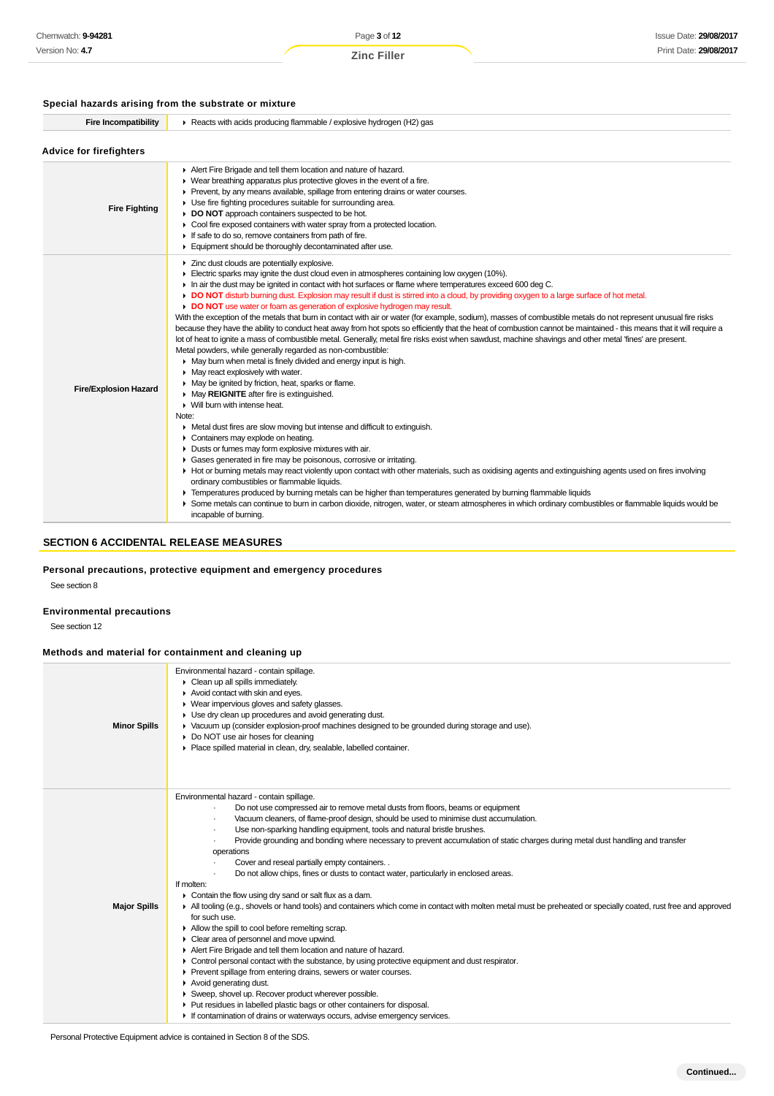# **Special hazards arising from the substrate or mixture**

| <b>Fire Incompatibility</b>    | Reacts with acids producing flammable / explosive hydrogen (H2) gas                                                                                                                                                                                                                                                                                                                                                                                                                                                                                                                                                                                                                                                                                                                                                                                                                                                                                                                                                                                                                                                                                                                                                                                                                                                                                                                                                                                                                                                                                                                                                                                                                                                                                                                                                                                                                                                                                                                                                                                                                                                     |  |  |  |  |  |  |
|--------------------------------|-------------------------------------------------------------------------------------------------------------------------------------------------------------------------------------------------------------------------------------------------------------------------------------------------------------------------------------------------------------------------------------------------------------------------------------------------------------------------------------------------------------------------------------------------------------------------------------------------------------------------------------------------------------------------------------------------------------------------------------------------------------------------------------------------------------------------------------------------------------------------------------------------------------------------------------------------------------------------------------------------------------------------------------------------------------------------------------------------------------------------------------------------------------------------------------------------------------------------------------------------------------------------------------------------------------------------------------------------------------------------------------------------------------------------------------------------------------------------------------------------------------------------------------------------------------------------------------------------------------------------------------------------------------------------------------------------------------------------------------------------------------------------------------------------------------------------------------------------------------------------------------------------------------------------------------------------------------------------------------------------------------------------------------------------------------------------------------------------------------------------|--|--|--|--|--|--|
| <b>Advice for firefighters</b> |                                                                                                                                                                                                                                                                                                                                                                                                                                                                                                                                                                                                                                                                                                                                                                                                                                                                                                                                                                                                                                                                                                                                                                                                                                                                                                                                                                                                                                                                                                                                                                                                                                                                                                                                                                                                                                                                                                                                                                                                                                                                                                                         |  |  |  |  |  |  |
| <b>Fire Fighting</b>           | Alert Fire Brigade and tell them location and nature of hazard.<br>▶ Wear breathing apparatus plus protective gloves in the event of a fire.<br>Prevent, by any means available, spillage from entering drains or water courses.<br>• Use fire fighting procedures suitable for surrounding area.<br>DO NOT approach containers suspected to be hot.<br>• Cool fire exposed containers with water spray from a protected location.<br>If safe to do so, remove containers from path of fire.<br>Equipment should be thoroughly decontaminated after use.                                                                                                                                                                                                                                                                                                                                                                                                                                                                                                                                                                                                                                                                                                                                                                                                                                                                                                                                                                                                                                                                                                                                                                                                                                                                                                                                                                                                                                                                                                                                                                |  |  |  |  |  |  |
| <b>Fire/Explosion Hazard</b>   | > Zinc dust clouds are potentially explosive.<br>Electric sparks may ignite the dust cloud even in atmospheres containing low oxygen (10%).<br>In air the dust may be ignited in contact with hot surfaces or flame where temperatures exceed 600 deg C.<br>DO NOT disturb burning dust. Explosion may result if dust is stirred into a cloud, by providing oxygen to a large surface of hot metal.<br>DO NOT use water or foam as generation of explosive hydrogen may result.<br>With the exception of the metals that burn in contact with air or water (for example, sodium), masses of combustible metals do not represent unusual fire risks<br>because they have the ability to conduct heat away from hot spots so efficiently that the heat of combustion cannot be maintained - this means that it will require a<br>lot of heat to ignite a mass of combustible metal. Generally, metal fire risks exist when sawdust, machine shavings and other metal 'fines' are present.<br>Metal powders, while generally regarded as non-combustible:<br>• May burn when metal is finely divided and energy input is high.<br>$\blacktriangleright$ May react explosively with water.<br>• May be ignited by friction, heat, sparks or flame.<br>May REIGNITE after fire is extinguished.<br>$\triangleright$ Will burn with intense heat.<br>Note:<br>• Metal dust fires are slow moving but intense and difficult to extinguish.<br>Containers may explode on heating.<br>Dusts or fumes may form explosive mixtures with air.<br>Gases generated in fire may be poisonous, corrosive or irritating.<br>Hot or burning metals may react violently upon contact with other materials, such as oxidising agents and extinguishing agents used on fires involving<br>ordinary combustibles or flammable liquids.<br>F Temperatures produced by burning metals can be higher than temperatures generated by burning flammable liquids<br>Some metals can continue to burn in carbon dioxide, nitrogen, water, or steam atmospheres in which ordinary combustibles or flammable liquids would be<br>incapable of burning. |  |  |  |  |  |  |

# **SECTION 6 ACCIDENTAL RELEASE MEASURES**

**Personal precautions, protective equipment and emergency procedures**

See section 8

# **Environmental precautions**

See section 12

# **Methods and material for containment and cleaning up**

| <b>Minor Spills</b> | Environmental hazard - contain spillage.<br>Clean up all spills immediately.<br>Avoid contact with skin and eyes.<br>• Wear impervious gloves and safety glasses.<br>Use dry clean up procedures and avoid generating dust.<br>► Vacuum up (consider explosion-proof machines designed to be grounded during storage and use).<br>Do NOT use air hoses for cleaning<br>Place spilled material in clean, dry, sealable, labelled container.                                                                                                                                                                                                                                                                                                                                                                                                                                                                                                                                                                                                                                                                                                                                                                                                                                                          |
|---------------------|-----------------------------------------------------------------------------------------------------------------------------------------------------------------------------------------------------------------------------------------------------------------------------------------------------------------------------------------------------------------------------------------------------------------------------------------------------------------------------------------------------------------------------------------------------------------------------------------------------------------------------------------------------------------------------------------------------------------------------------------------------------------------------------------------------------------------------------------------------------------------------------------------------------------------------------------------------------------------------------------------------------------------------------------------------------------------------------------------------------------------------------------------------------------------------------------------------------------------------------------------------------------------------------------------------|
| <b>Major Spills</b> | Environmental hazard - contain spillage.<br>Do not use compressed air to remove metal dusts from floors, beams or equipment<br>Vacuum cleaners, of flame-proof design, should be used to minimise dust accumulation.<br>Use non-sparking handling equipment, tools and natural bristle brushes.<br>Provide grounding and bonding where necessary to prevent accumulation of static charges during metal dust handling and transfer<br>operations<br>Cover and reseal partially empty containers<br>Do not allow chips, fines or dusts to contact water, particularly in enclosed areas.<br>If molten:<br>$\triangleright$ Contain the flow using dry sand or salt flux as a dam.<br>All tooling (e.g., shovels or hand tools) and containers which come in contact with molten metal must be preheated or specially coated, rust free and approved<br>for such use.<br>Allow the spill to cool before remelting scrap.<br>• Clear area of personnel and move upwind.<br>Alert Fire Brigade and tell them location and nature of hazard.<br>• Control personal contact with the substance, by using protective equipment and dust respirator.<br>▶ Prevent spillage from entering drains, sewers or water courses.<br>Avoid generating dust.<br>Sweep, shovel up. Recover product wherever possible. |
|                     | Put residues in labelled plastic bags or other containers for disposal.<br>If contamination of drains or waterways occurs, advise emergency services.                                                                                                                                                                                                                                                                                                                                                                                                                                                                                                                                                                                                                                                                                                                                                                                                                                                                                                                                                                                                                                                                                                                                               |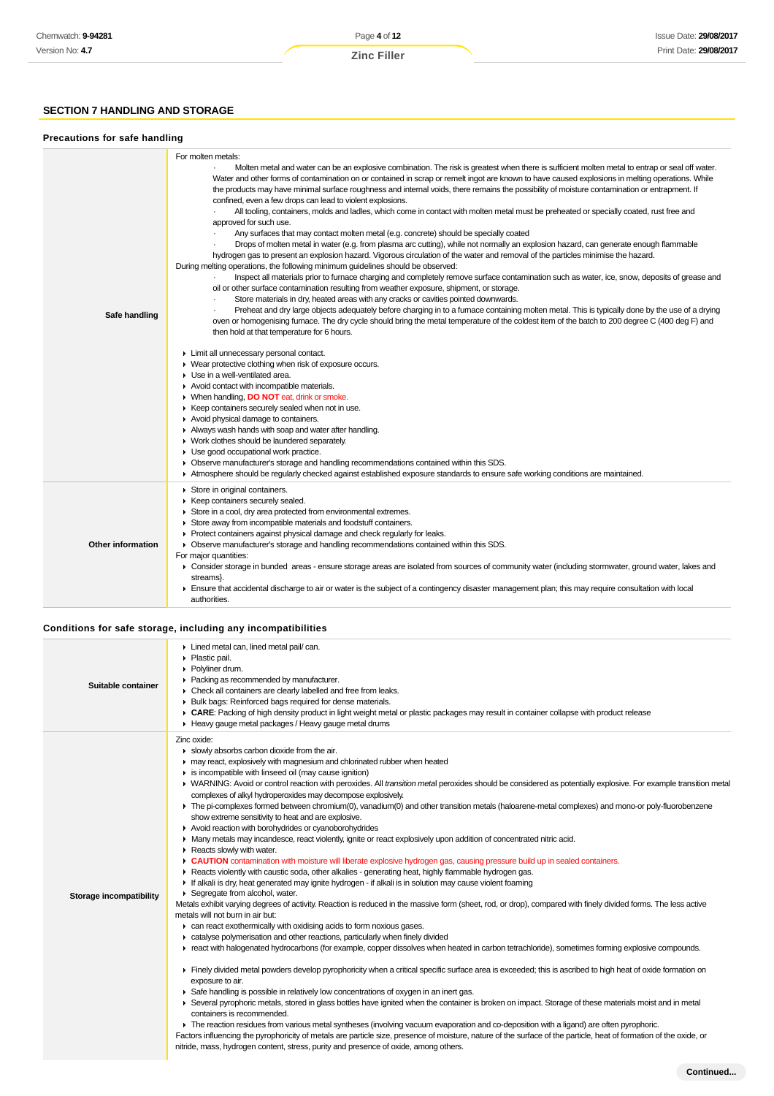# **SECTION 7 HANDLING AND STORAGE**

## **Precautions for safe handling**

| Safe handling            | For molten metals:<br>Molten metal and water can be an explosive combination. The risk is greatest when there is sufficient molten metal to entrap or seal off water.<br>Water and other forms of contamination on or contained in scrap or remelt ingot are known to have caused explosions in melting operations. While<br>the products may have minimal surface roughness and internal voids, there remains the possibility of moisture contamination or entrapment. If<br>confined, even a few drops can lead to violent explosions.<br>All tooling, containers, molds and ladles, which come in contact with molten metal must be preheated or specially coated, rust free and<br>approved for such use.<br>Any surfaces that may contact molten metal (e.g. concrete) should be specially coated<br>Drops of molten metal in water (e.g. from plasma arc cutting), while not normally an explosion hazard, can generate enough flammable<br>hydrogen gas to present an explosion hazard. Vigorous circulation of the water and removal of the particles minimise the hazard.<br>During melting operations, the following minimum guidelines should be observed:<br>Inspect all materials prior to furnace charging and completely remove surface contamination such as water, ice, snow, deposits of grease and<br>oil or other surface contamination resulting from weather exposure, shipment, or storage.<br>Store materials in dry, heated areas with any cracks or cavities pointed downwards.<br>Preheat and dry large objects adequately before charging in to a furnace containing molten metal. This is typically done by the use of a drying<br>oven or homogenising furnace. The dry cycle should bring the metal temperature of the coldest item of the batch to 200 degree C (400 deg F) and<br>then hold at that temperature for 6 hours.<br>Limit all unnecessary personal contact.<br>• Wear protective clothing when risk of exposure occurs.<br>• Use in a well-ventilated area.<br>Avoid contact with incompatible materials.<br>▶ When handling, DO NOT eat, drink or smoke.<br>▶ Keep containers securely sealed when not in use.<br>Avoid physical damage to containers.<br>Always wash hands with soap and water after handling.<br>• Work clothes should be laundered separately.<br>• Use good occupational work practice.<br>• Observe manufacturer's storage and handling recommendations contained within this SDS.<br>Atmosphere should be regularly checked against established exposure standards to ensure safe working conditions are maintained. |
|--------------------------|------------------------------------------------------------------------------------------------------------------------------------------------------------------------------------------------------------------------------------------------------------------------------------------------------------------------------------------------------------------------------------------------------------------------------------------------------------------------------------------------------------------------------------------------------------------------------------------------------------------------------------------------------------------------------------------------------------------------------------------------------------------------------------------------------------------------------------------------------------------------------------------------------------------------------------------------------------------------------------------------------------------------------------------------------------------------------------------------------------------------------------------------------------------------------------------------------------------------------------------------------------------------------------------------------------------------------------------------------------------------------------------------------------------------------------------------------------------------------------------------------------------------------------------------------------------------------------------------------------------------------------------------------------------------------------------------------------------------------------------------------------------------------------------------------------------------------------------------------------------------------------------------------------------------------------------------------------------------------------------------------------------------------------------------------------------------------------------------------------------------------------------------------------------------------------------------------------------------------------------------------------------------------------------------------------------------------------------------------------------------------------------------------------------------------------------------------------------------------------------------------------------------------------------------------------------------------------------|
| <b>Other information</b> | Store in original containers.<br>▶ Keep containers securely sealed.<br>Store in a cool, dry area protected from environmental extremes.<br>Store away from incompatible materials and foodstuff containers.<br>▶ Protect containers against physical damage and check regularly for leaks.<br>• Observe manufacturer's storage and handling recommendations contained within this SDS.<br>For major quantities:<br>► Consider storage in bunded areas - ensure storage areas are isolated from sources of community water (including stormwater, ground water, lakes and<br>streams}.<br>Ensure that accidental discharge to air or water is the subject of a contingency disaster management plan; this may require consultation with local<br>authorities.                                                                                                                                                                                                                                                                                                                                                                                                                                                                                                                                                                                                                                                                                                                                                                                                                                                                                                                                                                                                                                                                                                                                                                                                                                                                                                                                                                                                                                                                                                                                                                                                                                                                                                                                                                                                                             |

# **Conditions for safe storage, including any incompatibilities**

| Suitable container      | Lined metal can, lined metal pail/can.<br>• Plastic pail.<br>Polyliner drum.<br>• Packing as recommended by manufacturer.<br>• Check all containers are clearly labelled and free from leaks.<br>• Bulk bags: Reinforced bags required for dense materials.<br>▶ CARE: Packing of high density product in light weight metal or plastic packages may result in container collapse with product release<br>Heavy gauge metal packages / Heavy gauge metal drums                                                                                                                                                                                                                                                                                                                                                                                                                                                                                                                                                                                                                                                                                                                                                                                                                                                                                                                                                                                                                                                                                                                                                                                                                                                                                                                                                                                                                                                                                                                                                                                                                                                                                                                                                                                                                                                                                                                                                                                                                                                                                                                                                                                      |
|-------------------------|-----------------------------------------------------------------------------------------------------------------------------------------------------------------------------------------------------------------------------------------------------------------------------------------------------------------------------------------------------------------------------------------------------------------------------------------------------------------------------------------------------------------------------------------------------------------------------------------------------------------------------------------------------------------------------------------------------------------------------------------------------------------------------------------------------------------------------------------------------------------------------------------------------------------------------------------------------------------------------------------------------------------------------------------------------------------------------------------------------------------------------------------------------------------------------------------------------------------------------------------------------------------------------------------------------------------------------------------------------------------------------------------------------------------------------------------------------------------------------------------------------------------------------------------------------------------------------------------------------------------------------------------------------------------------------------------------------------------------------------------------------------------------------------------------------------------------------------------------------------------------------------------------------------------------------------------------------------------------------------------------------------------------------------------------------------------------------------------------------------------------------------------------------------------------------------------------------------------------------------------------------------------------------------------------------------------------------------------------------------------------------------------------------------------------------------------------------------------------------------------------------------------------------------------------------------------------------------------------------------------------------------------------------|
| Storage incompatibility | Zinc oxide:<br>Slowly absorbs carbon dioxide from the air.<br>may react, explosively with magnesium and chlorinated rubber when heated<br>is incompatible with linseed oil (may cause ignition)<br>▶ WARNING: Avoid or control reaction with peroxides. All transition metal peroxides should be considered as potentially explosive. For example transition metal<br>complexes of alkyl hydroperoxides may decompose explosively.<br>The pi-complexes formed between chromium(0), vanadium(0) and other transition metals (haloarene-metal complexes) and mono-or poly-fluorobenzene<br>show extreme sensitivity to heat and are explosive.<br>Avoid reaction with borohydrides or cyanoborohydrides<br>• Many metals may incandesce, react violently, ignite or react explosively upon addition of concentrated nitric acid.<br>Reacts slowly with water.<br>E CAUTION contamination with moisture will liberate explosive hydrogen gas, causing pressure build up in sealed containers.<br>▶ Reacts violently with caustic soda, other alkalies - generating heat, highly flammable hydrogen gas.<br>If alkali is dry, heat generated may ignite hydrogen - if alkali is in solution may cause violent foaming<br>Segregate from alcohol, water.<br>Metals exhibit varying degrees of activity. Reaction is reduced in the massive form (sheet, rod, or drop), compared with finely divided forms. The less active<br>metals will not burn in air but:<br>can react exothermically with oxidising acids to form noxious gases.<br>catalyse polymerisation and other reactions, particularly when finely divided<br>F react with halogenated hydrocarbons (for example, copper dissolves when heated in carbon tetrachloride), sometimes forming explosive compounds.<br>Finely divided metal powders develop pyrophoricity when a critical specific surface area is exceeded; this is ascribed to high heat of oxide formation on<br>exposure to air.<br>Safe handling is possible in relatively low concentrations of oxygen in an inert gas.<br>▶ Several pyrophoric metals, stored in glass bottles have ignited when the container is broken on impact. Storage of these materials moist and in metal<br>containers is recommended.<br>The reaction residues from various metal syntheses (involving vacuum evaporation and co-deposition with a ligand) are often pyrophoric.<br>Factors influencing the pyrophoricity of metals are particle size, presence of moisture, nature of the surface of the particle, heat of formation of the oxide, or<br>nitride, mass, hydrogen content, stress, purity and presence of oxide, among others. |

**Continued...**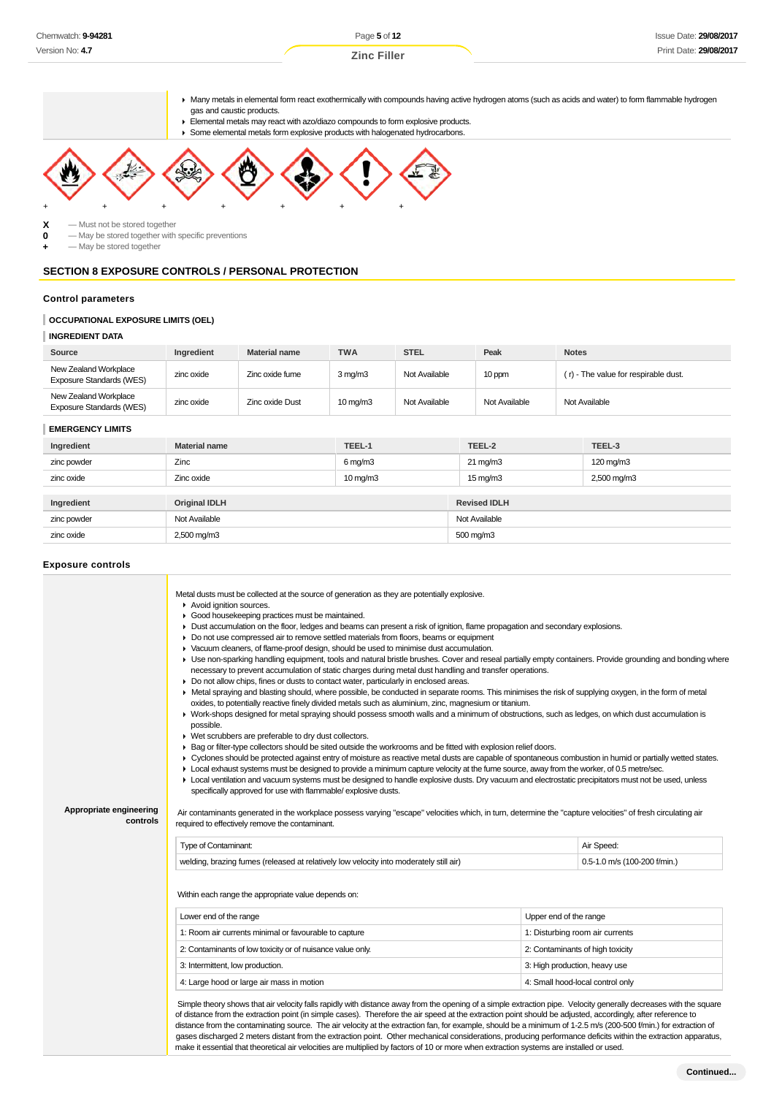Page **5** of **12 Zinc Filler**

Many metals in elemental form react exothermically with compounds having active hydrogen atoms (such as acids and water) to form flammable hydrogen gas and caustic products.

- Elemental metals may react with azo/diazo compounds to form explosive products.
- Some elemental metals form explosive products with halogenated hydrocarbons.



**X** — Must not be stored together<br>**0** — May be stored together with

**0** — May be stored together with specific preventions

**+** — May be stored together

# **SECTION 8 EXPOSURE CONTROLS / PERSONAL PROTECTION**

#### **Control parameters**

# **OCCUPATIONAL EXPOSURE LIMITS (OEL)**

## **INGREDIENT DATA**

| Source                                            | <b>Ingredient</b> | <b>Material name</b> | <b>TWA</b>        | <b>STEL</b>   | Peak          | <b>Notes</b>                         |
|---------------------------------------------------|-------------------|----------------------|-------------------|---------------|---------------|--------------------------------------|
| New Zealand Workplace<br>Exposure Standards (WES) | zinc oxide        | Zinc oxide fume      | $3 \text{ mg/m}$  | Not Available | 10 ppm        | (r) - The value for respirable dust. |
| New Zealand Workplace<br>Exposure Standards (WES) | zinc oxide        | Zinc oxide Dust      | $10 \text{ mg/m}$ | Not Available | Not Available | Not Available                        |

#### **EMERGENCY LIMITS**

| Ingredient  | <b>Material name</b> | TEEL-1            | TEEL-2              | TEEL-3      |
|-------------|----------------------|-------------------|---------------------|-------------|
| zinc powder | Zinc                 | $6$ mg/m $3$      | $21 \text{ mg/m}$   | 120 mg/m3   |
| zinc oxide  | Zinc oxide           | $10 \text{ mg/m}$ | $15 \text{ mg/m}$   | 2,500 mg/m3 |
|             |                      |                   |                     |             |
| Ingredient  | <b>Original IDLH</b> |                   | <b>Revised IDLH</b> |             |
| zinc powder | Not Available        |                   | Not Available       |             |
| zinc oxide  | 2,500 mg/m3          |                   | 500 mg/m3           |             |

#### **Exposure controls**

| Metal dusts must be collected at the source of generation as they are potentially explosive.<br>Avoid ignition sources.<br>Good housekeeping practices must be maintained.<br>Dust accumulation on the floor, ledges and beams can present a risk of ignition, flame propagation and secondary explosions.<br>► Do not use compressed air to remove settled materials from floors, beams or equipment<br>▶ Vacuum cleaners, of flame-proof design, should be used to minimise dust accumulation.<br>▶ Use non-sparking handling equipment, tools and natural bristle brushes. Cover and reseal partially empty containers. Provide grounding and bonding where<br>necessary to prevent accumulation of static charges during metal dust handling and transfer operations.<br>Do not allow chips, fines or dusts to contact water, particularly in enclosed areas.<br>▶ Metal spraying and blasting should, where possible, be conducted in separate rooms. This minimises the risk of supplying oxygen, in the form of metal<br>oxides, to potentially reactive finely divided metals such as aluminium, zinc, magnesium or titanium.<br>▶ Work-shops designed for metal spraying should possess smooth walls and a minimum of obstructions, such as ledges, on which dust accumulation is<br>possible.<br>• Wet scrubbers are preferable to dry dust collectors.<br>► Bag or filter-type collectors should be sited outside the workrooms and be fitted with explosion relief doors.<br>▶ Cyclones should be protected against entry of moisture as reactive metal dusts are capable of spontaneous combustion in humid or partially wetted states.<br>• Local exhaust systems must be designed to provide a minimum capture velocity at the fume source, away from the worker, of 0.5 metre/sec.<br>• Local ventilation and vacuum systems must be designed to handle explosive dusts. Dry vacuum and electrostatic precipitators must not be used, unless<br>specifically approved for use with flammable/ explosive dusts.<br>Appropriate engineering<br>Air contaminants generated in the workplace possess varying "escape" velocities which, in turn, determine the "capture velocities" of fresh circulating air<br>controls<br>required to effectively remove the contaminant. |                                                                                                                                                                                                                                                      |                        |                                 |  |  |  |
|-----------------------------------------------------------------------------------------------------------------------------------------------------------------------------------------------------------------------------------------------------------------------------------------------------------------------------------------------------------------------------------------------------------------------------------------------------------------------------------------------------------------------------------------------------------------------------------------------------------------------------------------------------------------------------------------------------------------------------------------------------------------------------------------------------------------------------------------------------------------------------------------------------------------------------------------------------------------------------------------------------------------------------------------------------------------------------------------------------------------------------------------------------------------------------------------------------------------------------------------------------------------------------------------------------------------------------------------------------------------------------------------------------------------------------------------------------------------------------------------------------------------------------------------------------------------------------------------------------------------------------------------------------------------------------------------------------------------------------------------------------------------------------------------------------------------------------------------------------------------------------------------------------------------------------------------------------------------------------------------------------------------------------------------------------------------------------------------------------------------------------------------------------------------------------------------------------------------------------------------------------------------------------------------|------------------------------------------------------------------------------------------------------------------------------------------------------------------------------------------------------------------------------------------------------|------------------------|---------------------------------|--|--|--|
|                                                                                                                                                                                                                                                                                                                                                                                                                                                                                                                                                                                                                                                                                                                                                                                                                                                                                                                                                                                                                                                                                                                                                                                                                                                                                                                                                                                                                                                                                                                                                                                                                                                                                                                                                                                                                                                                                                                                                                                                                                                                                                                                                                                                                                                                                         | Type of Contaminant:                                                                                                                                                                                                                                 |                        | Air Speed:                      |  |  |  |
|                                                                                                                                                                                                                                                                                                                                                                                                                                                                                                                                                                                                                                                                                                                                                                                                                                                                                                                                                                                                                                                                                                                                                                                                                                                                                                                                                                                                                                                                                                                                                                                                                                                                                                                                                                                                                                                                                                                                                                                                                                                                                                                                                                                                                                                                                         | welding, brazing fumes (released at relatively low velocity into moderately still air)                                                                                                                                                               |                        | 0.5-1.0 m/s (100-200 f/min.)    |  |  |  |
|                                                                                                                                                                                                                                                                                                                                                                                                                                                                                                                                                                                                                                                                                                                                                                                                                                                                                                                                                                                                                                                                                                                                                                                                                                                                                                                                                                                                                                                                                                                                                                                                                                                                                                                                                                                                                                                                                                                                                                                                                                                                                                                                                                                                                                                                                         | Within each range the appropriate value depends on:<br>Lower end of the range                                                                                                                                                                        | Upper end of the range |                                 |  |  |  |
|                                                                                                                                                                                                                                                                                                                                                                                                                                                                                                                                                                                                                                                                                                                                                                                                                                                                                                                                                                                                                                                                                                                                                                                                                                                                                                                                                                                                                                                                                                                                                                                                                                                                                                                                                                                                                                                                                                                                                                                                                                                                                                                                                                                                                                                                                         | 1: Room air currents minimal or favourable to capture                                                                                                                                                                                                |                        | 1: Disturbing room air currents |  |  |  |
|                                                                                                                                                                                                                                                                                                                                                                                                                                                                                                                                                                                                                                                                                                                                                                                                                                                                                                                                                                                                                                                                                                                                                                                                                                                                                                                                                                                                                                                                                                                                                                                                                                                                                                                                                                                                                                                                                                                                                                                                                                                                                                                                                                                                                                                                                         | 2: Contaminants of low toxicity or of nuisance value only.<br>2: Contaminants of high toxicity<br>3: Intermittent, low production.<br>3: High production, heavy use<br>4: Large hood or large air mass in motion<br>4: Small hood-local control only |                        |                                 |  |  |  |
|                                                                                                                                                                                                                                                                                                                                                                                                                                                                                                                                                                                                                                                                                                                                                                                                                                                                                                                                                                                                                                                                                                                                                                                                                                                                                                                                                                                                                                                                                                                                                                                                                                                                                                                                                                                                                                                                                                                                                                                                                                                                                                                                                                                                                                                                                         |                                                                                                                                                                                                                                                      |                        |                                 |  |  |  |
|                                                                                                                                                                                                                                                                                                                                                                                                                                                                                                                                                                                                                                                                                                                                                                                                                                                                                                                                                                                                                                                                                                                                                                                                                                                                                                                                                                                                                                                                                                                                                                                                                                                                                                                                                                                                                                                                                                                                                                                                                                                                                                                                                                                                                                                                                         |                                                                                                                                                                                                                                                      |                        |                                 |  |  |  |
| Simple theory shows that air velocity falls rapidly with distance away from the opening of a simple extraction pipe. Velocity generally decreases with the square<br>of distance from the extraction point (in simple cases). Therefore the air speed at the extraction point should be adjusted, accordingly, after reference to<br>distance from the contaminating source. The air velocity at the extraction fan, for example, should be a minimum of 1-2.5 m/s (200-500 f/min.) for extraction of<br>gases discharged 2 meters distant from the extraction point. Other mechanical considerations, producing performance deficits within the extraction apparatus,<br>make it essential that theoretical air velocities are multiplied by factors of 10 or more when extraction systems are installed or used.                                                                                                                                                                                                                                                                                                                                                                                                                                                                                                                                                                                                                                                                                                                                                                                                                                                                                                                                                                                                                                                                                                                                                                                                                                                                                                                                                                                                                                                                      |                                                                                                                                                                                                                                                      |                        |                                 |  |  |  |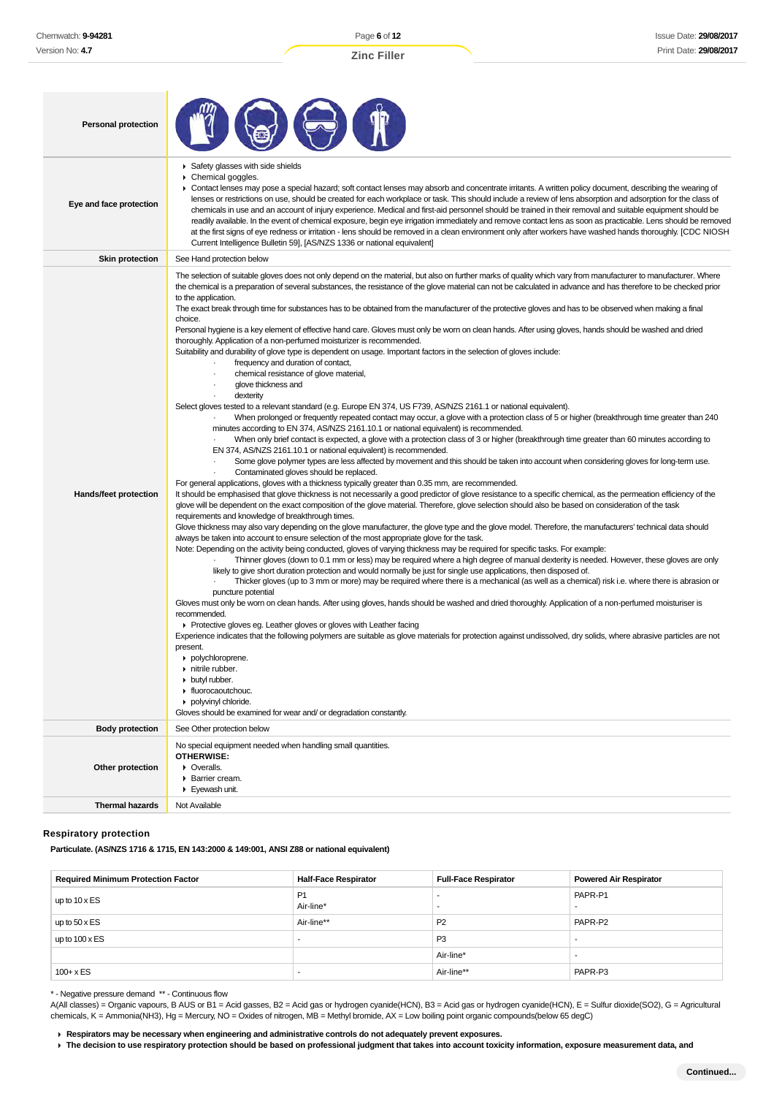| <b>Personal protection</b> |                                                                                                                                                                                                                                                                                                                                                                                                                                                                                                                                                                                                                                                                                                                                                                                                                                                                                                                                                                                                                                                                                                                                                                                                                                                                                                                                                                                                                                                                                                                                                                                                                                                                                                                                                                                                                                                                                                                                                                                                                                                                                                                                                                                                                                                                                                                                                                                                                                                                                                                                                                                                                                                                                                                                                                                                                                                                                                                                                                                                                                                                                                                                                                                                                                                                                                                                                                                                                                                                                                                                                                                                                                                                                                                                                 |
|----------------------------|-------------------------------------------------------------------------------------------------------------------------------------------------------------------------------------------------------------------------------------------------------------------------------------------------------------------------------------------------------------------------------------------------------------------------------------------------------------------------------------------------------------------------------------------------------------------------------------------------------------------------------------------------------------------------------------------------------------------------------------------------------------------------------------------------------------------------------------------------------------------------------------------------------------------------------------------------------------------------------------------------------------------------------------------------------------------------------------------------------------------------------------------------------------------------------------------------------------------------------------------------------------------------------------------------------------------------------------------------------------------------------------------------------------------------------------------------------------------------------------------------------------------------------------------------------------------------------------------------------------------------------------------------------------------------------------------------------------------------------------------------------------------------------------------------------------------------------------------------------------------------------------------------------------------------------------------------------------------------------------------------------------------------------------------------------------------------------------------------------------------------------------------------------------------------------------------------------------------------------------------------------------------------------------------------------------------------------------------------------------------------------------------------------------------------------------------------------------------------------------------------------------------------------------------------------------------------------------------------------------------------------------------------------------------------------------------------------------------------------------------------------------------------------------------------------------------------------------------------------------------------------------------------------------------------------------------------------------------------------------------------------------------------------------------------------------------------------------------------------------------------------------------------------------------------------------------------------------------------------------------------------------------------------------------------------------------------------------------------------------------------------------------------------------------------------------------------------------------------------------------------------------------------------------------------------------------------------------------------------------------------------------------------------------------------------------------------------------------------------------------------|
| Eye and face protection    | Safety glasses with side shields<br>Chemical goggles.<br>▶ Contact lenses may pose a special hazard; soft contact lenses may absorb and concentrate irritants. A written policy document, describing the wearing of<br>lenses or restrictions on use, should be created for each workplace or task. This should include a review of lens absorption and adsorption for the class of<br>chemicals in use and an account of injury experience. Medical and first-aid personnel should be trained in their removal and suitable equipment should be<br>readily available. In the event of chemical exposure, begin eye irrigation immediately and remove contact lens as soon as practicable. Lens should be removed<br>at the first signs of eye redness or irritation - lens should be removed in a clean environment only after workers have washed hands thoroughly. [CDC NIOSH<br>Current Intelligence Bulletin 59], [AS/NZS 1336 or national equivalent]                                                                                                                                                                                                                                                                                                                                                                                                                                                                                                                                                                                                                                                                                                                                                                                                                                                                                                                                                                                                                                                                                                                                                                                                                                                                                                                                                                                                                                                                                                                                                                                                                                                                                                                                                                                                                                                                                                                                                                                                                                                                                                                                                                                                                                                                                                                                                                                                                                                                                                                                                                                                                                                                                                                                                                                     |
| <b>Skin protection</b>     | See Hand protection below                                                                                                                                                                                                                                                                                                                                                                                                                                                                                                                                                                                                                                                                                                                                                                                                                                                                                                                                                                                                                                                                                                                                                                                                                                                                                                                                                                                                                                                                                                                                                                                                                                                                                                                                                                                                                                                                                                                                                                                                                                                                                                                                                                                                                                                                                                                                                                                                                                                                                                                                                                                                                                                                                                                                                                                                                                                                                                                                                                                                                                                                                                                                                                                                                                                                                                                                                                                                                                                                                                                                                                                                                                                                                                                       |
| Hands/feet protection      | The selection of suitable gloves does not only depend on the material, but also on further marks of quality which vary from manufacturer to manufacturer. Where<br>the chemical is a preparation of several substances, the resistance of the glove material can not be calculated in advance and has therefore to be checked prior<br>to the application.<br>The exact break through time for substances has to be obtained from the manufacturer of the protective gloves and has to be observed when making a final<br>choice.<br>Personal hygiene is a key element of effective hand care. Gloves must only be worn on clean hands. After using gloves, hands should be washed and dried<br>thoroughly. Application of a non-perfumed moisturizer is recommended.<br>Suitability and durability of glove type is dependent on usage. Important factors in the selection of gloves include:<br>frequency and duration of contact,<br>chemical resistance of glove material,<br>$\cdot$<br>glove thickness and<br>dexterity<br>Select gloves tested to a relevant standard (e.g. Europe EN 374, US F739, AS/NZS 2161.1 or national equivalent).<br>When prolonged or frequently repeated contact may occur, a glove with a protection class of 5 or higher (breakthrough time greater than 240<br>minutes according to EN 374, AS/NZS 2161.10.1 or national equivalent) is recommended.<br>When only brief contact is expected, a glove with a protection class of 3 or higher (breakthrough time greater than 60 minutes according to<br>EN 374, AS/NZS 2161.10.1 or national equivalent) is recommended.<br>Some glove polymer types are less affected by movement and this should be taken into account when considering gloves for long-term use.<br>Contaminated gloves should be replaced.<br>For general applications, gloves with a thickness typically greater than 0.35 mm, are recommended.<br>It should be emphasised that glove thickness is not necessarily a good predictor of glove resistance to a specific chemical, as the permeation efficiency of the<br>glove will be dependent on the exact composition of the glove material. Therefore, glove selection should also be based on consideration of the task<br>requirements and knowledge of breakthrough times.<br>Glove thickness may also vary depending on the glove manufacturer, the glove type and the glove model. Therefore, the manufacturers' technical data should<br>always be taken into account to ensure selection of the most appropriate glove for the task.<br>Note: Depending on the activity being conducted, gloves of varying thickness may be required for specific tasks. For example:<br>Thinner gloves (down to 0.1 mm or less) may be required where a high degree of manual dexterity is needed. However, these gloves are only<br>likely to give short duration protection and would normally be just for single use applications, then disposed of.<br>Thicker gloves (up to 3 mm or more) may be required where there is a mechanical (as well as a chemical) risk i.e. where there is abrasion or<br>puncture potential<br>Gloves must only be wom on clean hands. After using gloves, hands should be washed and dried thoroughly. Application of a non-perfumed moisturiser is<br>recommended.<br>▶ Protective gloves eg. Leather gloves or gloves with Leather facing<br>Experience indicates that the following polymers are suitable as glove materials for protection against undissolved, dry solids, where abrasive particles are not<br>present.<br>polychloroprene.<br>nitrile rubber.<br>butyl rubber.<br>• fluorocaoutchouc.<br>polyvinyl chloride.<br>Gloves should be examined for wear and/ or degradation constantly. |
| <b>Body protection</b>     | See Other protection below                                                                                                                                                                                                                                                                                                                                                                                                                                                                                                                                                                                                                                                                                                                                                                                                                                                                                                                                                                                                                                                                                                                                                                                                                                                                                                                                                                                                                                                                                                                                                                                                                                                                                                                                                                                                                                                                                                                                                                                                                                                                                                                                                                                                                                                                                                                                                                                                                                                                                                                                                                                                                                                                                                                                                                                                                                                                                                                                                                                                                                                                                                                                                                                                                                                                                                                                                                                                                                                                                                                                                                                                                                                                                                                      |
| Other protection           | No special equipment needed when handling small quantities.<br><b>OTHERWISE:</b><br>• Overalls.<br>Barrier cream.<br>Eyewash unit.                                                                                                                                                                                                                                                                                                                                                                                                                                                                                                                                                                                                                                                                                                                                                                                                                                                                                                                                                                                                                                                                                                                                                                                                                                                                                                                                                                                                                                                                                                                                                                                                                                                                                                                                                                                                                                                                                                                                                                                                                                                                                                                                                                                                                                                                                                                                                                                                                                                                                                                                                                                                                                                                                                                                                                                                                                                                                                                                                                                                                                                                                                                                                                                                                                                                                                                                                                                                                                                                                                                                                                                                              |
| Thermal hazards            | Not Available                                                                                                                                                                                                                                                                                                                                                                                                                                                                                                                                                                                                                                                                                                                                                                                                                                                                                                                                                                                                                                                                                                                                                                                                                                                                                                                                                                                                                                                                                                                                                                                                                                                                                                                                                                                                                                                                                                                                                                                                                                                                                                                                                                                                                                                                                                                                                                                                                                                                                                                                                                                                                                                                                                                                                                                                                                                                                                                                                                                                                                                                                                                                                                                                                                                                                                                                                                                                                                                                                                                                                                                                                                                                                                                                   |

# **Respiratory protection**

**Particulate. (AS/NZS 1716 & 1715, EN 143:2000 & 149:001, ANSI Z88 or national equivalent)**

| <b>Required Minimum Protection Factor</b> | <b>Half-Face Respirator</b> | <b>Full-Face Respirator</b> | <b>Powered Air Respirator</b> |
|-------------------------------------------|-----------------------------|-----------------------------|-------------------------------|
| up to $10 \times ES$                      | P <sub>1</sub><br>Air-line* |                             | PAPR-P1<br>-                  |
| up to $50 \times ES$                      | Air-line**                  | P <sub>2</sub>              | PAPR-P2                       |
| up to $100 \times ES$                     |                             | P <sub>3</sub>              | $\overline{\phantom{a}}$      |
|                                           |                             | Air-line*                   |                               |
| $100 + x ES$                              |                             | Air-line**                  | PAPR-P3                       |

\* - Negative pressure demand \*\* - Continuous flow

A(All classes) = Organic vapours, B AUS or B1 = Acid gasses, B2 = Acid gas or hydrogen cyanide(HCN), B3 = Acid gas or hydrogen cyanide(HCN), E = Sulfur dioxide(SO2), G = Agricultural chemicals, K = Ammonia(NH3), Hg = Mercury, NO = Oxides of nitrogen, MB = Methyl bromide, AX = Low boiling point organic compounds(below 65 degC)

**Respirators may be necessary when engineering and administrative controls do not adequately prevent exposures.**

**The decision to use respiratory protection should be based on professional judgment that takes into account toxicity information, exposure measurement data, and**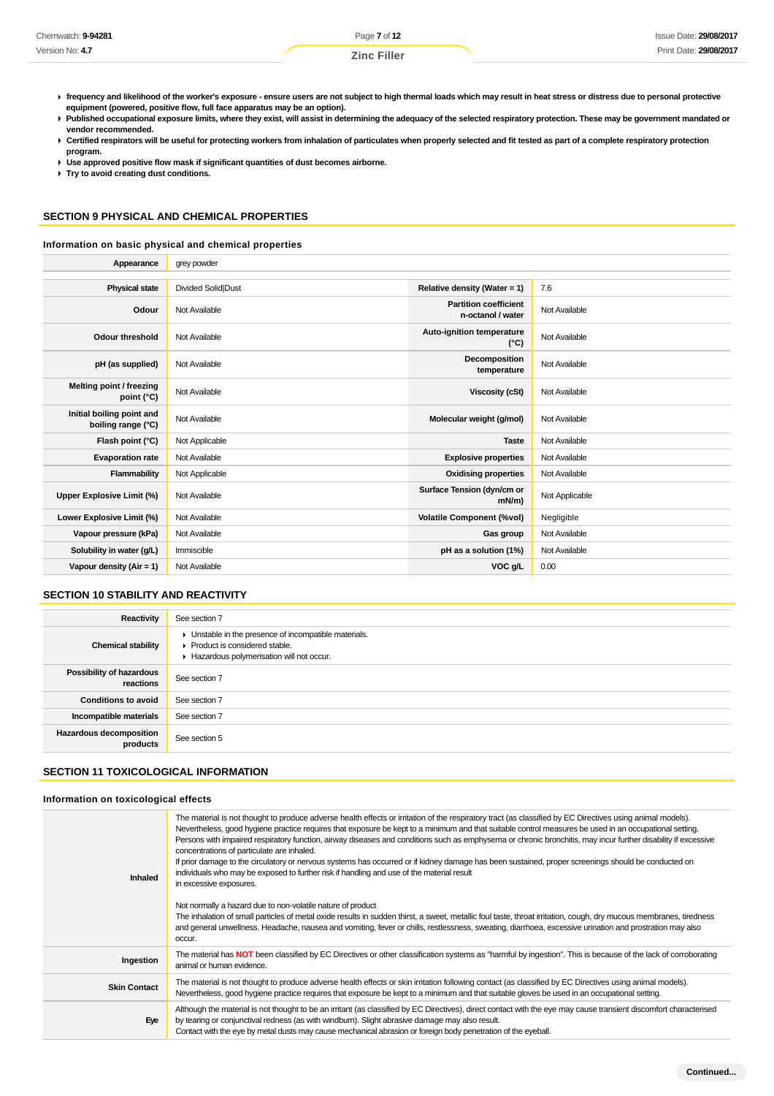| Chemwatch: 9-94281 | Page 7 of 12       | <b>Issue Date: 29/08/2017</b> |
|--------------------|--------------------|-------------------------------|
| Version No: 4.7    | <b>Zinc Filler</b> | Print Date: 29/08/2017        |

- **frequency and likelihood of the worker's exposure ensure users are not subject to high thermal loads which may result in heat stress or distress due to personal protective equipment (powered, positive flow, full face apparatus may be an option).**
- Published occupational exposure limits, where they exist, will assist in determining the adequacy of the selected respiratory protection. These may be government mandated or **vendor recommended.**
- ▶ Certified respirators will be useful for protecting workers from inhalation of particulates when properly selected and fit tested as part of a complete respiratory protection **program.**
- **Use approved positive flow mask if significant quantities of dust becomes airborne.**
- **Try to avoid creating dust conditions.**

# **SECTION 9 PHYSICAL AND CHEMICAL PROPERTIES**

#### **Information on basic physical and chemical properties**

| Appearance                                      | grey powder               |                                                   |                |
|-------------------------------------------------|---------------------------|---------------------------------------------------|----------------|
|                                                 |                           |                                                   |                |
| <b>Physical state</b>                           | <b>Divided Solid Dust</b> | Relative density (Water = 1)                      | 7.6            |
| Odour                                           | Not Available             | <b>Partition coefficient</b><br>n-octanol / water | Not Available  |
| Odour threshold                                 | Not Available             | Auto-ignition temperature<br>$(^{\circ}C)$        | Not Available  |
| pH (as supplied)                                | Not Available             | Decomposition<br>temperature                      | Not Available  |
| Melting point / freezing<br>point $(^{\circ}C)$ | Not Available             | Viscosity (cSt)                                   | Not Available  |
| Initial boiling point and<br>boiling range (°C) | Not Available             | Molecular weight (g/mol)                          | Not Available  |
| Flash point (°C)                                | Not Applicable            | <b>Taste</b>                                      | Not Available  |
| <b>Evaporation rate</b>                         | Not Available             | <b>Explosive properties</b>                       | Not Available  |
| Flammability                                    | Not Applicable            | <b>Oxidising properties</b>                       | Not Available  |
| <b>Upper Explosive Limit (%)</b>                | Not Available             | Surface Tension (dyn/cm or<br>$mN/m$ )            | Not Applicable |
| Lower Explosive Limit (%)                       | Not Available             | <b>Volatile Component (%vol)</b>                  | Negligible     |
| Vapour pressure (kPa)                           | Not Available             | Gas group                                         | Not Available  |
| Solubility in water (g/L)                       | Immiscible                | pH as a solution (1%)                             | Not Available  |
| Vapour density ( $Air = 1$ )                    | Not Available             | VOC g/L                                           | 0.00           |

## **SECTION 10 STABILITY AND REACTIVITY**

| Reactivity                                 | See section 7                                                                                                                      |
|--------------------------------------------|------------------------------------------------------------------------------------------------------------------------------------|
| <b>Chemical stability</b>                  | • Unstable in the presence of incompatible materials.<br>Product is considered stable.<br>Hazardous polymerisation will not occur. |
| Possibility of hazardous<br>reactions      | See section 7                                                                                                                      |
| <b>Conditions to avoid</b>                 | See section 7                                                                                                                      |
| Incompatible materials                     | See section 7                                                                                                                      |
| <b>Hazardous decomposition</b><br>products | See section 5                                                                                                                      |

# **SECTION 11 TOXICOLOGICAL INFORMATION**

#### **Information on toxicological effects**

| Inhaled             | The material is not thought to produce adverse health effects or irritation of the respiratory tract (as classified by EC Directives using animal models).<br>Nevertheless, good hygiene practice requires that exposure be kept to a minimum and that suitable control measures be used in an occupational setting.<br>Persons with impaired respiratory function, airway diseases and conditions such as emphysema or chronic bronchitis, may incur further disability if excessive<br>concentrations of particulate are inhaled.<br>If prior damage to the circulatory or nervous systems has occurred or if kidney damage has been sustained, proper screenings should be conducted on<br>individuals who may be exposed to further risk if handling and use of the material result<br>in excessive exposures.<br>Not normally a hazard due to non-volatile nature of product<br>The inhalation of small particles of metal oxide results in sudden thirst, a sweet, metallic foul taste, throat irritation, cough, dry mucous membranes, tiredness<br>and general unwellness. Headache, nausea and vomiting, fever or chills, restlessness, sweating, diarrhoea, excessive urination and prostration may also<br>occur. |
|---------------------|------------------------------------------------------------------------------------------------------------------------------------------------------------------------------------------------------------------------------------------------------------------------------------------------------------------------------------------------------------------------------------------------------------------------------------------------------------------------------------------------------------------------------------------------------------------------------------------------------------------------------------------------------------------------------------------------------------------------------------------------------------------------------------------------------------------------------------------------------------------------------------------------------------------------------------------------------------------------------------------------------------------------------------------------------------------------------------------------------------------------------------------------------------------------------------------------------------------------------|
| Ingestion           | The material has NOT been classified by EC Directives or other classification systems as "harmful by ingestion". This is because of the lack of corroborating<br>animal or human evidence.                                                                                                                                                                                                                                                                                                                                                                                                                                                                                                                                                                                                                                                                                                                                                                                                                                                                                                                                                                                                                                   |
| <b>Skin Contact</b> | The material is not thought to produce adverse health effects or skin irritation following contact (as classified by EC Directives using animal models).<br>Nevertheless, good hygiene practice requires that exposure be kept to a minimum and that suitable gloves be used in an occupational setting.                                                                                                                                                                                                                                                                                                                                                                                                                                                                                                                                                                                                                                                                                                                                                                                                                                                                                                                     |
| Eye                 | Although the material is not thought to be an irritant (as classified by EC Directives), direct contact with the eye may cause transient discomfort characterised<br>by tearing or conjunctival redness (as with windburn). Slight abrasive damage may also result.<br>Contact with the eye by metal dusts may cause mechanical abrasion or foreign body penetration of the eyeball.                                                                                                                                                                                                                                                                                                                                                                                                                                                                                                                                                                                                                                                                                                                                                                                                                                         |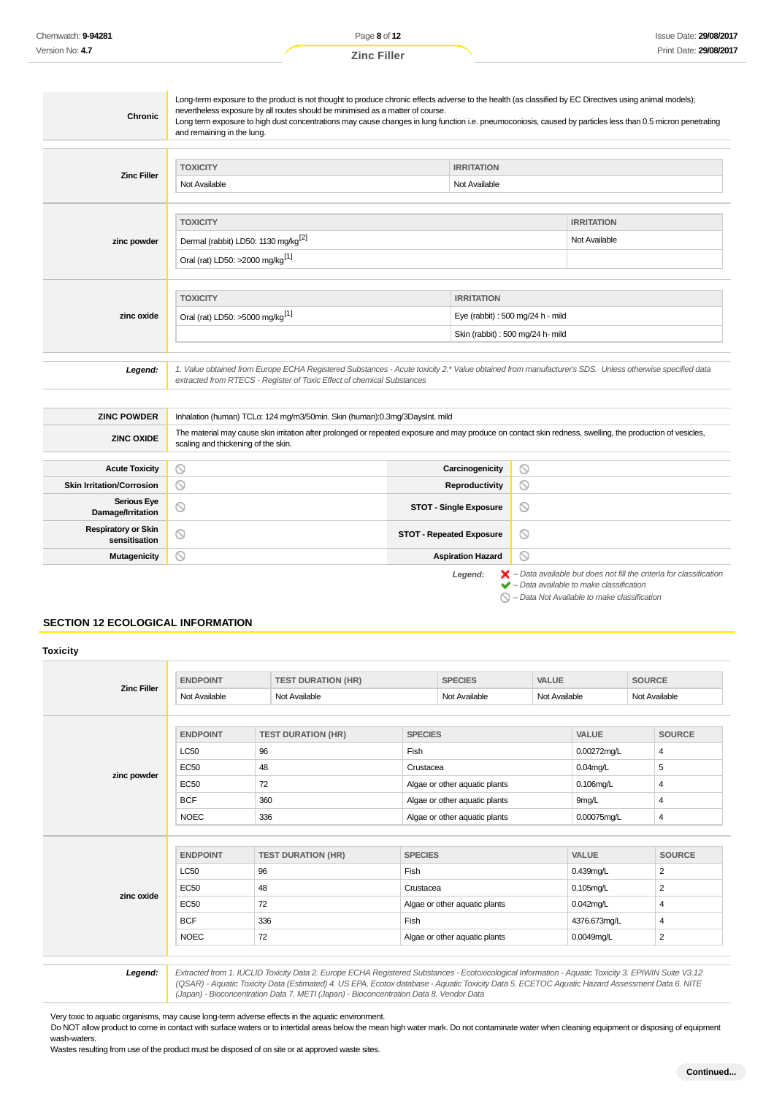| <b>Chronic</b>                                                     | Long-term exposure to the product is not thought to produce chronic effects adverse to the health (as classified by EC Directives using animal models);<br>nevertheless exposure by all routes should be minimised as a matter of course.<br>Long term exposure to high dust concentrations may cause changes in lung function i.e. pneumoconiosis, caused by particles less than 0.5 micron penetrating<br>and remaining in the lung. |                                    |                                                                        |                                                                                                                                                           |  |  |
|--------------------------------------------------------------------|----------------------------------------------------------------------------------------------------------------------------------------------------------------------------------------------------------------------------------------------------------------------------------------------------------------------------------------------------------------------------------------------------------------------------------------|------------------------------------|------------------------------------------------------------------------|-----------------------------------------------------------------------------------------------------------------------------------------------------------|--|--|
| <b>Zinc Filler</b>                                                 | <b>TOXICITY</b><br>Not Available                                                                                                                                                                                                                                                                                                                                                                                                       | <b>IRRITATION</b><br>Not Available |                                                                        |                                                                                                                                                           |  |  |
| zinc powder                                                        | <b>TOXICITY</b><br><b>IRRITATION</b><br>Dermal (rabbit) LD50: 1130 mg/kg <sup>[2]</sup><br>Not Available<br>Oral (rat) LD50: >2000 mg/kg <sup>[1]</sup>                                                                                                                                                                                                                                                                                |                                    |                                                                        |                                                                                                                                                           |  |  |
| zinc oxide                                                         | <b>TOXICITY</b><br>Oral (rat) LD50: >5000 mg/kg <sup>[1]</sup>                                                                                                                                                                                                                                                                                                                                                                         | <b>IRRITATION</b>                  | Eye (rabbit) : 500 mg/24 h - mild<br>Skin (rabbit) : 500 mg/24 h- mild |                                                                                                                                                           |  |  |
| Legend:                                                            | 1. Value obtained from Europe ECHA Registered Substances - Acute toxicity 2.* Value obtained from manufacturer's SDS. Unless otherwise specified data<br>extracted from RTECS - Register of Toxic Effect of chemical Substances                                                                                                                                                                                                        |                                    |                                                                        |                                                                                                                                                           |  |  |
| <b>ZINC POWDER</b><br><b>ZINC OXIDE</b>                            | Inhalation (human) TCLo: 124 mg/m3/50min. Skin (human):0.3mg/3DaysInt. mild<br>The material may cause skin irritation after prolonged or repeated exposure and may produce on contact skin redness, swelling, the production of vesicles,<br>scaling and thickening of the skin.                                                                                                                                                       |                                    |                                                                        |                                                                                                                                                           |  |  |
| <b>Acute Toxicity</b><br><b>Skin Irritation/Corrosion</b>          | $\circledcirc$<br>$\circledcirc$                                                                                                                                                                                                                                                                                                                                                                                                       | Carcinogenicity<br>Reproductivity  | $\circledcirc$<br>$\circledcirc$                                       |                                                                                                                                                           |  |  |
| <b>Serious Eye</b><br>Damage/Irritation                            | ◎                                                                                                                                                                                                                                                                                                                                                                                                                                      | <b>STOT - Single Exposure</b>      | $\circ$                                                                |                                                                                                                                                           |  |  |
| <b>Respiratory or Skin</b><br>sensitisation<br><b>Mutagenicity</b> | ◎<br>$\circledcirc$<br><b>STOT - Repeated Exposure</b><br>$\circledcirc$<br>$\circledcirc$<br><b>Aspiration Hazard</b>                                                                                                                                                                                                                                                                                                                 |                                    |                                                                        |                                                                                                                                                           |  |  |
|                                                                    |                                                                                                                                                                                                                                                                                                                                                                                                                                        | Legend:                            |                                                                        | $\blacktriangleright$ - Data available but does not fill the criteria for classification<br>$\blacktriangleright$ - Data available to make classification |  |  |

 $\bigcirc$  – Data Not Available to make classification

# **SECTION 12 ECOLOGICAL INFORMATION**

| <b>Zinc Filler</b> | <b>ENDPOINT</b> | <b>TEST DURATION (HR)</b> | <b>SPECIES</b>                | <b>VALUE</b>  | <b>SOURCE</b>  |
|--------------------|-----------------|---------------------------|-------------------------------|---------------|----------------|
|                    | Not Available   | Not Available             | Not Available                 | Not Available | Not Available  |
|                    | <b>ENDPOINT</b> | <b>TEST DURATION (HR)</b> | <b>SPECIES</b>                | <b>VALUE</b>  | <b>SOURCE</b>  |
|                    | <b>LC50</b>     | 96                        | Fish                          | 0.00272mg/L   | 4              |
|                    | <b>EC50</b>     | 48                        | Crustacea                     | $0.04$ mg/L   | 5              |
| zinc powder        | <b>EC50</b>     | 72                        | Algae or other aquatic plants | $0.106$ mg/L  | 4              |
|                    | <b>BCF</b>      | 360                       | Algae or other aquatic plants | 9mg/L         | 4              |
|                    | <b>NOEC</b>     | 336                       | Algae or other aquatic plants | 0.00075mg/L   | 4              |
|                    |                 |                           |                               |               |                |
|                    | <b>ENDPOINT</b> | <b>TEST DURATION (HR)</b> | <b>SPECIES</b>                | <b>VALUE</b>  | <b>SOURCE</b>  |
|                    | <b>LC50</b>     | 96                        | Fish                          | 0.439mg/L     | 2              |
| zinc oxide         | <b>EC50</b>     | 48                        | Crustacea                     | $0.105$ mg/L  | 2              |
|                    | <b>EC50</b>     | 72                        | Algae or other aquatic plants | $0.042$ mg/L  | 4              |
|                    | <b>BCF</b>      | 336                       | Fish                          | 4376.673mg/L  | $\overline{4}$ |
|                    | <b>NOEC</b>     | 72                        | Algae or other aquatic plants | 0.0049mg/L    | 2              |

(Japan) - Bioconcentration Data 7. METI (Japan) - Bioconcentration Data 8. Vendor Data

Very toxic to aquatic organisms, may cause long-term adverse effects in the aquatic environment.

Do NOT allow product to come in contact with surface waters or to intertidal areas below the mean high water mark. Do not contaminate water when cleaning equipment or disposing of equipment wash-waters.

Wastes resulting from use of the product must be disposed of on site or at approved waste sites.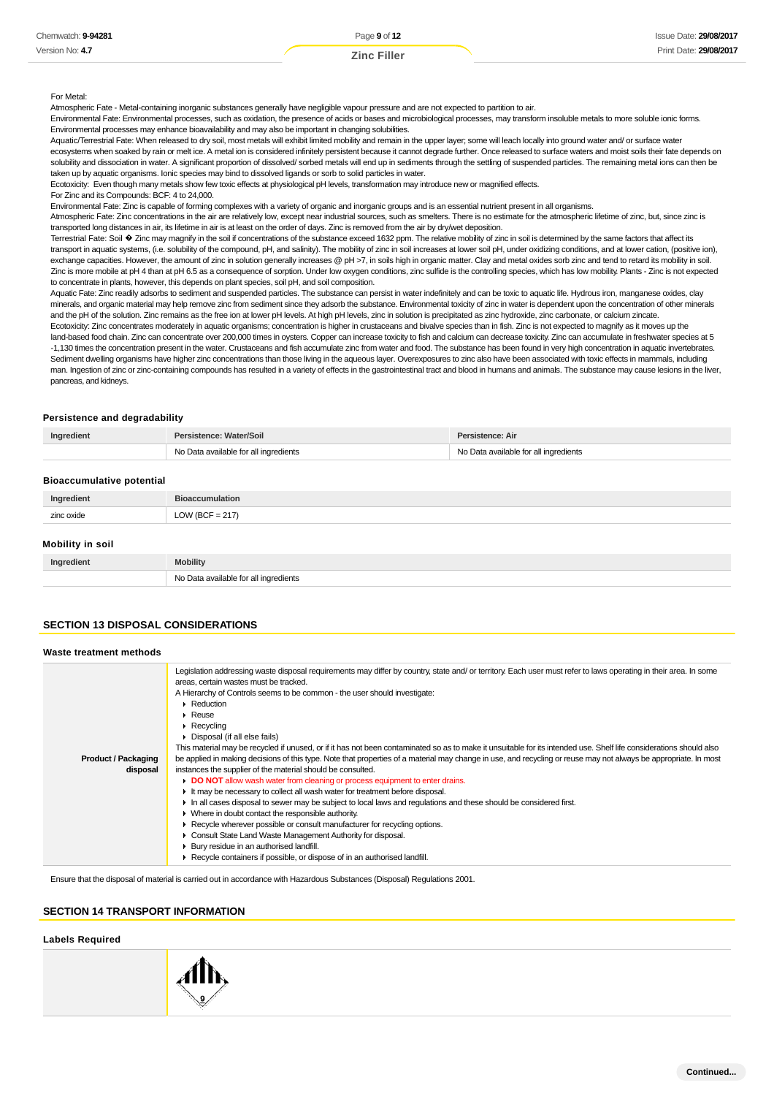#### For Metal:

Atmospheric Fate - Metal-containing inorganic substances generally have negligible vapour pressure and are not expected to partition to air.

Environmental Fate: Environmental processes, such as oxidation, the presence of acids or bases and microbiological processes, may transform insoluble metals to more soluble ionic forms. Environmental processes may enhance bioavailability and may also be important in changing solubilities.

Aquatic/Terrestrial Fate: When released to dry soil, most metals will exhibit limited mobility and remain in the upper layer; some will leach locally into ground water and/ or surface water ecosystems when soaked by rain or melt ice. A metal ion is considered infinitely persistent because it cannot degrade further. Once released to surface waters and moist soils their fate depends on solubility and dissociation in water. A significant proportion of dissolved/ sorbed metals will end up in sediments through the settling of suspended particles. The remaining metal ions can then be taken up by aquatic organisms. Ionic species may bind to dissolved ligands or sorb to solid particles in water.

|  |  |  | Ecotoxicity: Even though many metals show few toxic effects at physiological pH levels, transformation may introduce new or magnified effects. |  |
|--|--|--|------------------------------------------------------------------------------------------------------------------------------------------------|--|

For Zinc and its Compounds: BCF: 4 to 24,000.

Environmental Fate: Zinc is capable of forming complexes with a variety of organic and inorganic groups and is an essential nutrient present in all organisms.

Atmospheric Fate: Zinc concentrations in the air are relatively low, except near industrial sources, such as smelters. There is no estimate for the atmospheric lifetime of zinc, but, since zinc is transported long distances in air, its lifetime in air is at least on the order of days. Zinc is removed from the air by dry/wet deposition.

Terrestrial Fate: Soil � Zinc may magnify in the soil if concentrations of the substance exceed 1632 ppm. The relative mobility of zinc in soil is determined by the same factors that affect its transport in aquatic systems, (i.e. solubility of the compound, pH, and salinity). The mobility of zinc in soil increases at lower soil pH, under oxidizing conditions, and at lower cation, (positive ion), exchange capacities. However, the amount of zinc in solution generally increases @ pH >7, in soils high in organic matter. Clay and metal oxides sorb zinc and tend to retard its mobility in soil. Zinc is more mobile at pH 4 than at pH 6.5 as a consequence of sorption. Under low oxygen conditions, zinc sulfide is the controlling species, which has low mobility. Plants - Zinc is not expected to concentrate in plants, however, this depends on plant species, soil pH, and soil composition.

Aquatic Fate: Zinc readily adsorbs to sediment and suspended particles. The substance can persist in water indefinitely and can be toxic to aquatic life. Hydrous iron, manganese oxides, clay minerals, and organic material may help remove zinc from sediment since they adsorb the substance. Environmental toxicity of zinc in water is dependent upon the concentration of other minerals and the pH of the solution. Zinc remains as the free ion at lower pH levels. At high pH levels, zinc in solution is precipitated as zinc hydroxide, zinc carbonate, or calcium zincate

Ecotoxicity: Zinc concentrates moderately in aquatic organisms; concentration is higher in crustaceans and bivalve species than in fish. Zinc is not expected to magnify as it moves up the land-based food chain. Zinc can concentrate over 200,000 times in oysters. Copper can increase toxicity to fish and calcium can decrease toxicity. Zinc can accumulate in freshwater species at 5 -1,130 times the concentration present in the water. Crustaceans and fish accumulate zinc from water and food. The substance has been found in very high concentration in aquatic invertebrates. Sediment dwelling organisms have higher zinc concentrations than those living in the aqueous layer. Overexposures to zinc also have been associated with toxic effects in mammals, including man. Ingestion of zinc-containing compounds has resulted in a variety of effects in the gastrointestinal tract and blood in humans and animals. The substance may cause lesions in the liver, pancreas, and kidneys.

#### **Persistence and degradability**

| Ingredient                       | Persistence: Water/Soil               | Persistence: Air                      |  |  |  |
|----------------------------------|---------------------------------------|---------------------------------------|--|--|--|
|                                  | No Data available for all ingredients | No Data available for all ingredients |  |  |  |
| <b>Bioaccumulative potential</b> |                                       |                                       |  |  |  |
| Ingredient                       | <b>Bioaccumulation</b>                |                                       |  |  |  |
| zinc oxide                       | LOW (BCF = $217$ )                    |                                       |  |  |  |
| Mobility in soil                 |                                       |                                       |  |  |  |
| Ingredient                       | <b>Mobility</b>                       |                                       |  |  |  |

#### **SECTION 13 DISPOSAL CONSIDERATIONS**

#### **Waste treatment methods**

|                            | Legislation addressing waste disposal requirements may differ by country, state and/ or territory. Each user must refer to laws operating in their area. In some<br>areas, certain wastes must be tracked. |
|----------------------------|------------------------------------------------------------------------------------------------------------------------------------------------------------------------------------------------------------|
|                            | A Hierarchy of Controls seems to be common - the user should investigate:                                                                                                                                  |
|                            | $\blacktriangleright$ Reduction                                                                                                                                                                            |
|                            | $\blacktriangleright$ Reuse                                                                                                                                                                                |
|                            | $\triangleright$ Recycling                                                                                                                                                                                 |
|                            | Disposal (if all else fails)                                                                                                                                                                               |
|                            | This material may be recycled if unused, or if it has not been contaminated so as to make it unsuitable for its intended use. Shelf life considerations should also                                        |
| <b>Product / Packaging</b> | be applied in making decisions of this type. Note that properties of a material may change in use, and recycling or reuse may not always be appropriate. In most                                           |
| disposal                   | instances the supplier of the material should be consulted.                                                                                                                                                |
|                            | DO NOT allow wash water from cleaning or process equipment to enter drains.                                                                                                                                |
|                            | It may be necessary to collect all wash water for treatment before disposal.                                                                                                                               |
|                            | In all cases disposal to sewer may be subject to local laws and regulations and these should be considered first.                                                                                          |
|                            | • Where in doubt contact the responsible authority.                                                                                                                                                        |
|                            | ► Recycle wherever possible or consult manufacturer for recycling options.                                                                                                                                 |
|                            | Consult State Land Waste Management Authority for disposal.                                                                                                                                                |
|                            | Bury residue in an authorised landfill.                                                                                                                                                                    |
|                            | Recycle containers if possible, or dispose of in an authorised landfill.                                                                                                                                   |

Ensure that the disposal of material is carried out in accordance with Hazardous Substances (Disposal) Regulations 2001.

No Data available for all ingredients

#### **SECTION 14 TRANSPORT INFORMATION**

#### **Labels Required**

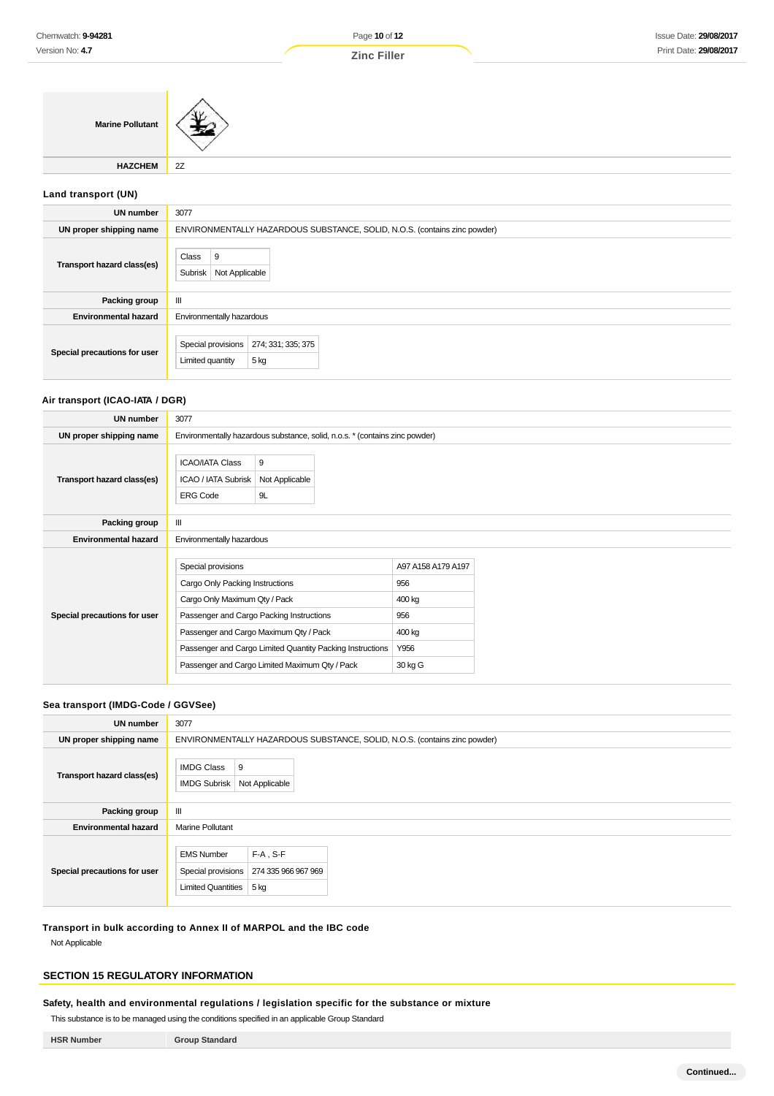| <b>Marine Pollutant</b> |            |
|-------------------------|------------|
| <b>HAZCHEM</b>          | $\vert$ 2Z |
|                         |            |

# **Land transport (UN)**

| <b>UN number</b>             | 3077                                                                      |
|------------------------------|---------------------------------------------------------------------------|
| UN proper shipping name      | ENVIRONMENTALLY HAZARDOUS SUBSTANCE, SOLID, N.O.S. (contains zinc powder) |
| Transport hazard class(es)   | Class<br>9<br>Subrisk<br>Not Applicable                                   |
| Packing group                | Ш                                                                         |
| <b>Environmental hazard</b>  | Environmentally hazardous                                                 |
| Special precautions for user | Special provisions<br>274; 331; 335; 375<br>5 kg<br>Limited quantity      |

# **Air transport (ICAO-IATA / DGR)**

| UN number                    | 3077                                                                                   |                                                                                                                                                                                                   |                                                                         |  |
|------------------------------|----------------------------------------------------------------------------------------|---------------------------------------------------------------------------------------------------------------------------------------------------------------------------------------------------|-------------------------------------------------------------------------|--|
| UN proper shipping name      |                                                                                        | Environmentally hazardous substance, solid, n.o.s. * (contains zinc powder)                                                                                                                       |                                                                         |  |
| Transport hazard class(es)   | <b>ICAO/IATA Class</b><br>ICAO / IATA Subrisk<br><b>ERG Code</b>                       | 9<br>Not Applicable<br>9L                                                                                                                                                                         |                                                                         |  |
| Packing group                | Ш                                                                                      |                                                                                                                                                                                                   |                                                                         |  |
| <b>Environmental hazard</b>  | Environmentally hazardous                                                              |                                                                                                                                                                                                   |                                                                         |  |
| Special precautions for user | Special provisions<br>Cargo Only Packing Instructions<br>Cargo Only Maximum Qty / Pack | Passenger and Cargo Packing Instructions<br>Passenger and Cargo Maximum Qty / Pack<br>Passenger and Cargo Limited Quantity Packing Instructions<br>Passenger and Cargo Limited Maximum Qty / Pack | A97 A158 A179 A197<br>956<br>400 kg<br>956<br>400 kg<br>Y956<br>30 kg G |  |

## **Sea transport (IMDG-Code / GGVSee)**

| <b>UN number</b>             | 3077                                                                                                               |
|------------------------------|--------------------------------------------------------------------------------------------------------------------|
| UN proper shipping name      | ENVIRONMENTALLY HAZARDOUS SUBSTANCE, SOLID, N.O.S. (contains zinc powder)                                          |
| Transport hazard class(es)   | <b>IMDG Class</b><br>9<br>Not Applicable<br><b>IMDG Subrisk</b>                                                    |
| Packing group                | Ш                                                                                                                  |
| <b>Environmental hazard</b>  | Marine Pollutant                                                                                                   |
| Special precautions for user | $F-A$ , S-F<br><b>EMS Number</b><br>Special provisions<br>274 335 966 967 969<br><b>Limited Quantities</b><br>5 kg |

**Transport in bulk according to Annex II of MARPOL and the IBC code**

Not Applicable

# **SECTION 15 REGULATORY INFORMATION**

**Safety, health and environmental regulations / legislation specific for the substance or mixture**

This substance is to be managed using the conditions specified in an applicable Group Standard

| <b>HSR Number</b> | <b>Group Standard</b> |
|-------------------|-----------------------|
|-------------------|-----------------------|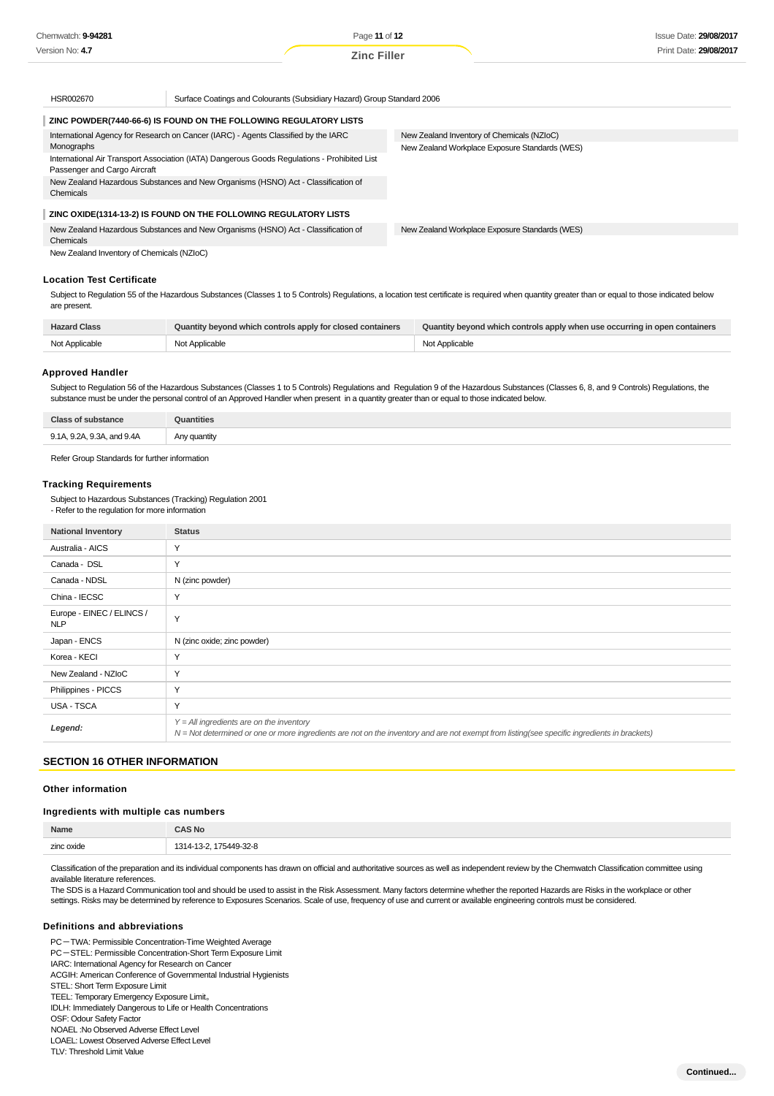Page **11** of **12 Zinc Filler**

| HSR002670                                                                                      | Surface Coatings and Colourants (Subsidiary Hazard) Group Standard 2006            |                                                |  |
|------------------------------------------------------------------------------------------------|------------------------------------------------------------------------------------|------------------------------------------------|--|
|                                                                                                | ZINC POWDER(7440-66-6) IS FOUND ON THE FOLLOWING REGULATORY LISTS                  |                                                |  |
|                                                                                                | International Agency for Research on Cancer (IARC) - Agents Classified by the IARC | New Zealand Inventory of Chemicals (NZIoC)     |  |
| Monographs                                                                                     |                                                                                    | New Zealand Workplace Exposure Standards (WES) |  |
| International Air Transport Association (IATA) Dangerous Goods Regulations - Prohibited List   |                                                                                    |                                                |  |
| Passenger and Cargo Aircraft                                                                   |                                                                                    |                                                |  |
| New Zealand Hazardous Substances and New Organisms (HSNO) Act - Classification of<br>Chemicals |                                                                                    |                                                |  |
|                                                                                                | ZINC OXIDE(1314-13-2) IS FOUND ON THE FOLLOWING REGULATORY LISTS                   |                                                |  |
|                                                                                                | New Zealand Hazardous Substances and New Organisms (HSNO) Act - Classification of  | New Zealand Workplace Exposure Standards (WES) |  |
| Chemicals                                                                                      |                                                                                    |                                                |  |
| New Zealand Inventory of Chemicals (NZIoC)                                                     |                                                                                    |                                                |  |
|                                                                                                |                                                                                    |                                                |  |
| <b>Location Test Certificate</b>                                                               |                                                                                    |                                                |  |

Subject to Regulation 55 of the Hazardous Substances (Classes 1 to 5 Controls) Regulations, a location test certificate is required when quantity greater than or equal to those indicated below are present.

| <b>Hazard Class</b> | Quantity beyond which controls apply for closed containers | Quantity beyond which controls apply when use occurring in open containers |
|---------------------|------------------------------------------------------------|----------------------------------------------------------------------------|
| Not Applicable      | Not Applicable                                             | Not Applicable                                                             |

#### **Approved Handler**

Subject to Regulation 56 of the Hazardous Substances (Classes 1 to 5 Controls) Regulations and Regulation 9 of the Hazardous Substances (Classes 6, 8, and 9 Controls) Regulations, the substance must be under the personal control of an Approved Handler when present in a quantity greater than or equal to those indicated below.

| Class                      |              |
|----------------------------|--------------|
| 9.1A, 9.2A, 9.3A, and 9.4A | Any quantity |

Refer Group Standards for further information

#### **Tracking Requirements**

Subject to Hazardous Substances (Tracking) Regulation 2001 - Refer to the regulation for more information

| <b>National Inventory</b>               | <b>Status</b>                                                                                                                                                                              |
|-----------------------------------------|--------------------------------------------------------------------------------------------------------------------------------------------------------------------------------------------|
| Australia - AICS                        | Y                                                                                                                                                                                          |
| Canada - DSL                            | Y                                                                                                                                                                                          |
| Canada - NDSL                           | N (zinc powder)                                                                                                                                                                            |
| China - IECSC                           | Y                                                                                                                                                                                          |
| Europe - EINEC / ELINCS /<br><b>NLP</b> | Y                                                                                                                                                                                          |
| Japan - ENCS                            | N (zinc oxide; zinc powder)                                                                                                                                                                |
| Korea - KECI                            | Y                                                                                                                                                                                          |
| New Zealand - NZIoC                     | Y                                                                                                                                                                                          |
| Philippines - PICCS                     | Y                                                                                                                                                                                          |
| USA - TSCA                              | Y                                                                                                                                                                                          |
| Legend:                                 | $Y = All$ ingredients are on the inventory<br>N = Not determined or one or more ingredients are not on the inventory and are not exempt from listing(see specific ingredients in brackets) |

# **SECTION 16 OTHER INFORMATION**

## **Other information**

## **Ingredients with multiple cas numbers**

| Name            | AS No                   |
|-----------------|-------------------------|
| zinc oxide<br>. | -449-32-8<br>314-1<br>. |

Classification of the preparation and its individual components has drawn on official and authoritative sources as well as independent review by the Chemwatch Classification committee using available literature references.

The SDS is a Hazard Communication tool and should be used to assist in the Risk Assessment. Many factors determine whether the reported Hazards are Risks in the workplace or other settings. Risks may be determined by reference to Exposures Scenarios. Scale of use, frequency of use and current or available engineering controls must be considered.

#### **Definitions and abbreviations**

PC-TWA: Permissible Concentration-Time Weighted Average PC-STEL: Permissible Concentration-Short Term Exposure Limit IARC: International Agency for Research on Cancer ACGIH: American Conference of Governmental Industrial Hygienists STEL: Short Term Exposure Limit TEEL: Temporary Emergency Exposure Limit。 IDLH: Immediately Dangerous to Life or Health Concentrations OSF: Odour Safety Factor

NOAEL :No Observed Adverse Effect Level

LOAEL: Lowest Observed Adverse Effect Level

TLV: Threshold Limit Value